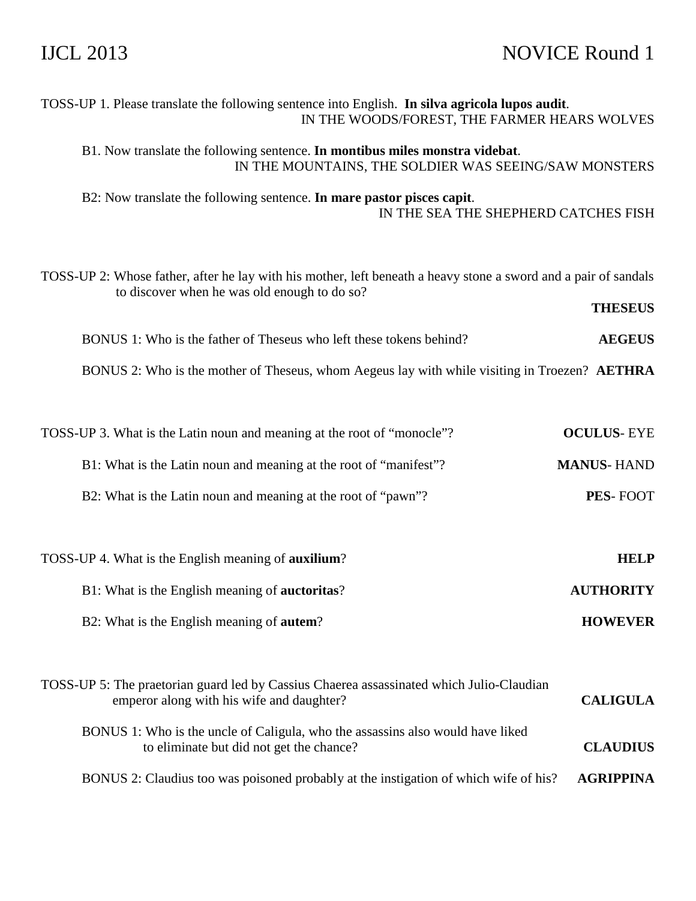# IJCL 2013 NOVICE Round 1

| TOSS-UP 1. Please translate the following sentence into English. In silva agricola lupos audit.<br>IN THE WOODS/FOREST, THE FARMER HEARS WOLVES                 |                   |
|-----------------------------------------------------------------------------------------------------------------------------------------------------------------|-------------------|
| B1. Now translate the following sentence. In montibus miles monstra videbat.<br>IN THE MOUNTAINS, THE SOLDIER WAS SEEING/SAW MONSTERS                           |                   |
| B2: Now translate the following sentence. In mare pastor pisces capit.<br>IN THE SEA THE SHEPHERD CATCHES FISH                                                  |                   |
| TOSS-UP 2: Whose father, after he lay with his mother, left beneath a heavy stone a sword and a pair of sandals<br>to discover when he was old enough to do so? | <b>THESEUS</b>    |
| BONUS 1: Who is the father of Theseus who left these tokens behind?                                                                                             | <b>AEGEUS</b>     |
| BONUS 2: Who is the mother of Theseus, whom Aegeus lay with while visiting in Troezen? AETHRA                                                                   |                   |
| TOSS-UP 3. What is the Latin noun and meaning at the root of "monocle"?                                                                                         | <b>OCULUS-EYE</b> |
| B1: What is the Latin noun and meaning at the root of "manifest"?                                                                                               | <b>MANUS-HAND</b> |
| B2: What is the Latin noun and meaning at the root of "pawn"?                                                                                                   | PES-FOOT          |
| TOSS-UP 4. What is the English meaning of <b>auxilium</b> ?                                                                                                     | <b>HELP</b>       |
| B1: What is the English meaning of <b>auctoritas</b> ?                                                                                                          | <b>AUTHORITY</b>  |
| B2: What is the English meaning of <b>autem</b> ?                                                                                                               | <b>HOWEVER</b>    |
| TOSS-UP 5: The praetorian guard led by Cassius Chaerea assassinated which Julio-Claudian<br>emperor along with his wife and daughter?                           | <b>CALIGULA</b>   |
| BONUS 1: Who is the uncle of Caligula, who the assassins also would have liked<br>to eliminate but did not get the chance?                                      | <b>CLAUDIUS</b>   |
| BONUS 2: Claudius too was poisoned probably at the instigation of which wife of his?                                                                            | <b>AGRIPPINA</b>  |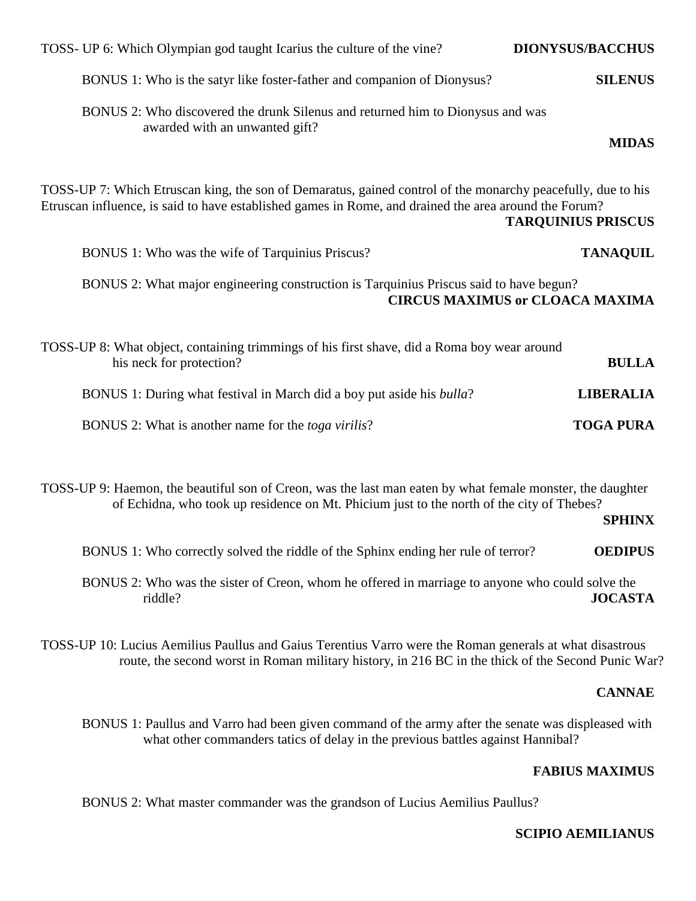| TOSS- UP 6: Which Olympian god taught Icarius the culture of the vine?                                                                                                                                               | <b>DIONYSUS/BACCHUS</b>                |
|----------------------------------------------------------------------------------------------------------------------------------------------------------------------------------------------------------------------|----------------------------------------|
| BONUS 1: Who is the satyr like foster-father and companion of Dionysus?                                                                                                                                              | <b>SILENUS</b>                         |
| BONUS 2: Who discovered the drunk Silenus and returned him to Dionysus and was<br>awarded with an unwanted gift?                                                                                                     | <b>MIDAS</b>                           |
| TOSS-UP 7: Which Etruscan king, the son of Demaratus, gained control of the monarchy peacefully, due to his<br>Etruscan influence, is said to have established games in Rome, and drained the area around the Forum? | <b>TARQUINIUS PRISCUS</b>              |
| BONUS 1: Who was the wife of Tarquinius Priscus?                                                                                                                                                                     | <b>TANAQUIL</b>                        |
| BONUS 2: What major engineering construction is Tarquinius Priscus said to have begun?                                                                                                                               | <b>CIRCUS MAXIMUS or CLOACA MAXIMA</b> |
| TOSS-UP 8: What object, containing trimmings of his first shave, did a Roma boy wear around<br>his neck for protection?                                                                                              | <b>BULLA</b>                           |
| BONUS 1: During what festival in March did a boy put aside his <i>bulla</i> ?                                                                                                                                        | <b>LIBERALIA</b>                       |
| BONUS 2: What is another name for the <i>toga virilis</i> ?                                                                                                                                                          | <b>TOGA PURA</b>                       |

TOSS-UP 9: Haemon, the beautiful son of Creon, was the last man eaten by what female monster, the daughter of Echidna, who took up residence on Mt. Phicium just to the north of the city of Thebes?

**SPHINX** 

BONUS 1: Who correctly solved the riddle of the Sphinx ending her rule of terror? **OEDIPUS**

 BONUS 2: Who was the sister of Creon, whom he offered in marriage to anyone who could solve the riddle? **JOCASTA**

TOSS-UP 10: Lucius Aemilius Paullus and Gaius Terentius Varro were the Roman generals at what disastrous route, the second worst in Roman military history, in 216 BC in the thick of the Second Punic War?

## **CANNAE**

 BONUS 1: Paullus and Varro had been given command of the army after the senate was displeased with what other commanders tatics of delay in the previous battles against Hannibal?

## **FABIUS MAXIMUS**

BONUS 2: What master commander was the grandson of Lucius Aemilius Paullus?

## **SCIPIO AEMILIANUS**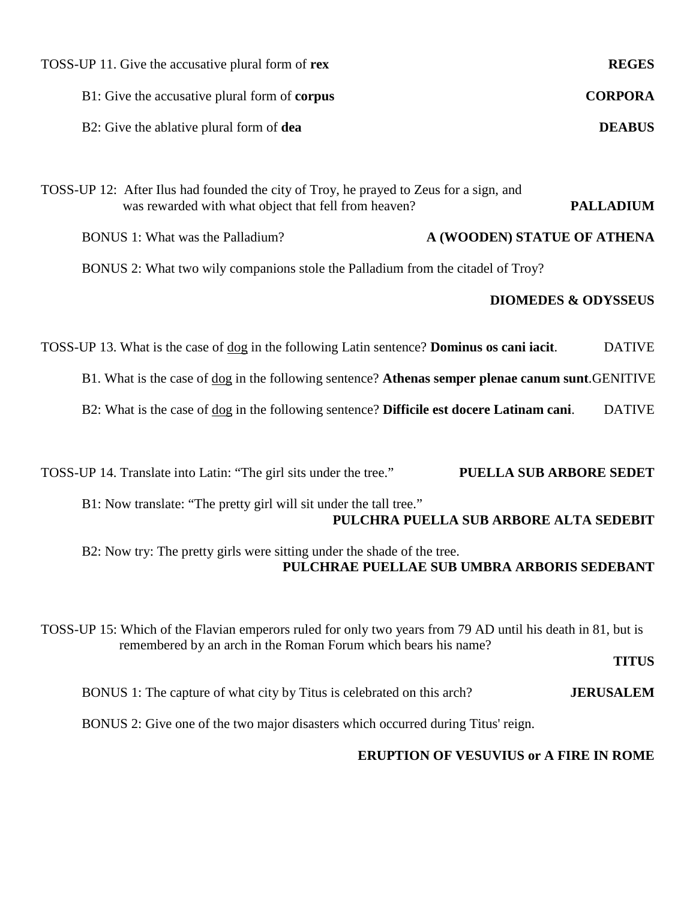| TOSS-UP 11. Give the accusative plural form of rex                                                                                                                            | <b>REGES</b>                                |
|-------------------------------------------------------------------------------------------------------------------------------------------------------------------------------|---------------------------------------------|
| B1: Give the accusative plural form of corpus                                                                                                                                 | <b>CORPORA</b>                              |
| B2: Give the ablative plural form of dea                                                                                                                                      | <b>DEABUS</b>                               |
|                                                                                                                                                                               |                                             |
| TOSS-UP 12: After Ilus had founded the city of Troy, he prayed to Zeus for a sign, and<br>was rewarded with what object that fell from heaven?                                | <b>PALLADIUM</b>                            |
| <b>BONUS 1: What was the Palladium?</b>                                                                                                                                       | A (WOODEN) STATUE OF ATHENA                 |
| BONUS 2: What two wily companions stole the Palladium from the citadel of Troy?                                                                                               |                                             |
|                                                                                                                                                                               | <b>DIOMEDES &amp; ODYSSEUS</b>              |
| TOSS-UP 13. What is the case of dog in the following Latin sentence? Dominus os cani iacit.                                                                                   | <b>DATIVE</b>                               |
| B1. What is the case of dog in the following sentence? Athenas semper plenae canum sunt. GENITIVE                                                                             |                                             |
| B2: What is the case of dog in the following sentence? Difficile est docere Latinam cani.                                                                                     | <b>DATIVE</b>                               |
|                                                                                                                                                                               |                                             |
| TOSS-UP 14. Translate into Latin: "The girl sits under the tree."                                                                                                             | PUELLA SUB ARBORE SEDET                     |
| B1: Now translate: "The pretty girl will sit under the tall tree."                                                                                                            | PULCHRA PUELLA SUB ARBORE ALTA SEDEBIT      |
| B2: Now try: The pretty girls were sitting under the shade of the tree.                                                                                                       | PULCHRAE PUELLAE SUB UMBRA ARBORIS SEDEBANT |
| TOSS-UP 15: Which of the Flavian emperors ruled for only two years from 79 AD until his death in 81, but is<br>remembered by an arch in the Roman Forum which bears his name? | <b>TITUS</b>                                |
| BONUS 1: The capture of what city by Titus is celebrated on this arch?                                                                                                        | <b>JERUSALEM</b>                            |
| BONUS 2: Give one of the two major disasters which occurred during Titus' reign.                                                                                              |                                             |
|                                                                                                                                                                               |                                             |

## **ERUPTION OF VESUVIUS or A FIRE IN ROME**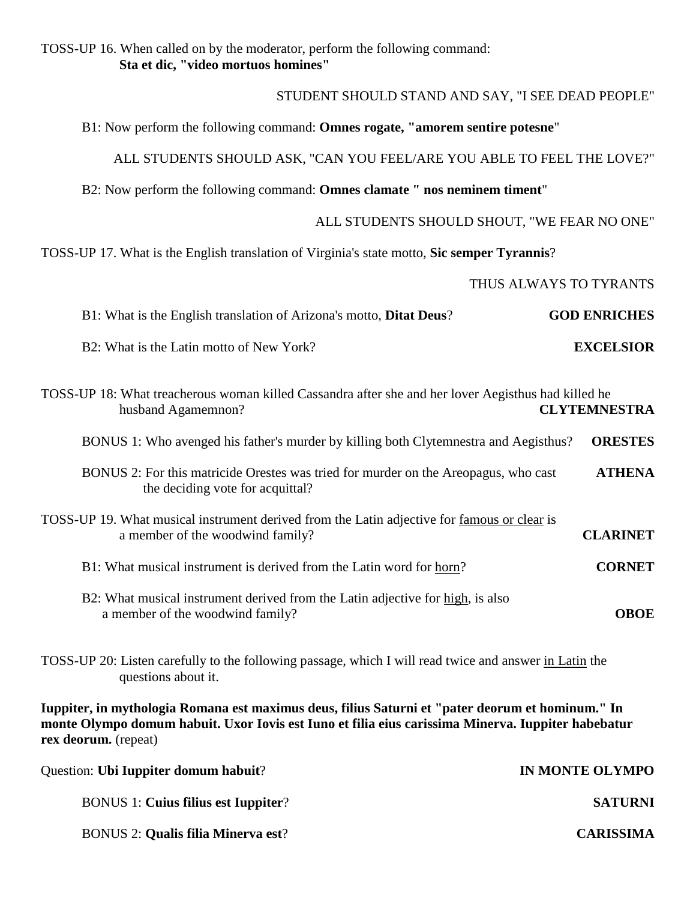TOSS-UP 16. When called on by the moderator, perform the following command:  **Sta et dic, "video mortuos homines"**

STUDENT SHOULD STAND AND SAY, "I SEE DEAD PEOPLE"

B1: Now perform the following command: **Omnes rogate, "amorem sentire potesne**"

ALL STUDENTS SHOULD ASK, "CAN YOU FEEL/ARE YOU ABLE TO FEEL THE LOVE?"

B2: Now perform the following command: **Omnes clamate " nos neminem timent**"

ALL STUDENTS SHOULD SHOUT, "WE FEAR NO ONE"

TOSS-UP 17. What is the English translation of Virginia's state motto, **Sic semper Tyrannis**?

THUS ALWAYS TO TYRANTS

| <b>GOD ENRICHES</b> | B1: What is the English translation of Arizona's motto, <b>Ditat Deus</b> ? |  |
|---------------------|-----------------------------------------------------------------------------|--|
| <b>EXCELSIOR</b>    | B2: What is the Latin motto of New York?                                    |  |

| TOSS-UP 18: What treacherous woman killed Cassandra after she and her lover Aegisthus had killed he<br><b>CLYTEMNESTRA</b><br>husband Agamemnon?          |                 |
|-----------------------------------------------------------------------------------------------------------------------------------------------------------|-----------------|
| BONUS 1: Who avenged his father's murder by killing both Clytemnestra and Aegisthus?                                                                      | <b>ORESTES</b>  |
| BONUS 2: For this matricide Orestes was tried for murder on the Areopagus, who cast<br>the deciding vote for acquittal?                                   | <b>ATHENA</b>   |
| TOSS-UP 19. What musical instrument derived from the Latin adjective for famous or clear is<br>a member of the woodwind family?                           | <b>CLARINET</b> |
| B1: What musical instrument is derived from the Latin word for horn?                                                                                      | <b>CORNET</b>   |
| B2: What musical instrument derived from the Latin adjective for high, is also<br>a member of the woodwind family?                                        | <b>OBOE</b>     |
| TOSS-UP 20: Listen carefully to the following passage, which I will read twice and answer in Latin the<br>questions about it.                             |                 |
| $\bullet$ , and $\bullet$ , and $\bullet$ , and $\bullet$ , and $\bullet$ , and $\bullet$ , and $\bullet$ , and $\bullet$ , and $\bullet$ , and $\bullet$ |                 |

**Iuppiter, in mythologia Romana est maximus deus, filius Saturni et "pater deorum et hominum." In monte Olympo domum habuit. Uxor Iovis est Iuno et filia eius carissima Minerva. Iuppiter habebatur rex deorum.** (repeat)

| IN MONTE OLYMPO  | Question: Ubi Iuppiter domum habuit?       |
|------------------|--------------------------------------------|
| <b>SATURNI</b>   | <b>BONUS 1: Cuius filius est Iuppiter?</b> |
| <b>CARISSIMA</b> | <b>BONUS 2: Qualis filia Minerva est?</b>  |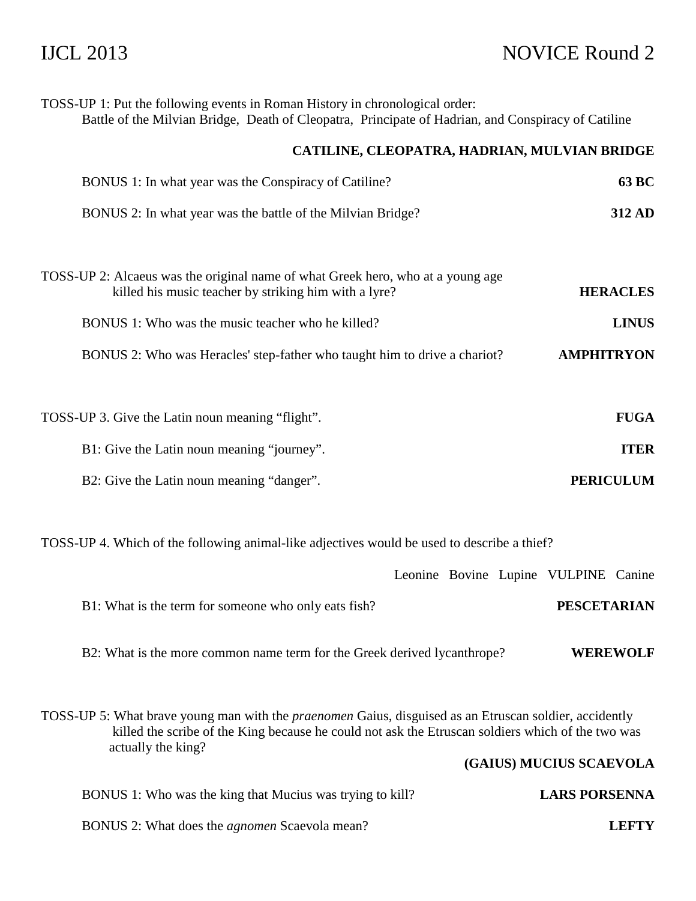# IJCL 2013 NOVICE Round 2

| TOSS-UP 1: Put the following events in Roman History in chronological order:<br>Battle of the Milvian Bridge, Death of Cleopatra, Principate of Hadrian, and Conspiracy of Catiline                                |                         |
|--------------------------------------------------------------------------------------------------------------------------------------------------------------------------------------------------------------------|-------------------------|
| CATILINE, CLEOPATRA, HADRIAN, MULVIAN BRIDGE                                                                                                                                                                       |                         |
| BONUS 1: In what year was the Conspiracy of Catiline?                                                                                                                                                              | <b>63 BC</b>            |
| BONUS 2: In what year was the battle of the Milvian Bridge?                                                                                                                                                        | 312 AD                  |
| TOSS-UP 2: Alcaeus was the original name of what Greek hero, who at a young age<br>killed his music teacher by striking him with a lyre?                                                                           | <b>HERACLES</b>         |
| BONUS 1: Who was the music teacher who he killed?                                                                                                                                                                  | <b>LINUS</b>            |
| BONUS 2: Who was Heracles' step-father who taught him to drive a chariot?                                                                                                                                          | <b>AMPHITRYON</b>       |
|                                                                                                                                                                                                                    |                         |
| TOSS-UP 3. Give the Latin noun meaning "flight".                                                                                                                                                                   | <b>FUGA</b>             |
| B1: Give the Latin noun meaning "journey".                                                                                                                                                                         | <b>ITER</b>             |
| B2: Give the Latin noun meaning "danger".                                                                                                                                                                          | <b>PERICULUM</b>        |
| TOSS-UP 4. Which of the following animal-like adjectives would be used to describe a thief?                                                                                                                        |                         |
| Leonine Bovine Lupine VULPINE Canine                                                                                                                                                                               |                         |
| B1: What is the term for someone who only eats fish?                                                                                                                                                               | <b>PESCETARIAN</b>      |
| B2: What is the more common name term for the Greek derived lycanthrope?                                                                                                                                           | <b>WEREWOLF</b>         |
| TOSS-UP 5: What brave young man with the <i>praenomen</i> Gaius, disguised as an Etruscan soldier, accidently<br>killed the scribe of the King because he could not ask the Etruscan soldiers which of the two was |                         |
| actually the king?                                                                                                                                                                                                 | (GAIUS) MUCIUS SCAEVOLA |
| BONUS 1: Who was the king that Mucius was trying to kill?                                                                                                                                                          | <b>LARS PORSENNA</b>    |
| BONUS 2: What does the <i>agnomen</i> Scaevola mean?                                                                                                                                                               | <b>LEFTY</b>            |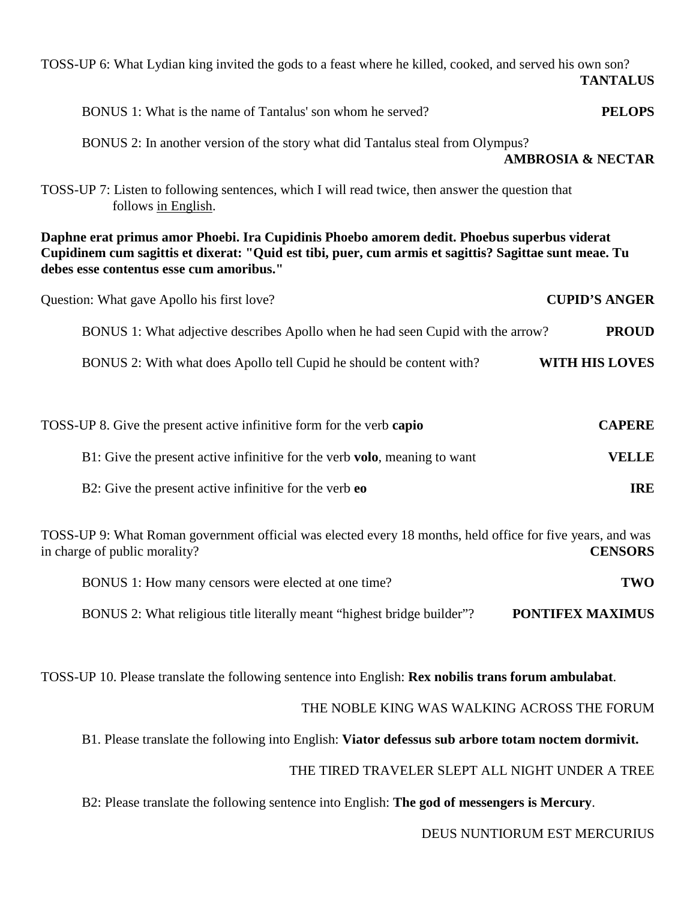| TOSS-UP 6: What Lydian king invited the gods to a feast where he killed, cooked, and served his own son?                                                                                                                                          | <b>TANTALUS</b>              |
|---------------------------------------------------------------------------------------------------------------------------------------------------------------------------------------------------------------------------------------------------|------------------------------|
| BONUS 1: What is the name of Tantalus' son whom he served?                                                                                                                                                                                        | <b>PELOPS</b>                |
| BONUS 2: In another version of the story what did Tantalus steal from Olympus?                                                                                                                                                                    | <b>AMBROSIA &amp; NECTAR</b> |
| TOSS-UP 7: Listen to following sentences, which I will read twice, then answer the question that<br>follows in English.                                                                                                                           |                              |
| Daphne erat primus amor Phoebi. Ira Cupidinis Phoebo amorem dedit. Phoebus superbus viderat<br>Cupidinem cum sagittis et dixerat: "Quid est tibi, puer, cum armis et sagittis? Sagittae sunt meae. Tu<br>debes esse contentus esse cum amoribus." |                              |
| Question: What gave Apollo his first love?                                                                                                                                                                                                        | <b>CUPID'S ANGER</b>         |
| BONUS 1: What adjective describes Apollo when he had seen Cupid with the arrow?                                                                                                                                                                   | <b>PROUD</b>                 |
| BONUS 2: With what does Apollo tell Cupid he should be content with?                                                                                                                                                                              | <b>WITH HIS LOVES</b>        |
| TOSS-UP 8. Give the present active infinitive form for the verb capio                                                                                                                                                                             | <b>CAPERE</b>                |
| B1: Give the present active infinitive for the verb volo, meaning to want                                                                                                                                                                         | <b>VELLE</b>                 |
| B2: Give the present active infinitive for the verb eo                                                                                                                                                                                            | <b>IRE</b>                   |
| TOSS-UP 9: What Roman government official was elected every 18 months, held office for five years, and was<br>in charge of public morality?                                                                                                       | <b>CENSORS</b>               |

| BONUS 1: How many censors were elected at one time?                     | TWO                     |
|-------------------------------------------------------------------------|-------------------------|
| BONUS 2: What religious title literally meant "highest bridge builder"? | <b>PONTIFEX MAXIMUS</b> |

TOSS-UP 10. Please translate the following sentence into English: **Rex nobilis trans forum ambulabat**.

## THE NOBLE KING WAS WALKING ACROSS THE FORUM

B1. Please translate the following into English: **Viator defessus sub arbore totam noctem dormivit.**

## THE TIRED TRAVELER SLEPT ALL NIGHT UNDER A TREE

B2: Please translate the following sentence into English: **The god of messengers is Mercury**.

DEUS NUNTIORUM EST MERCURIUS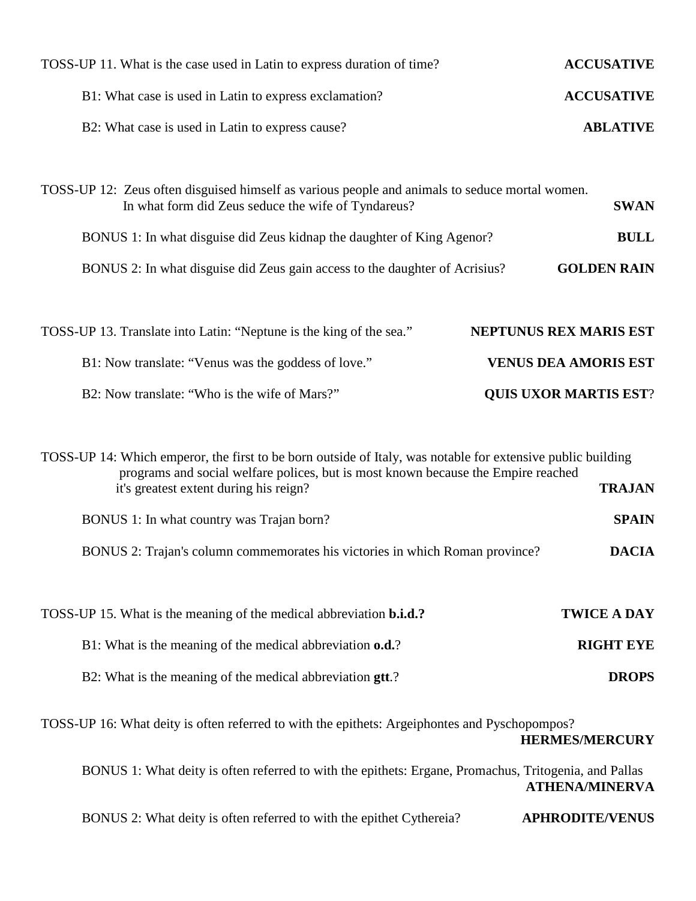| TOSS-UP 11. What is the case used in Latin to express duration of time?                                                                                                                                                                                                                                                                                                 | <b>ACCUSATIVE</b>                             |
|-------------------------------------------------------------------------------------------------------------------------------------------------------------------------------------------------------------------------------------------------------------------------------------------------------------------------------------------------------------------------|-----------------------------------------------|
| B1: What case is used in Latin to express exclamation?                                                                                                                                                                                                                                                                                                                  | <b>ACCUSATIVE</b>                             |
| B2: What case is used in Latin to express cause?                                                                                                                                                                                                                                                                                                                        | <b>ABLATIVE</b>                               |
|                                                                                                                                                                                                                                                                                                                                                                         |                                               |
| TOSS-UP 12: Zeus often disguised himself as various people and animals to seduce mortal women.<br>In what form did Zeus seduce the wife of Tyndareus?                                                                                                                                                                                                                   | <b>SWAN</b>                                   |
| BONUS 1: In what disguise did Zeus kidnap the daughter of King Agenor?                                                                                                                                                                                                                                                                                                  | <b>BULL</b>                                   |
| BONUS 2: In what disguise did Zeus gain access to the daughter of Acrisius?                                                                                                                                                                                                                                                                                             | <b>GOLDEN RAIN</b>                            |
|                                                                                                                                                                                                                                                                                                                                                                         |                                               |
| TOSS-UP 13. Translate into Latin: "Neptune is the king of the sea."                                                                                                                                                                                                                                                                                                     | NEPTUNUS REX MARIS EST                        |
| B1: Now translate: "Venus was the goddess of love."                                                                                                                                                                                                                                                                                                                     | <b>VENUS DEA AMORIS EST</b>                   |
| B2: Now translate: "Who is the wife of Mars?"                                                                                                                                                                                                                                                                                                                           | <b>QUIS UXOR MARTIS EST?</b>                  |
| TOSS-UP 14: Which emperor, the first to be born outside of Italy, was notable for extensive public building<br>programs and social welfare polices, but is most known because the Empire reached<br>it's greatest extent during his reign?<br>BONUS 1: In what country was Trajan born?<br>BONUS 2: Trajan's column commemorates his victories in which Roman province? | <b>TRAJAN</b><br><b>SPAIN</b><br><b>DACIA</b> |
|                                                                                                                                                                                                                                                                                                                                                                         |                                               |
| TOSS-UP 15. What is the meaning of the medical abbreviation <b>b.i.d.</b> ?                                                                                                                                                                                                                                                                                             | <b>TWICE A DAY</b>                            |
| B1: What is the meaning of the medical abbreviation o.d.?                                                                                                                                                                                                                                                                                                               | <b>RIGHT EYE</b>                              |
| B2: What is the meaning of the medical abbreviation gtt.?                                                                                                                                                                                                                                                                                                               | <b>DROPS</b>                                  |
| TOSS-UP 16: What deity is often referred to with the epithets: Argeiphontes and Pyschopompos?                                                                                                                                                                                                                                                                           | <b>HERMES/MERCURY</b>                         |
| BONUS 1: What deity is often referred to with the epithets: Ergane, Promachus, Tritogenia, and Pallas                                                                                                                                                                                                                                                                   | <b>ATHENA/MINERVA</b>                         |
| BONUS 2: What deity is often referred to with the epithet Cythereia?                                                                                                                                                                                                                                                                                                    | <b>APHRODITE/VENUS</b>                        |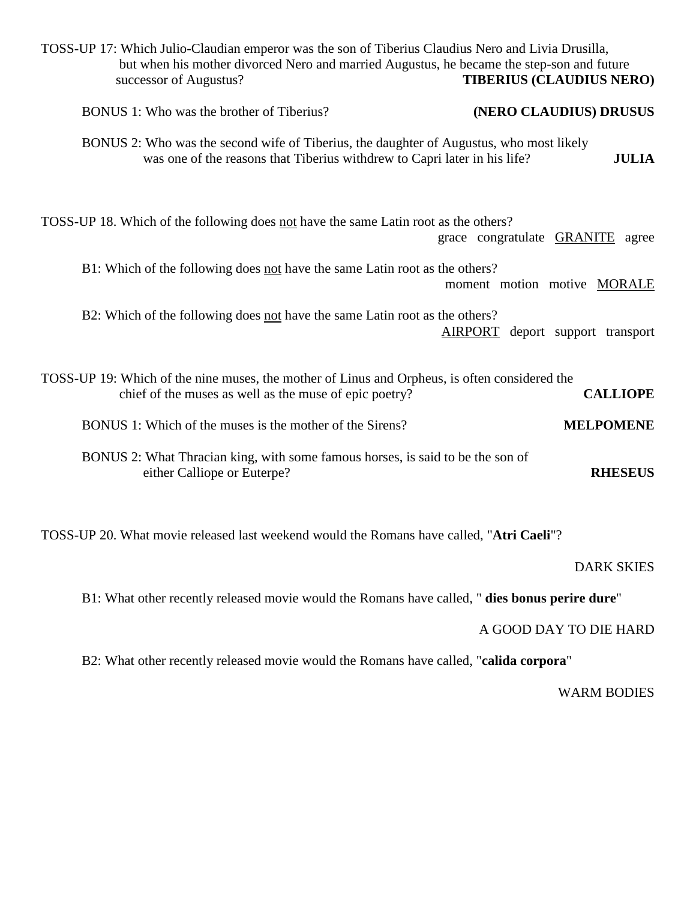| TOSS-UP 17: Which Julio-Claudian emperor was the son of Tiberius Claudius Nero and Livia Drusilla,<br>but when his mother divorced Nero and married Augustus, he became the step-son and future<br>successor of Augustus? | <b>TIBERIUS (CLAUDIUS NERO)</b>     |
|---------------------------------------------------------------------------------------------------------------------------------------------------------------------------------------------------------------------------|-------------------------------------|
| BONUS 1: Who was the brother of Tiberius?                                                                                                                                                                                 | (NERO CLAUDIUS) DRUSUS              |
| BONUS 2: Who was the second wife of Tiberius, the daughter of Augustus, who most likely<br>was one of the reasons that Tiberius withdrew to Capri later in his life?                                                      | <b>JULIA</b>                        |
| TOSS-UP 18. Which of the following does not have the same Latin root as the others?                                                                                                                                       | grace congratulate GRANITE<br>agree |
| B1: Which of the following does not have the same Latin root as the others?                                                                                                                                               | moment motion motive MORALE         |
| B2: Which of the following does not have the same Latin root as the others?                                                                                                                                               | AIRPORT deport support transport    |
| TOSS-UP 19: Which of the nine muses, the mother of Linus and Orpheus, is often considered the<br>chief of the muses as well as the muse of epic poetry?                                                                   | <b>CALLIOPE</b>                     |
| BONUS 1: Which of the muses is the mother of the Sirens?                                                                                                                                                                  | <b>MELPOMENE</b>                    |
| BONUS 2: What Thracian king, with some famous horses, is said to be the son of<br>either Calliope or Euterpe?                                                                                                             | <b>RHESEUS</b>                      |

TOSS-UP 20. What movie released last weekend would the Romans have called, "**Atri Caeli**"?

DARK SKIES

B1: What other recently released movie would the Romans have called, " **dies bonus perire dure**"

## A GOOD DAY TO DIE HARD

B2: What other recently released movie would the Romans have called, "**calida corpora**"

WARM BODIES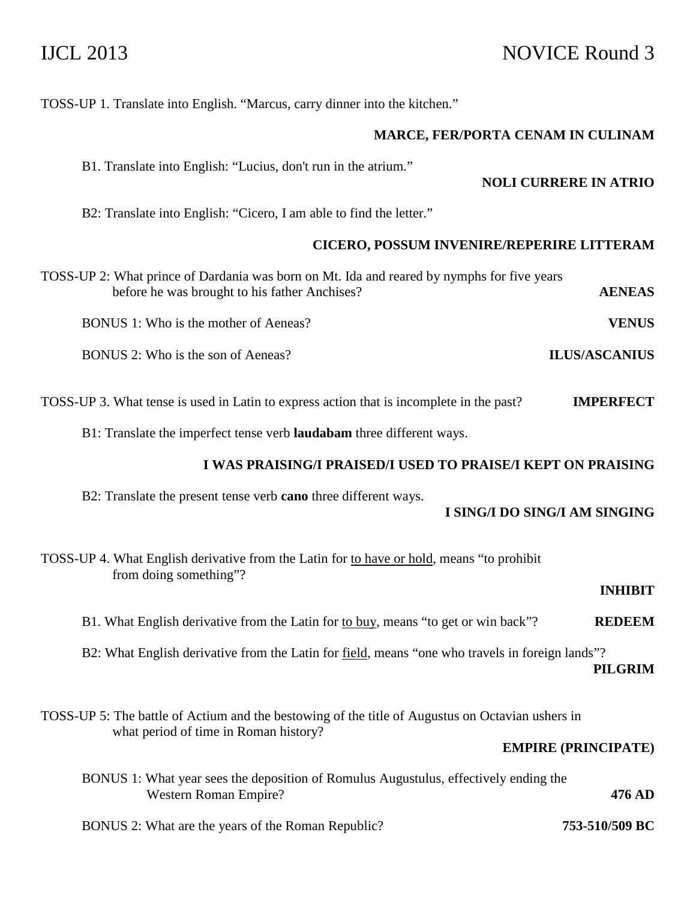## IJCL 2013 NOVICE Round 3

TOSS-UP 1. Translate into English. "Marcus, carry dinner into the kitchen."

## **MARCE, FER/PORTA CENAM IN CULINAM**

B1. Translate into English: "Lucius, don't run in the atrium."

**NOLI CURRERE IN ATRIO** 

B2: Translate into English: "Cicero, I am able to find the letter."

## **CICERO, POSSUM INVENIRE/REPERIRE LITTERAM**

| TOSS-UP 2: What prince of Dardania was born on Mt. Ida and reared by nymphs for five years |                      |
|--------------------------------------------------------------------------------------------|----------------------|
| before he was brought to his father Anchises?                                              | <b>AENEAS</b>        |
| BONUS 1: Who is the mother of Aeneas?                                                      | <b>VENUS</b>         |
| BONUS 2: Who is the son of Aeneas?                                                         | <b>ILUS/ASCANIUS</b> |

TOSS-UP 3. What tense is used in Latin to express action that is incomplete in the past? **IMPERFECT**

B1: Translate the imperfect tense verb **laudabam** three different ways.

## **I WAS PRAISING/I PRAISED/I USED TO PRAISE/I KEPT ON PRAISING**

B2: Translate the present tense verb **cano** three different ways.

## **I SING/I DO SING/I AM SINGING**

|                | TOSS-UP 4. What English derivative from the Latin for to have or hold, means "to prohibit<br>from doing something"? |
|----------------|---------------------------------------------------------------------------------------------------------------------|
| <b>INHIBIT</b> |                                                                                                                     |
| <b>REDEEM</b>  | B1. What English derivative from the Latin for to buy, means "to get or win back"?                                  |
| <b>PILGRIM</b> | B2: What English derivative from the Latin for field, means "one who travels in foreign lands"?                     |

TOSS-UP 5: The battle of Actium and the bestowing of the title of Augustus on Octavian ushers in what period of time in Roman history?

## **EMPIRE (PRINCIPATE)**

|                | BONUS 1: What year sees the deposition of Romulus Augustulus, effectively ending the |
|----------------|--------------------------------------------------------------------------------------|
| 476 AD         | Western Roman Empire?                                                                |
| 753-510/509 BC | BONUS 2: What are the years of the Roman Republic?                                   |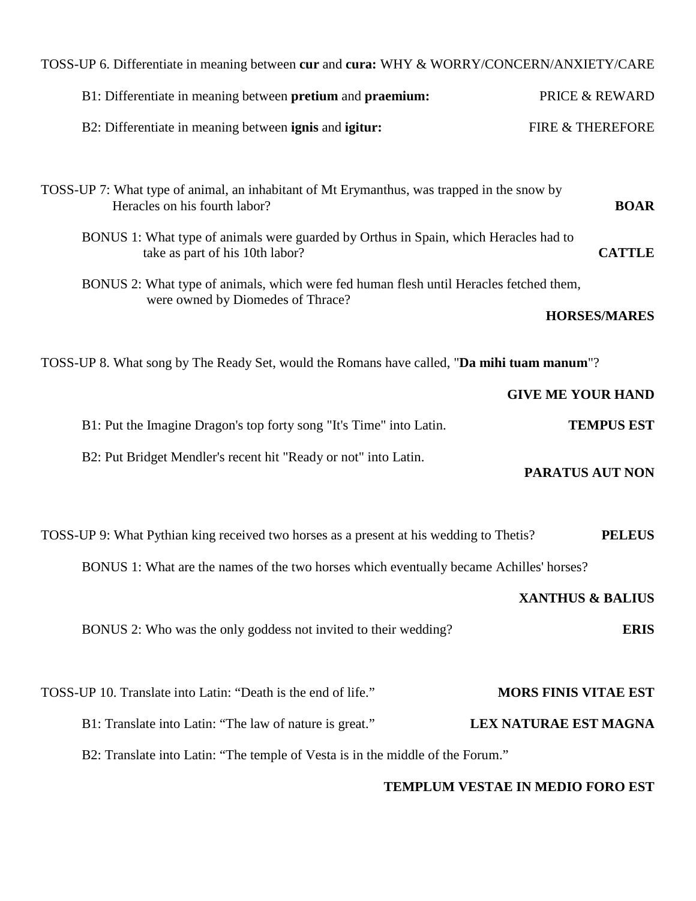| TOSS-UP 6. Differentiate in meaning between cur and cura: WHY & WORRY/CONCERN/ANXIETY/CARE                                  |                             |
|-----------------------------------------------------------------------------------------------------------------------------|-----------------------------|
| B1: Differentiate in meaning between pretium and praemium:                                                                  | <b>PRICE &amp; REWARD</b>   |
| B2: Differentiate in meaning between ignis and igitur:                                                                      | FIRE & THEREFORE            |
|                                                                                                                             |                             |
| TOSS-UP 7: What type of animal, an inhabitant of Mt Erymanthus, was trapped in the snow by<br>Heracles on his fourth labor? | <b>BOAR</b>                 |
| BONUS 1: What type of animals were guarded by Orthus in Spain, which Heracles had to<br>take as part of his 10th labor?     | <b>CATTLE</b>               |
| BONUS 2: What type of animals, which were fed human flesh until Heracles fetched them,<br>were owned by Diomedes of Thrace? |                             |
|                                                                                                                             | <b>HORSES/MARES</b>         |
| TOSS-UP 8. What song by The Ready Set, would the Romans have called, "Da mihi tuam manum"?                                  |                             |
|                                                                                                                             | <b>GIVE ME YOUR HAND</b>    |
| B1: Put the Imagine Dragon's top forty song "It's Time" into Latin.                                                         | <b>TEMPUS EST</b>           |
| B2: Put Bridget Mendler's recent hit "Ready or not" into Latin.                                                             | PARATUS AUT NON             |
| TOSS-UP 9: What Pythian king received two horses as a present at his wedding to Thetis?                                     | <b>PELEUS</b>               |
| BONUS 1: What are the names of the two horses which eventually became Achilles' horses?                                     |                             |
|                                                                                                                             | <b>XANTHUS &amp; BALIUS</b> |
| BONUS 2: Who was the only goddess not invited to their wedding?                                                             | <b>ERIS</b>                 |
|                                                                                                                             |                             |
| TOSS-UP 10. Translate into Latin: "Death is the end of life."                                                               | <b>MORS FINIS VITAE EST</b> |
| B1: Translate into Latin: "The law of nature is great."                                                                     | LEX NATURAE EST MAGNA       |
| B2: Translate into Latin: "The temple of Vesta is in the middle of the Forum."                                              |                             |

## **TEMPLUM VESTAE IN MEDIO FORO EST**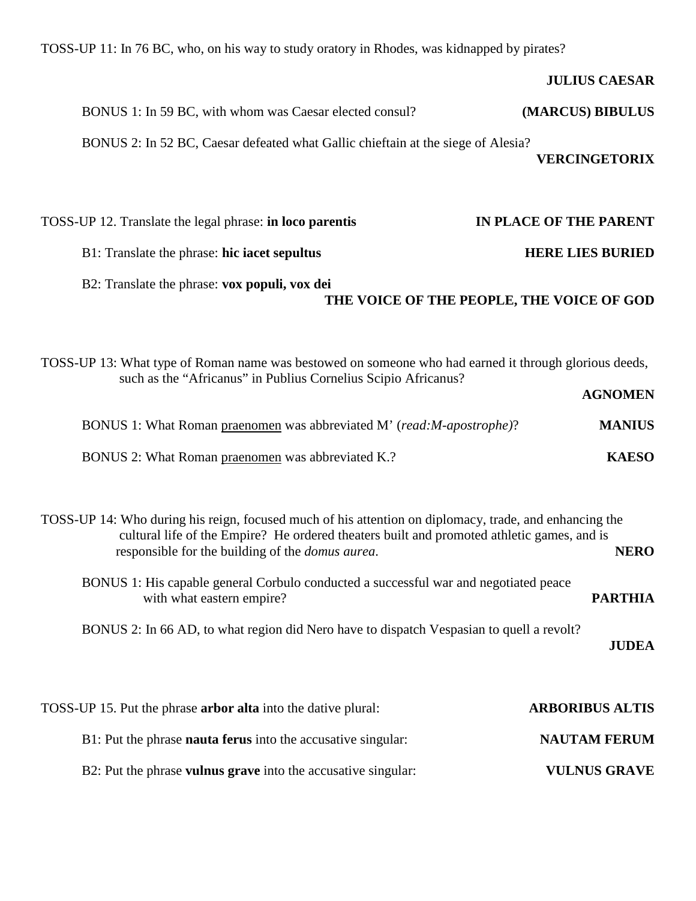| TOSS-UP 11: In 76 BC, who, on his way to study oratory in Rhodes, was kidnapped by pirates?                                                                                                                                                                      |                                           |
|------------------------------------------------------------------------------------------------------------------------------------------------------------------------------------------------------------------------------------------------------------------|-------------------------------------------|
|                                                                                                                                                                                                                                                                  | <b>JULIUS CAESAR</b>                      |
| BONUS 1: In 59 BC, with whom was Caesar elected consul?                                                                                                                                                                                                          | (MARCUS) BIBULUS                          |
| BONUS 2: In 52 BC, Caesar defeated what Gallic chieftain at the siege of Alesia?                                                                                                                                                                                 | <b>VERCINGETORIX</b>                      |
| TOSS-UP 12. Translate the legal phrase: in loco parentis                                                                                                                                                                                                         | IN PLACE OF THE PARENT                    |
| B1: Translate the phrase: hic iacet sepultus                                                                                                                                                                                                                     | <b>HERE LIES BURIED</b>                   |
| B2: Translate the phrase: vox populi, vox dei                                                                                                                                                                                                                    | THE VOICE OF THE PEOPLE, THE VOICE OF GOD |
| TOSS-UP 13: What type of Roman name was bestowed on someone who had earned it through glorious deeds,<br>such as the "Africanus" in Publius Cornelius Scipio Africanus?                                                                                          | <b>AGNOMEN</b>                            |
| BONUS 1: What Roman praenomen was abbreviated M' (read: M-apostrophe)?                                                                                                                                                                                           | <b>MANIUS</b>                             |
| BONUS 2: What Roman praenomen was abbreviated K.?                                                                                                                                                                                                                | <b>KAESO</b>                              |
| TOSS-UP 14: Who during his reign, focused much of his attention on diplomacy, trade, and enhancing the<br>cultural life of the Empire? He ordered theaters built and promoted athletic games, and is<br>responsible for the building of the <i>domus aurea</i> . | <b>NERO</b>                               |
| BONUS 1: His capable general Corbulo conducted a successful war and negotiated peace<br>with what eastern empire?                                                                                                                                                | <b>PARTHIA</b>                            |
| BONUS 2: In 66 AD, to what region did Nero have to dispatch Vespasian to quell a revolt?                                                                                                                                                                         | <b>JUDEA</b>                              |
| TOSS-UP 15. Put the phrase <b>arbor alta</b> into the dative plural:                                                                                                                                                                                             | <b>ARBORIBUS ALTIS</b>                    |
| B1: Put the phrase nauta ferus into the accusative singular:                                                                                                                                                                                                     | <b>NAUTAM FERUM</b>                       |
| B2: Put the phrase vulnus grave into the accusative singular:                                                                                                                                                                                                    | <b>VULNUS GRAVE</b>                       |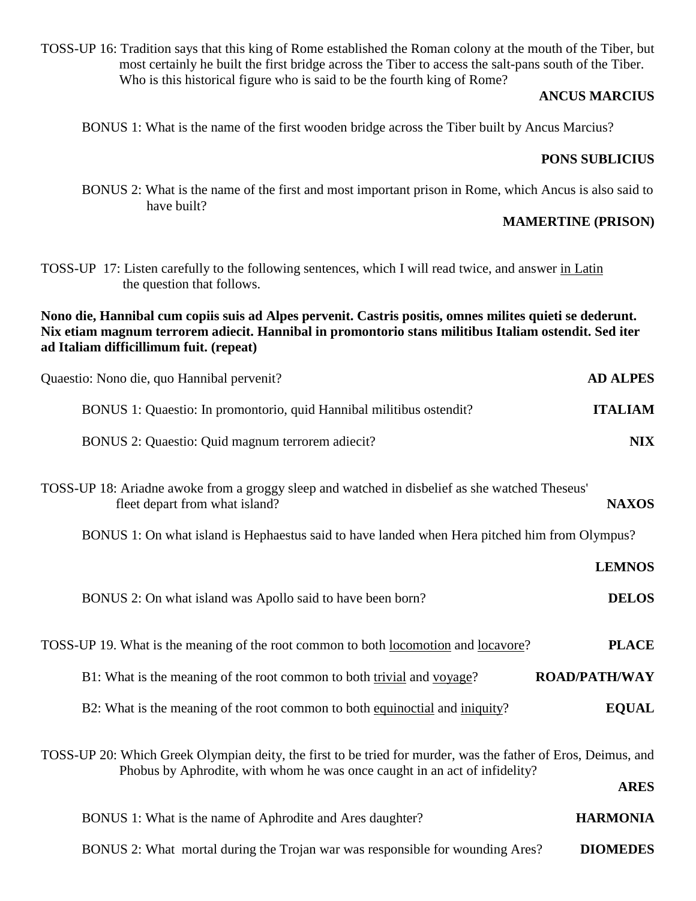TOSS-UP 16: Tradition says that this king of Rome established the Roman colony at the mouth of the Tiber, but most certainly he built the first bridge across the Tiber to access the salt-pans south of the Tiber. Who is this historical figure who is said to be the fourth king of Rome?

## **ANCUS MARCIUS**

BONUS 1: What is the name of the first wooden bridge across the Tiber built by Ancus Marcius?

## **PONS SUBLICIUS**

 BONUS 2: What is the name of the first and most important prison in Rome, which Ancus is also said to have built?

## **MAMERTINE (PRISON)**

TOSS-UP 17: Listen carefully to the following sentences, which I will read twice, and answer in Latin the question that follows.

**Nono die, Hannibal cum copiis suis ad Alpes pervenit. Castris positis, omnes milites quieti se dederunt. Nix etiam magnum terrorem adiecit. Hannibal in promontorio stans militibus Italiam ostendit. Sed iter ad Italiam difficillimum fuit. (repeat)** 

| Quaestio: Nono die, quo Hannibal pervenit?                                                                                       | <b>AD ALPES</b> |
|----------------------------------------------------------------------------------------------------------------------------------|-----------------|
| BONUS 1: Quaestio: In promontorio, quid Hannibal militibus ostendit?                                                             | <b>ITALIAM</b>  |
| BONUS 2: Quaestio: Quid magnum terrorem adiecit?                                                                                 | <b>NIX</b>      |
| TOSS-UP 18: Ariadne awoke from a groggy sleep and watched in disbelief as she watched Theseus'<br>fleet depart from what island? | <b>NAXOS</b>    |
| BONUS 1: On what island is Hephaestus said to have landed when Hera pitched him from Olympus?                                    |                 |

|                                                                                                                                                                                             | <b>LEMNOS</b>        |
|---------------------------------------------------------------------------------------------------------------------------------------------------------------------------------------------|----------------------|
| BONUS 2: On what island was Apollo said to have been born?                                                                                                                                  | <b>DELOS</b>         |
| TOSS-UP 19. What is the meaning of the root common to both locomotion and locavore?                                                                                                         | <b>PLACE</b>         |
| B1: What is the meaning of the root common to both trivial and voyage?                                                                                                                      | <b>ROAD/PATH/WAY</b> |
| B2: What is the meaning of the root common to both equinoctial and iniquity?                                                                                                                | <b>EQUAL</b>         |
| TOSS-UP 20: Which Greek Olympian deity, the first to be tried for murder, was the father of Eros, Deimus, and<br>Phobus by Aphrodite, with whom he was once caught in an act of infidelity? | <b>ARES</b>          |
| BONUS 1: What is the name of Aphrodite and Ares daughter?                                                                                                                                   | <b>HARMONIA</b>      |

BONUS 2: What mortal during the Trojan war was responsible for wounding Ares? **DIOMEDES**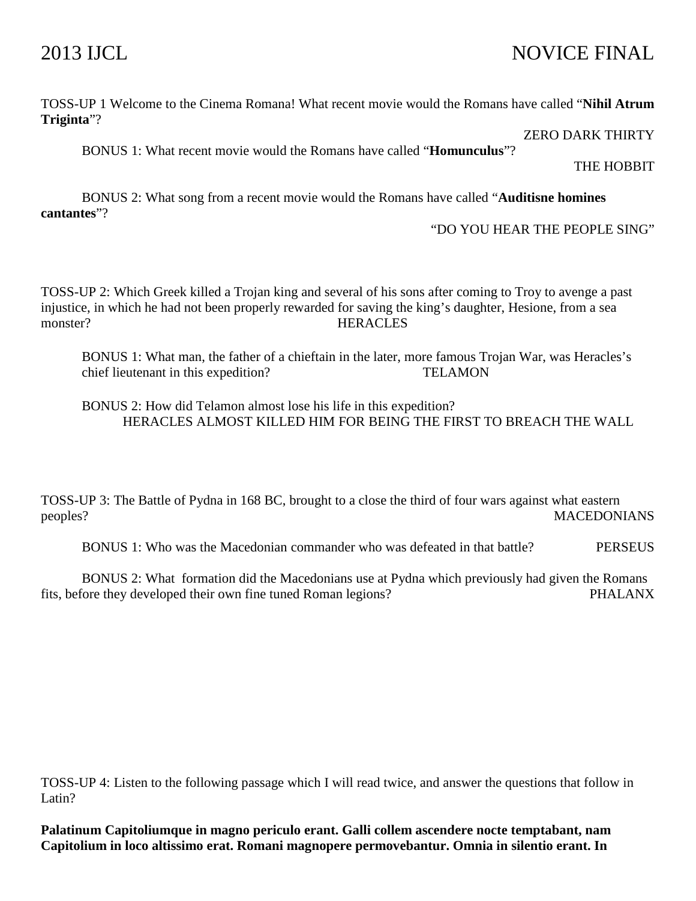## 2013 IJCL NOVICE FINAL

## TOSS-UP 1 Welcome to the Cinema Romana! What recent movie would the Romans have called "**Nihil Atrum Triginta**"?

ZERO DARK THIRTY

BONUS 1: What recent movie would the Romans have called "**Homunculus**"?

THE HOBBIT

 BONUS 2: What song from a recent movie would the Romans have called "**Auditisne homines cantantes**"?

"DO YOU HEAR THE PEOPLE SING"

TOSS-UP 2: Which Greek killed a Trojan king and several of his sons after coming to Troy to avenge a past injustice, in which he had not been properly rewarded for saving the king's daughter, Hesione, from a sea monster? HERACLES

BONUS 1: What man, the father of a chieftain in the later, more famous Trojan War, was Heracles's chief lieutenant in this expedition? TELAMON

 BONUS 2: How did Telamon almost lose his life in this expedition? HERACLES ALMOST KILLED HIM FOR BEING THE FIRST TO BREACH THE WALL

TOSS-UP 3: The Battle of Pydna in 168 BC, brought to a close the third of four wars against what eastern peoples? MACEDONIANS

BONUS 1: Who was the Macedonian commander who was defeated in that battle? PERSEUS

 BONUS 2: What formation did the Macedonians use at Pydna which previously had given the Romans fits, before they developed their own fine tuned Roman legions? PHALANX

TOSS-UP 4: Listen to the following passage which I will read twice, and answer the questions that follow in Latin?

**Palatinum Capitoliumque in magno periculo erant. Galli collem ascendere nocte temptabant, nam Capitolium in loco altissimo erat. Romani magnopere permovebantur. Omnia in silentio erant. In**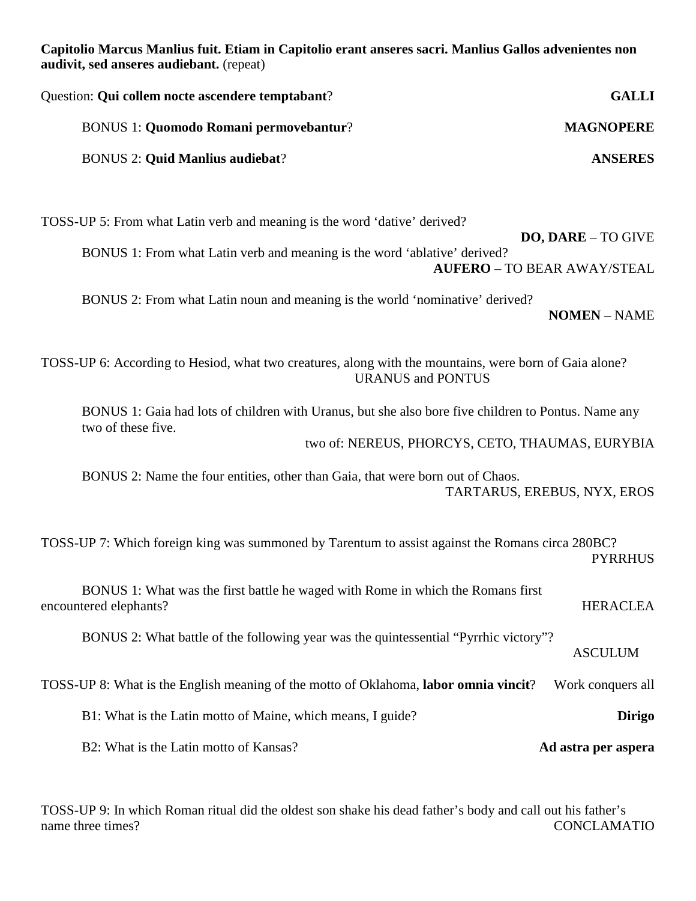**Capitolio Marcus Manlius fuit. Etiam in Capitolio erant anseres sacri. Manlius Gallos advenientes non audivit, sed anseres audiebant.** (repeat)

| <b>GALLI</b>     | Question: Qui collem nocte ascendere temptabant? |
|------------------|--------------------------------------------------|
| <b>MAGNOPERE</b> | <b>BONUS 1: Quomodo Romani permovebantur?</b>    |
| <b>ANSERES</b>   | <b>BONUS 2: Quid Manlius audiebat?</b>           |
|                  |                                                  |

TOSS-UP 5: From what Latin verb and meaning is the word 'dative' derived? **DO, DARE** – TO GIVE BONUS 1: From what Latin verb and meaning is the word 'ablative' derived? **AUFERO** – TO BEAR AWAY/STEAL

 BONUS 2: From what Latin noun and meaning is the world 'nominative' derived? **NOMEN** – NAME

TOSS-UP 6: According to Hesiod, what two creatures, along with the mountains, were born of Gaia alone? URANUS and PONTUS

BONUS 1: Gaia had lots of children with Uranus, but she also bore five children to Pontus. Name any two of these five.

two of: NEREUS, PHORCYS, CETO, THAUMAS, EURYBIA

BONUS 2: Name the four entities, other than Gaia, that were born out of Chaos. TARTARUS, EREBUS, NYX, EROS

TOSS-UP 7: Which foreign king was summoned by Tarentum to assist against the Romans circa 280BC? PYRRHUS

| BONUS 1: What was the first battle he waged with Rome in which the Romans first<br>encountered elephants? | <b>HERACLEA</b>     |
|-----------------------------------------------------------------------------------------------------------|---------------------|
| BONUS 2: What battle of the following year was the quintessential "Pyrrhic victory"?                      | <b>ASCULUM</b>      |
| TOSS-UP 8: What is the English meaning of the motto of Oklahoma, labor omnia vincit?                      | Work conquers all   |
| B1: What is the Latin motto of Maine, which means, I guide?                                               | <b>Dirigo</b>       |
| B2: What is the Latin motto of Kansas?                                                                    | Ad astra per aspera |

TOSS-UP 9: In which Roman ritual did the oldest son shake his dead father's body and call out his father's name three times? CONCLAMATIO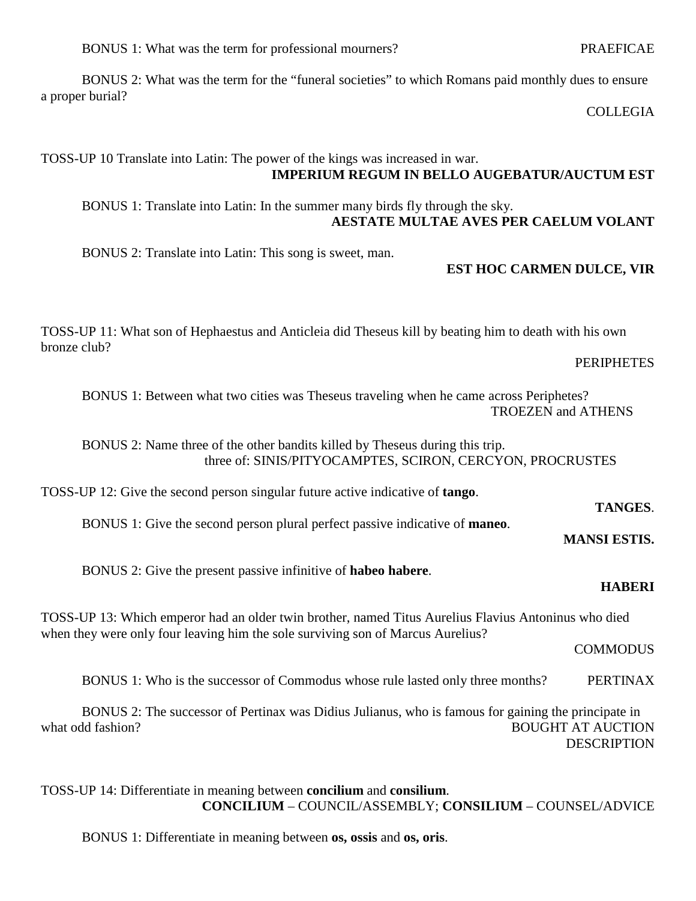BONUS 1: What was the term for professional mourners? PRAEFICAE

 BONUS 2: What was the term for the "funeral societies" to which Romans paid monthly dues to ensure a proper burial?

COLLEGIA

## TOSS-UP 10 Translate into Latin: The power of the kings was increased in war. **IMPERIUM REGUM IN BELLO AUGEBATUR/AUCTUM EST**

 BONUS 1: Translate into Latin: In the summer many birds fly through the sky. **AESTATE MULTAE AVES PER CAELUM VOLANT** 

BONUS 2: Translate into Latin: This song is sweet, man.

## **EST HOC CARMEN DULCE, VIR**

TOSS-UP 11: What son of Hephaestus and Anticleia did Theseus kill by beating him to death with his own bronze club?

PERIPHETES

BONUS 1: Between what two cities was Theseus traveling when he came across Periphetes? TROEZEN and ATHENS

 BONUS 2: Name three of the other bandits killed by Theseus during this trip. three of: SINIS/PITYOCAMPTES, SCIRON, CERCYON, PROCRUSTES

TOSS-UP 12: Give the second person singular future active indicative of **tango**.

 **TANGES**. BONUS 1: Give the second person plural perfect passive indicative of **maneo**.

**MANSI ESTIS.** 

BONUS 2: Give the present passive infinitive of **habeo habere**.

## **HABERI**

TOSS-UP 13: Which emperor had an older twin brother, named Titus Aurelius Flavius Antoninus who died when they were only four leaving him the sole surviving son of Marcus Aurelius?

COMMODUS

BONUS 1: Who is the successor of Commodus whose rule lasted only three months? PERTINAX

 BONUS 2: The successor of Pertinax was Didius Julianus, who is famous for gaining the principate in what odd fashion? BOUGHT AT AUCTION **DESCRIPTION** 

TOSS-UP 14: Differentiate in meaning between **concilium** and **consilium**. **CONCILIUM** – COUNCIL/ASSEMBLY; **CONSILIUM** – COUNSEL/ADVICE

BONUS 1: Differentiate in meaning between **os, ossis** and **os, oris**.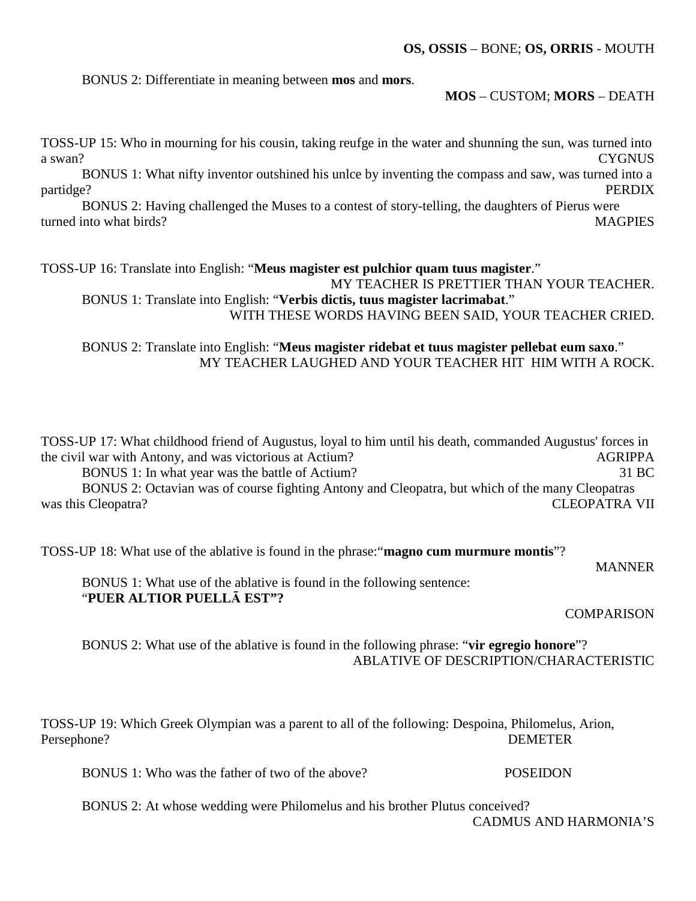BONUS 2: Differentiate in meaning between **mos** and **mors**.

## **MOS** – CUSTOM; **MORS** – DEATH

TOSS-UP 15: Who in mourning for his cousin, taking reufge in the water and shunning the sun, was turned into a swan? CYGNUS

 BONUS 1: What nifty inventor outshined his unlce by inventing the compass and saw, was turned into a partidge? PERDIX

 BONUS 2: Having challenged the Muses to a contest of story-telling, the daughters of Pierus were turned into what birds? MAGPIES

TOSS-UP 16: Translate into English: "**Meus magister est pulchior quam tuus magister**." MY TEACHER IS PRETTIER THAN YOUR TEACHER. BONUS 1: Translate into English: "**Verbis dictis, tuus magister lacrimabat**."

WITH THESE WORDS HAVING BEEN SAID, YOUR TEACHER CRIED.

 BONUS 2: Translate into English: "**Meus magister ridebat et tuus magister pellebat eum saxo**." MY TEACHER LAUGHED AND YOUR TEACHER HIT HIM WITH A ROCK.

TOSS-UP 17: What childhood friend of Augustus, loyal to him until his death, commanded Augustus' forces in the civil war with Antony, and was victorious at Actium? AGRIPPA BONUS 1: In what year was the battle of Actium? 31 BC

 BONUS 2: Octavian was of course fighting Antony and Cleopatra, but which of the many Cleopatras was this Cleopatra? CLEOPATRA VII

TOSS-UP 18: What use of the ablative is found in the phrase:"**magno cum murmure montis**"?

MANNER

 BONUS 1: What use of the ablative is found in the following sentence: "**PUER ALTIOR PUELLĀ EST"?** 

COMPARISON

 BONUS 2: What use of the ablative is found in the following phrase: "**vir egregio honore**"? ABLATIVE OF DESCRIPTION/CHARACTERISTIC

TOSS-UP 19: Which Greek Olympian was a parent to all of the following: Despoina, Philomelus, Arion, Persephone? DEMETER

BONUS 1: Who was the father of two of the above? POSEIDON

BONUS 2: At whose wedding were Philomelus and his brother Plutus conceived?

CADMUS AND HARMONIA'S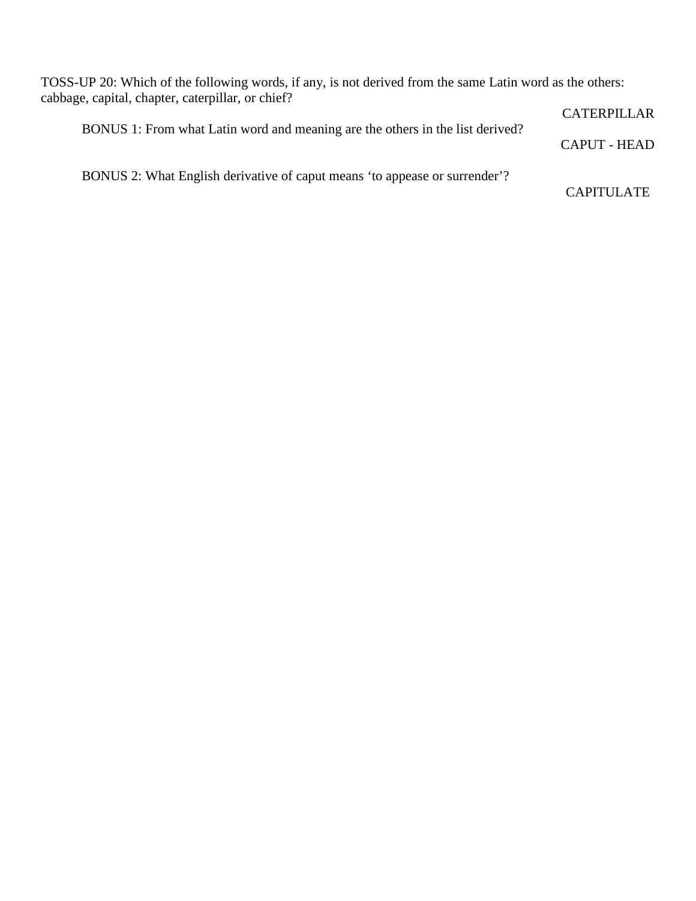TOSS-UP 20: Which of the following words, if any, is not derived from the same Latin word as the others: cabbage, capital, chapter, caterpillar, or chief?

|                                                                               | CATERPILLAR  |
|-------------------------------------------------------------------------------|--------------|
| BONUS 1: From what Latin word and meaning are the others in the list derived? |              |
|                                                                               | CAPUT - HEAD |

BONUS 2: What English derivative of caput means 'to appease or surrender'?

CAPITULATE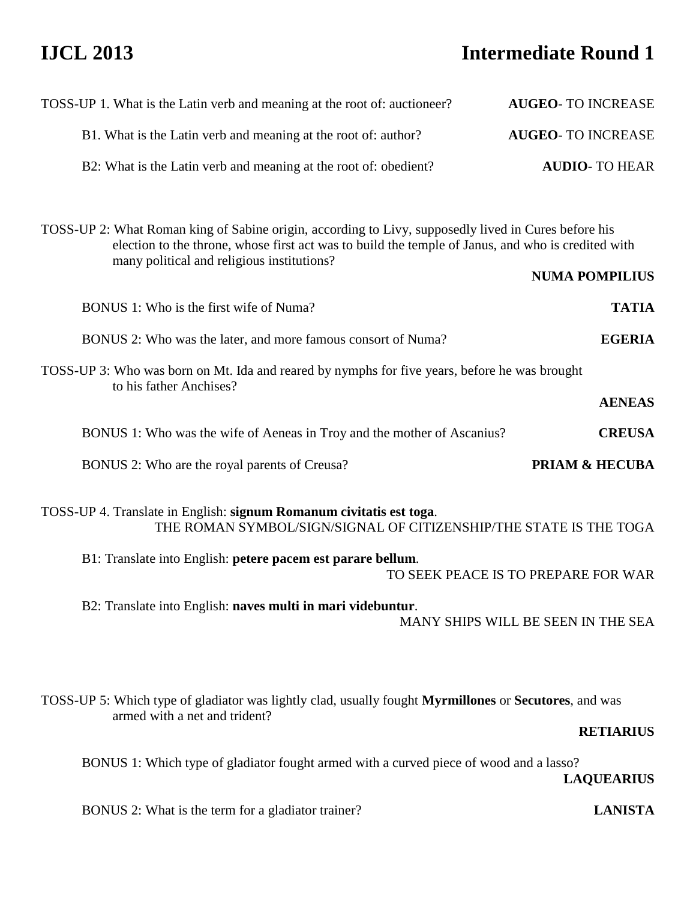# **IJCL 2013 Intermediate Round 1**

| <b>AUGEO-TO INCREASE</b>                                                                           |  |
|----------------------------------------------------------------------------------------------------|--|
| <b>AUGEO-TO INCREASE</b>                                                                           |  |
| <b>AUDIO-TO HEAR</b>                                                                               |  |
|                                                                                                    |  |
| <b>NUMA POMPILIUS</b>                                                                              |  |
| <b>TATIA</b>                                                                                       |  |
| <b>EGERIA</b>                                                                                      |  |
|                                                                                                    |  |
| <b>AENEAS</b>                                                                                      |  |
| <b>CREUSA</b>                                                                                      |  |
| <b>PRIAM &amp; HECUBA</b>                                                                          |  |
| THE ROMAN SYMBOL/SIGN/SIGNAL OF CITIZENSHIP/THE STATE IS THE TOGA                                  |  |
| B1: Translate into English: petere pacem est parare bellum.<br>TO SEEK PEACE IS TO PREPARE FOR WAR |  |
| MANY SHIPS WILL BE SEEN IN THE SEA                                                                 |  |
| <b>RETIARIUS</b>                                                                                   |  |
|                                                                                                    |  |
|                                                                                                    |  |

**LAQUEARIUS** 

BONUS 2: What is the term for a gladiator trainer? **LANISTA**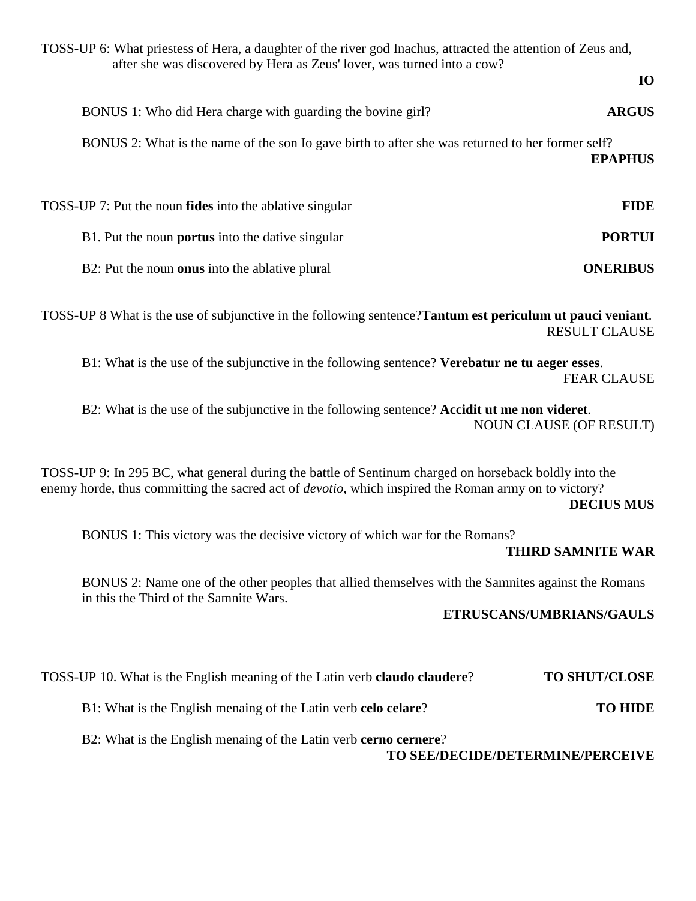TOSS-UP 6: What priestess of Hera, a daughter of the river god Inachus, attracted the attention of Zeus and, after she was discovered by Hera as Zeus' lover, was turned into a cow? **IO**  BONUS 1: Who did Hera charge with guarding the bovine girl? **ARGUS** BONUS 2: What is the name of the son Io gave birth to after she was returned to her former self? **EPAPHUS**  TOSS-UP 7: Put the noun **fides** into the ablative singular **FIDE** B1. Put the noun **portus** into the dative singular **PORTUI** B2: Put the noun **onus** into the ablative plural **ONERIBUS** TOSS-UP 8 What is the use of subjunctive in the following sentence?**Tantum est periculum ut pauci veniant**. RESULT CLAUSE B1: What is the use of the subjunctive in the following sentence? **Verebatur ne tu aeger esses**. FEAR CLAUSE B2: What is the use of the subjunctive in the following sentence? **Accidit ut me non videret**. NOUN CLAUSE (OF RESULT) TOSS-UP 9: In 295 BC, what general during the battle of Sentinum charged on horseback boldly into the enemy horde, thus committing the sacred act of *devotio*, which inspired the Roman army on to victory? **DECIUS MUS**  BONUS 1: This victory was the decisive victory of which war for the Romans? **THIRD SAMNITE WAR**  BONUS 2: Name one of the other peoples that allied themselves with the Samnites against the Romans in this the Third of the Samnite Wars. **ETRUSCANS/UMBRIANS/GAULS** 

TOSS-UP 10. What is the English meaning of the Latin verb **claudo claudere**? **TO SHUT/CLOSE**

B1: What is the English menaing of the Latin verb **celo celare**? **TO HIDE**

B2: What is the English menaing of the Latin verb **cerno cernere**?

**TO SEE/DECIDE/DETERMINE/PERCEIVE**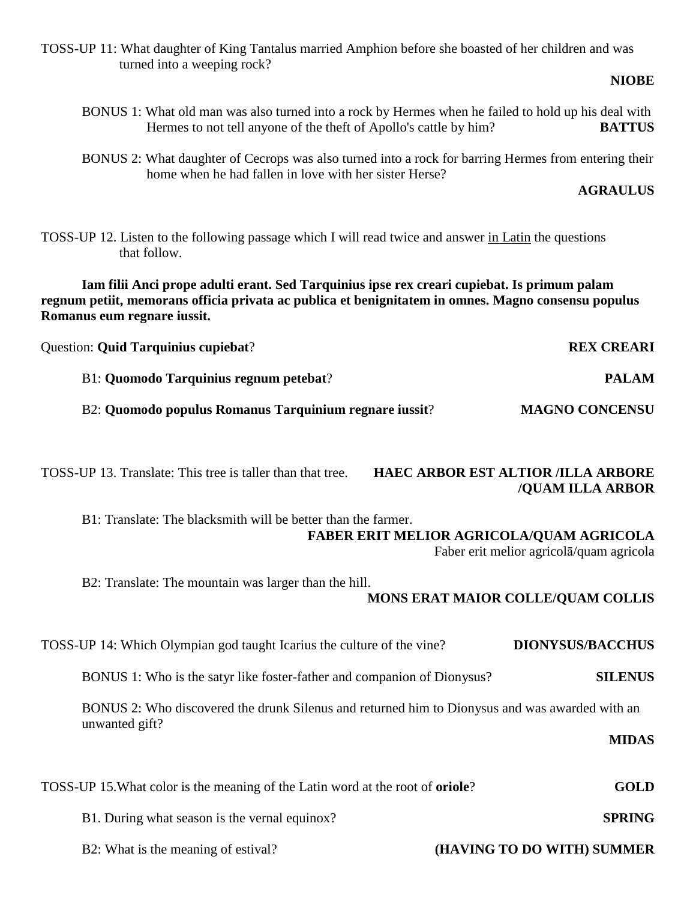TOSS-UP 11: What daughter of King Tantalus married Amphion before she boasted of her children and was turned into a weeping rock?

## **NIOBE**

- BONUS 1: What old man was also turned into a rock by Hermes when he failed to hold up his deal with Hermes to not tell anyone of the theft of Apollo's cattle by him? **BATTUS**
- BONUS 2: What daughter of Cecrops was also turned into a rock for barring Hermes from entering their home when he had fallen in love with her sister Herse?

**AGRAULUS** 

TOSS-UP 12. Listen to the following passage which I will read twice and answer in Latin the questions that follow.

**Iam filii Anci prope adulti erant. Sed Tarquinius ipse rex creari cupiebat. Is primum palam regnum petiit, memorans officia privata ac publica et benignitatem in omnes. Magno consensu populus Romanus eum regnare iussit.** 

| <b>Question: Quid Tarquinius cupiebat?</b>             | <b>REX CREARI</b>     |
|--------------------------------------------------------|-----------------------|
| <b>B1: Quomodo Tarquinius regnum petebat?</b>          | <b>PALAM</b>          |
| B2: Quomodo populus Romanus Tarquinium regnare iussit? | <b>MAGNO CONCENSU</b> |
|                                                        |                       |

TOSS-UP 13. Translate: This tree is taller than that tree. **HAEC ARBOR EST ALTIOR /ILLA ARBORE /QUAM ILLA ARBOR**

 B1: Translate: The blacksmith will be better than the farmer.  **FABER ERIT MELIOR AGRICOLA/QUAM AGRICOLA** 

Faber erit melior agricolā/quam agricola

B2: Translate: The mountain was larger than the hill.

## **MONS ERAT MAIOR COLLE/QUAM COLLIS**

TOSS-UP 14: Which Olympian god taught Icarius the culture of the vine? **DIONYSUS/BACCHUS**

BONUS 1: Who is the satyr like foster-father and companion of Dionysus? **SILENUS**

 BONUS 2: Who discovered the drunk Silenus and returned him to Dionysus and was awarded with an unwanted gift?

## TOSS-UP 15.What color is the meaning of the Latin word at the root of **oriole**? **GOLD**

**MIDAS** 

- B1. During what season is the vernal equinox? **SPRING**
	-

B2: What is the meaning of estival? **(HAVING TO DO WITH) SUMMER**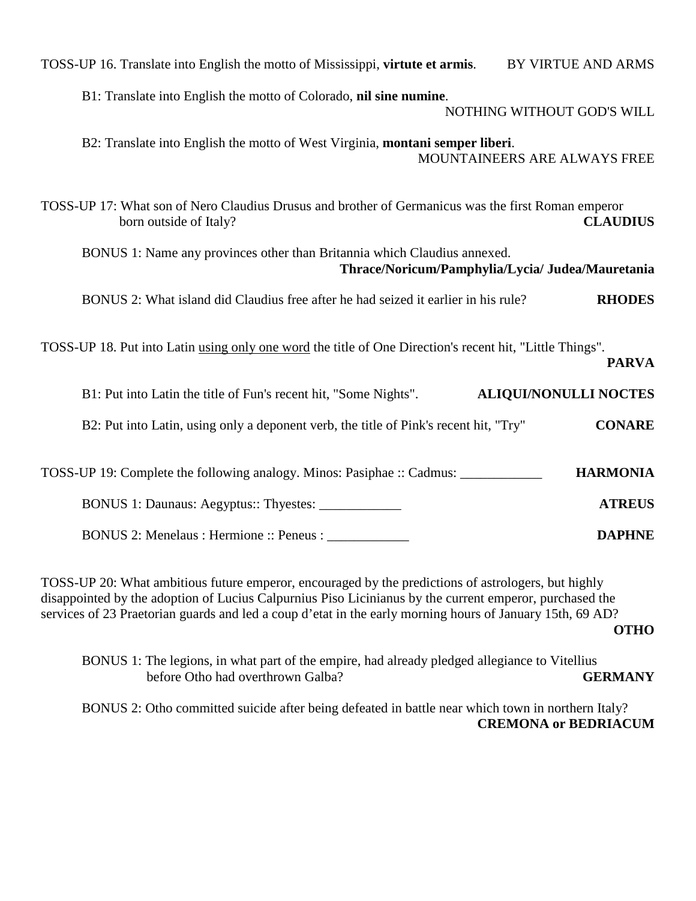| TOSS-UP 16. Translate into English the motto of Mississippi, virtute et armis.<br>BY VIRTUE AND ARMS                                            |
|-------------------------------------------------------------------------------------------------------------------------------------------------|
| B1: Translate into English the motto of Colorado, nil sine numine.<br>NOTHING WITHOUT GOD'S WILL                                                |
| B2: Translate into English the motto of West Virginia, montani semper liberi.<br>MOUNTAINEERS ARE ALWAYS FREE                                   |
| TOSS-UP 17: What son of Nero Claudius Drusus and brother of Germanicus was the first Roman emperor<br><b>CLAUDIUS</b><br>born outside of Italy? |
| BONUS 1: Name any provinces other than Britannia which Claudius annexed.<br>Thrace/Noricum/Pamphylia/Lycia/ Judea/Mauretania                    |
| BONUS 2: What island did Claudius free after he had seized it earlier in his rule?<br><b>RHODES</b>                                             |
| TOSS-UP 18. Put into Latin using only one word the title of One Direction's recent hit, "Little Things".<br><b>PARVA</b>                        |
| <b>ALIQUI/NONULLI NOCTES</b><br>B1: Put into Latin the title of Fun's recent hit, "Some Nights".                                                |
| <b>CONARE</b><br>B2: Put into Latin, using only a deponent verb, the title of Pink's recent hit, "Try"                                          |
| <b>HARMONIA</b><br>TOSS-UP 19: Complete the following analogy. Minos: Pasiphae :: Cadmus:                                                       |
| BONUS 1: Daunaus: Aegyptus:: Thyestes: _____________<br><b>ATREUS</b>                                                                           |
| BONUS 2: Menelaus : Hermione :: Peneus :<br><b>DAPHNE</b>                                                                                       |

TOSS-UP 20: What ambitious future emperor, encouraged by the predictions of astrologers, but highly disappointed by the adoption of Lucius Calpurnius Piso Licinianus by the current emperor, purchased the services of 23 Praetorian guards and led a coup d'etat in the early morning hours of January 15th, 69 AD? **OTHO** 

 BONUS 1: The legions, in what part of the empire, had already pledged allegiance to Vitellius before Otho had overthrown Galba? **GERMANY** 

 BONUS 2: Otho committed suicide after being defeated in battle near which town in northern Italy? **CREMONA or BEDRIACUM**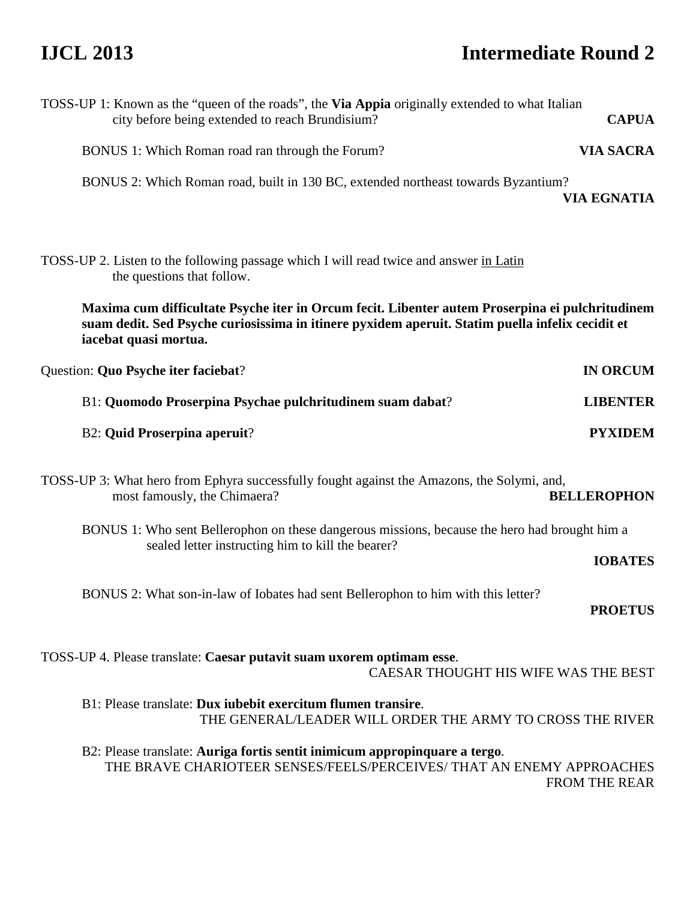# **IJCL 2013 Intermediate Round 2**

| TOSS-UP 1: Known as the "queen of the roads", the Via Appia originally extended to what Italian<br>city before being extended to reach Brundisium?                                                                           | <b>CAPUA</b>         |
|------------------------------------------------------------------------------------------------------------------------------------------------------------------------------------------------------------------------------|----------------------|
| BONUS 1: Which Roman road ran through the Forum?                                                                                                                                                                             | <b>VIA SACRA</b>     |
| BONUS 2: Which Roman road, built in 130 BC, extended northeast towards Byzantium?                                                                                                                                            | <b>VIA EGNATIA</b>   |
| TOSS-UP 2. Listen to the following passage which I will read twice and answer in Latin<br>the questions that follow.                                                                                                         |                      |
| Maxima cum difficultate Psyche iter in Orcum fecit. Libenter autem Proserpina ei pulchritudinem<br>suam dedit. Sed Psyche curiosissima in itinere pyxidem aperuit. Statim puella infelix cecidit et<br>iacebat quasi mortua. |                      |
| Question: Quo Psyche iter faciebat?                                                                                                                                                                                          | <b>IN ORCUM</b>      |
| B1: Quomodo Proserpina Psychae pulchritudinem suam dabat?                                                                                                                                                                    | <b>LIBENTER</b>      |
| <b>B2: Quid Proserpina aperuit?</b>                                                                                                                                                                                          | <b>PYXIDEM</b>       |
| TOSS-UP 3: What hero from Ephyra successfully fought against the Amazons, the Solymi, and,<br>most famously, the Chimaera?                                                                                                   | <b>BELLEROPHON</b>   |
| BONUS 1: Who sent Bellerophon on these dangerous missions, because the hero had brought him a<br>sealed letter instructing him to kill the bearer?                                                                           | <b>IOBATES</b>       |
| BONUS 2: What son-in-law of Iobates had sent Bellerophon to him with this letter?                                                                                                                                            | <b>PROETUS</b>       |
| TOSS-UP 4. Please translate: Caesar putavit suam uxorem optimam esse.<br>CAESAR THOUGHT HIS WIFE WAS THE BEST                                                                                                                |                      |
| B1: Please translate: Dux iubebit exercitum flumen transire.<br>THE GENERAL/LEADER WILL ORDER THE ARMY TO CROSS THE RIVER                                                                                                    |                      |
| B2: Please translate: Auriga fortis sentit inimicum appropinquare a tergo.<br>THE BRAVE CHARIOTEER SENSES/FEELS/PERCEIVES/ THAT AN ENEMY APPROACHES                                                                          | <b>FROM THE REAR</b> |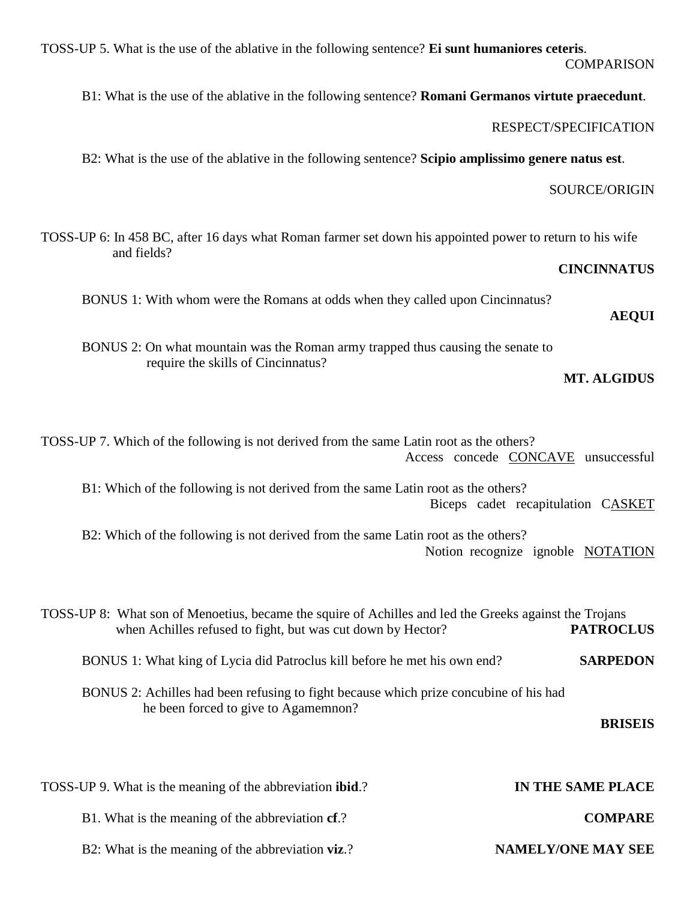| TOSS-UP 5. What is the use of the ablative in the following sentence? Ei sunt humaniores ceteris.<br><b>COMPARISON</b>                                                                    |
|-------------------------------------------------------------------------------------------------------------------------------------------------------------------------------------------|
| B1: What is the use of the ablative in the following sentence? Romani Germanos virtute praecedunt.                                                                                        |
| RESPECT/SPECIFICATION                                                                                                                                                                     |
| B2: What is the use of the ablative in the following sentence? Scipio amplissimo genere natus est.                                                                                        |
| SOURCE/ORIGIN                                                                                                                                                                             |
| TOSS-UP 6: In 458 BC, after 16 days what Roman farmer set down his appointed power to return to his wife<br>and fields?                                                                   |
| <b>CINCINNATUS</b>                                                                                                                                                                        |
| BONUS 1: With whom were the Romans at odds when they called upon Cincinnatus?<br><b>AEQUI</b>                                                                                             |
| BONUS 2: On what mountain was the Roman army trapped thus causing the senate to<br>require the skills of Cincinnatus?<br><b>MT. ALGIDUS</b>                                               |
| TOSS-UP 7. Which of the following is not derived from the same Latin root as the others?<br>Access concede CONCAVE unsuccessful                                                           |
| B1: Which of the following is not derived from the same Latin root as the others?<br>Biceps cadet recapitulation CASKET                                                                   |
| B2: Which of the following is not derived from the same Latin root as the others?<br>Notion recognize ignoble NOTATION                                                                    |
| TOSS-UP 8: What son of Menoetius, became the squire of Achilles and led the Greeks against the Trojans<br>when Achilles refused to fight, but was cut down by Hector?<br><b>PATROCLUS</b> |
| <b>SARPEDON</b><br>BONUS 1: What king of Lycia did Patroclus kill before he met his own end?                                                                                              |
| BONUS 2: Achilles had been refusing to fight because which prize concubine of his had<br>he been forced to give to Agamemnon?<br><b>BRISEIS</b>                                           |
| IN THE SAME PLACE<br>TOSS-UP 9. What is the meaning of the abbreviation <b>ibid</b> .?                                                                                                    |
| B1. What is the meaning of the abbreviation cf.?<br><b>COMPARE</b>                                                                                                                        |

B2: What is the meaning of the abbreviation **viz**.? **NAMELY/ONE MAY SEE**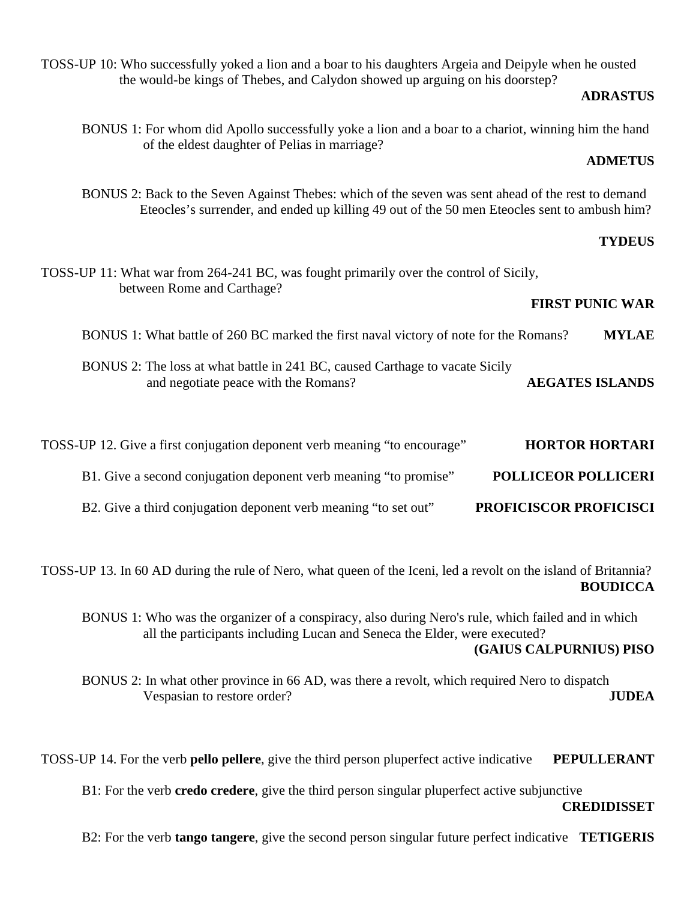TOSS-UP 10: Who successfully yoked a lion and a boar to his daughters Argeia and Deipyle when he ousted the would-be kings of Thebes, and Calydon showed up arguing on his doorstep?

## **ADRASTUS**

BONUS 1: For whom did Apollo successfully yoke a lion and a boar to a chariot, winning him the hand of the eldest daughter of Pelias in marriage?

## **ADMETUS**

BONUS 2: Back to the Seven Against Thebes: which of the seven was sent ahead of the rest to demand Eteocles's surrender, and ended up killing 49 out of the 50 men Eteocles sent to ambush him?

## **TYDEUS**

|                        |                            | TOSS-UP 11: What war from 264-241 BC, was fought primarily over the control of Sicily,<br>between Rome and Carthage? |
|------------------------|----------------------------|----------------------------------------------------------------------------------------------------------------------|
| <b>FIRST PUNIC WAR</b> |                            |                                                                                                                      |
| <b>MYLAE</b>           |                            | BONUS 1: What battle of 260 BC marked the first naval victory of note for the Romans?                                |
| <b>AEGATES ISLANDS</b> |                            | BONUS 2: The loss at what battle in 241 BC, caused Carthage to vacate Sicily<br>and negotiate peace with the Romans? |
| <b>HORTOR HORTARI</b>  |                            | TOSS-UP 12. Give a first conjugation deponent verb meaning "to encourage"                                            |
|                        | <b>POLLICEOR POLLICERI</b> | B1. Give a second conjugation deponent verb meaning "to promise"                                                     |
|                        | PROFICISCOR PROFICISCI     | B2. Give a third conjugation deponent verb meaning "to set out"                                                      |

TOSS-UP 13. In 60 AD during the rule of Nero, what queen of the Iceni, led a revolt on the island of Britannia? **BOUDICCA** 

 BONUS 1: Who was the organizer of a conspiracy, also during Nero's rule, which failed and in which all the participants including Lucan and Seneca the Elder, were executed? **(GAIUS CALPURNIUS) PISO** 

 BONUS 2: In what other province in 66 AD, was there a revolt, which required Nero to dispatch Vespasian to restore order? **JUDEA**

TOSS-UP 14. For the verb **pello pellere**, give the third person pluperfect active indicative **PEPULLERANT**

B1: For the verb **credo credere**, give the third person singular pluperfect active subjunctive

### **CREDIDISSET**

B2: For the verb **tango tangere**, give the second person singular future perfect indicative **TETIGERIS**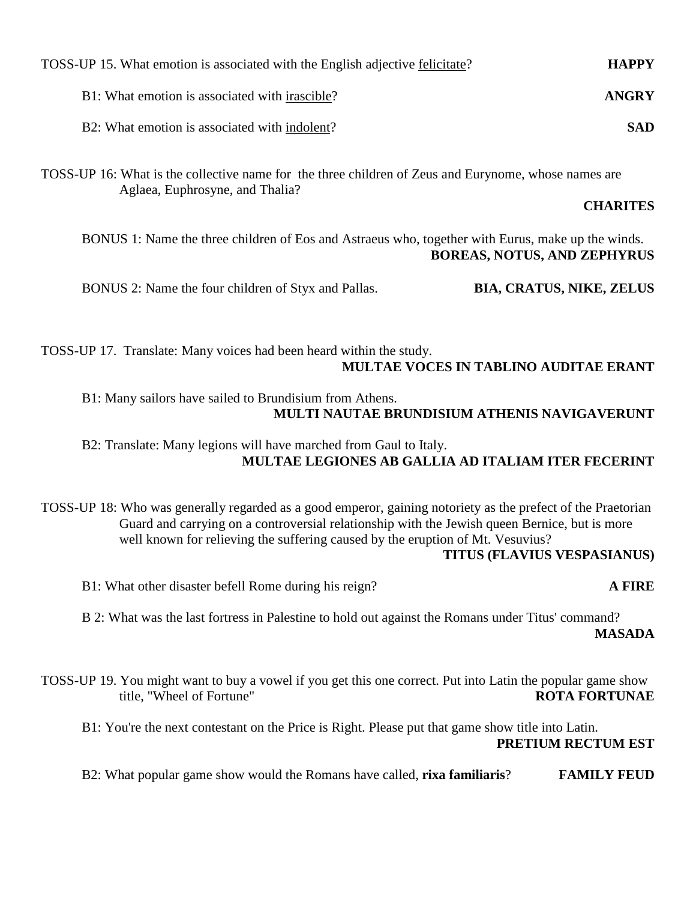| TOSS-UP 15. What emotion is associated with the English adjective felicitate? | <b>HAPPY</b> |
|-------------------------------------------------------------------------------|--------------|
| B1: What emotion is associated with irascible?                                | ANGRY        |
| B2: What emotion is associated with indolent?                                 | <b>SAD</b>   |

TOSS-UP 16: What is the collective name for the three children of Zeus and Eurynome, whose names are Aglaea, Euphrosyne, and Thalia?

## **CHARITES**

BONUS 1: Name the three children of Eos and Astraeus who, together with Eurus, make up the winds. **BOREAS, NOTUS, AND ZEPHYRUS** 

BONUS 2: Name the four children of Styx and Pallas. **BIA, CRATUS, NIKE, ZELUS**

TOSS-UP 17. Translate: Many voices had been heard within the study. **MULTAE VOCES IN TABLINO AUDITAE ERANT** 

 B1: Many sailors have sailed to Brundisium from Athens.  **MULTI NAUTAE BRUNDISIUM ATHENIS NAVIGAVERUNT** 

## B2: Translate: Many legions will have marched from Gaul to Italy.  **MULTAE LEGIONES AB GALLIA AD ITALIAM ITER FECERINT**

TOSS-UP 18: Who was generally regarded as a good emperor, gaining notoriety as the prefect of the Praetorian Guard and carrying on a controversial relationship with the Jewish queen Bernice, but is more well known for relieving the suffering caused by the eruption of Mt. Vesuvius?

## **TITUS (FLAVIUS VESPASIANUS)**

B1: What other disaster befell Rome during his reign? **A FIRE**

 B 2: What was the last fortress in Palestine to hold out against the Romans under Titus' command? **MASADA** 

TOSS-UP 19. You might want to buy a vowel if you get this one correct. Put into Latin the popular game show title, "Wheel of Fortune" **ROTA FORTUNAE**

 B1: You're the next contestant on the Price is Right. Please put that game show title into Latin. **PRETIUM RECTUM EST** 

B2: What popular game show would the Romans have called, **rixa familiaris**? **FAMILY FEUD**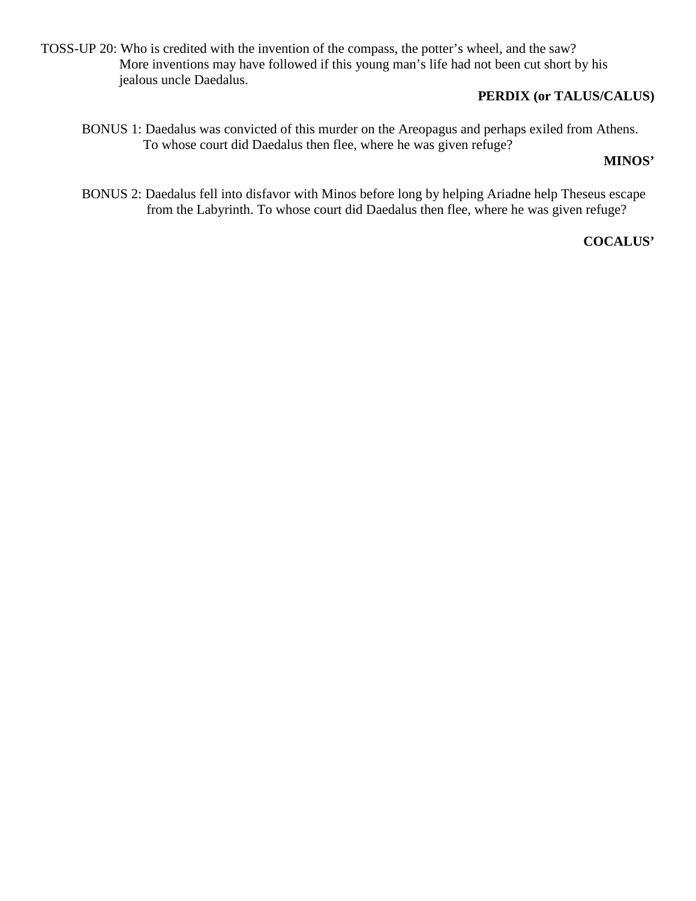TOSS-UP 20: Who is credited with the invention of the compass, the potter's wheel, and the saw? More inventions may have followed if this young man's life had not been cut short by his jealous uncle Daedalus.

## **PERDIX (or TALUS/CALUS)**

BONUS 1: Daedalus was convicted of this murder on the Areopagus and perhaps exiled from Athens. To whose court did Daedalus then flee, where he was given refuge?

## **MINOS'**

BONUS 2: Daedalus fell into disfavor with Minos before long by helping Ariadne help Theseus escape from the Labyrinth. To whose court did Daedalus then flee, where he was given refuge?

## **COCALUS'**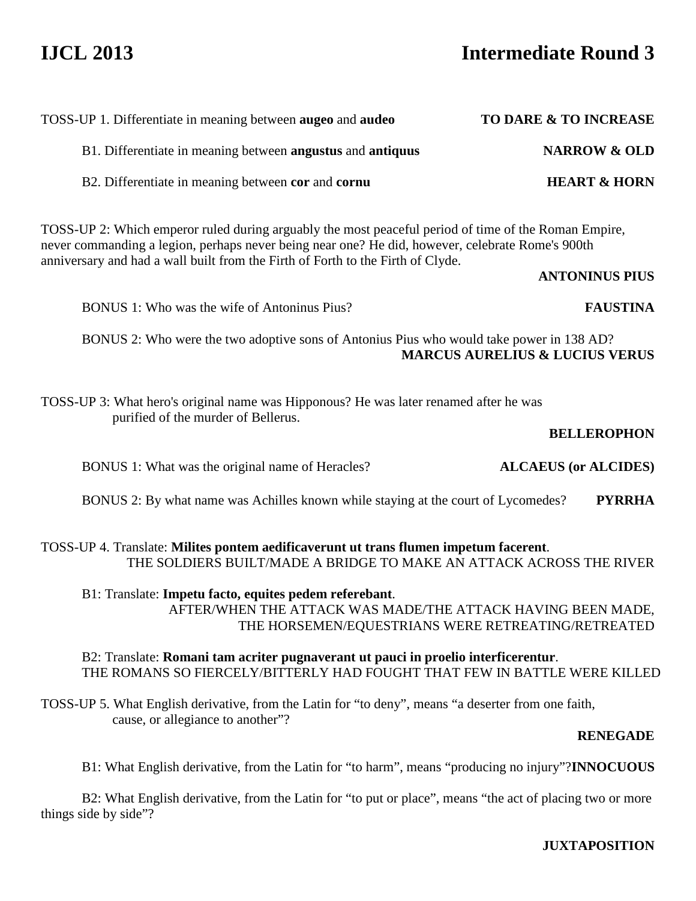# **IJCL 2013 Intermediate Round 3**

| TOSS-UP 1. Differentiate in meaning between augeo and audeo                                                                                                                                                                                                                                 | TO DARE & TO INCREASE                     |
|---------------------------------------------------------------------------------------------------------------------------------------------------------------------------------------------------------------------------------------------------------------------------------------------|-------------------------------------------|
| B1. Differentiate in meaning between angustus and antiquus                                                                                                                                                                                                                                  | <b>NARROW &amp; OLD</b>                   |
| B2. Differentiate in meaning between cor and cornu                                                                                                                                                                                                                                          | <b>HEART &amp; HORN</b>                   |
| TOSS-UP 2: Which emperor ruled during arguably the most peaceful period of time of the Roman Empire,<br>never commanding a legion, perhaps never being near one? He did, however, celebrate Rome's 900th<br>anniversary and had a wall built from the Firth of Forth to the Firth of Clyde. | <b>ANTONINUS PIUS</b>                     |
| BONUS 1: Who was the wife of Antoninus Pius?                                                                                                                                                                                                                                                | <b>FAUSTINA</b>                           |
| BONUS 2: Who were the two adoptive sons of Antonius Pius who would take power in 138 AD?                                                                                                                                                                                                    | <b>MARCUS AURELIUS &amp; LUCIUS VERUS</b> |
| TOSS-UP 3: What hero's original name was Hipponous? He was later renamed after he was<br>purified of the murder of Bellerus.                                                                                                                                                                | <b>BELLEROPHON</b>                        |
| BONUS 1: What was the original name of Heracles?                                                                                                                                                                                                                                            | <b>ALCAEUS</b> (or <b>ALCIDES</b> )       |
| BONUS 2: By what name was Achilles known while staying at the court of Lycomedes?                                                                                                                                                                                                           | <b>PYRRHA</b>                             |
| TOSS-UP 4. Translate: Milites pontem aedificaverunt ut trans flumen impetum facerent.<br>THE SOLDIERS BUILT/MADE A BRIDGE TO MAKE AN ATTACK ACROSS THE RIVER<br>B1: Translate: Impetu facto, equites pedem referebant.                                                                      |                                           |
| AFTER/WHEN THE ATTACK WAS MADE/THE ATTACK HAVING BEEN MADE,                                                                                                                                                                                                                                 |                                           |
| THE HORSEMEN/EQUESTRIANS WERE RETREATING/RETREATED                                                                                                                                                                                                                                          |                                           |

## B2: Translate: **Romani tam acriter pugnaverant ut pauci in proelio interficerentur**. THE ROMANS SO FIERCELY/BITTERLY HAD FOUGHT THAT FEW IN BATTLE WERE KILLED

TOSS-UP 5. What English derivative, from the Latin for "to deny", means "a deserter from one faith, cause, or allegiance to another"?

## **RENEGADE**

B1: What English derivative, from the Latin for "to harm", means "producing no injury"?**INNOCUOUS**

 B2: What English derivative, from the Latin for "to put or place", means "the act of placing two or more things side by side"?

**JUXTAPOSITION**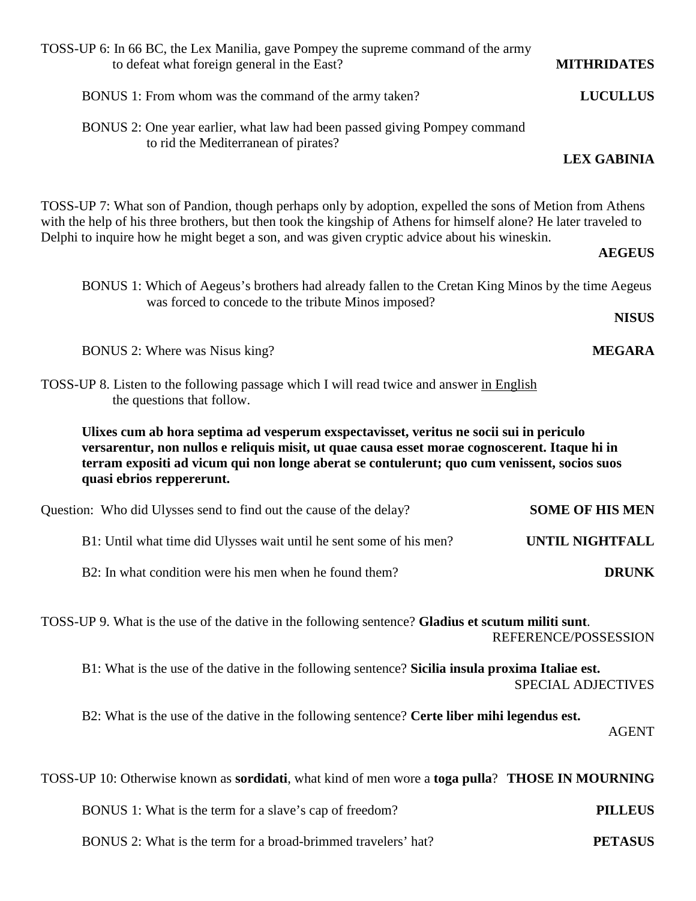| TOSS-UP 6: In 66 BC, the Lex Manilia, gave Pompey the supreme command of the army<br>to defeat what foreign general in the East?                                                                                                                                                                                              | <b>MITHRIDATES</b>        |
|-------------------------------------------------------------------------------------------------------------------------------------------------------------------------------------------------------------------------------------------------------------------------------------------------------------------------------|---------------------------|
| BONUS 1: From whom was the command of the army taken?                                                                                                                                                                                                                                                                         | <b>LUCULLUS</b>           |
| BONUS 2: One year earlier, what law had been passed giving Pompey command<br>to rid the Mediterranean of pirates?                                                                                                                                                                                                             | <b>LEX GABINIA</b>        |
| TOSS-UP 7: What son of Pandion, though perhaps only by adoption, expelled the sons of Metion from Athens<br>with the help of his three brothers, but then took the kingship of Athens for himself alone? He later traveled to<br>Delphi to inquire how he might beget a son, and was given cryptic advice about his wineskin. | <b>AEGEUS</b>             |
| BONUS 1: Which of Aegeus's brothers had already fallen to the Cretan King Minos by the time Aegeus<br>was forced to concede to the tribute Minos imposed?                                                                                                                                                                     | <b>NISUS</b>              |
| BONUS 2: Where was Nisus king?                                                                                                                                                                                                                                                                                                | <b>MEGARA</b>             |
| TOSS-UP 8. Listen to the following passage which I will read twice and answer in English<br>the questions that follow.                                                                                                                                                                                                        |                           |
| Ulixes cum ab hora septima ad vesperum exspectavisset, veritus ne socii sui in periculo<br>versarentur, non nullos e reliquis misit, ut quae causa esset morae cognoscerent. Itaque hi in<br>terram expositi ad vicum qui non longe aberat se contulerunt; quo cum venissent, socios suos<br>quasi ebrios reppererunt.        |                           |
| Question: Who did Ulysses send to find out the cause of the delay?                                                                                                                                                                                                                                                            | <b>SOME OF HIS MEN</b>    |
| B1: Until what time did Ulysses wait until he sent some of his men?                                                                                                                                                                                                                                                           | UNTIL NIGHTFALL           |
| B2: In what condition were his men when he found them?                                                                                                                                                                                                                                                                        | <b>DRUNK</b>              |
| TOSS-UP 9. What is the use of the dative in the following sentence? Gladius et scutum militi sunt.<br>REFERENCE/POSSESSION                                                                                                                                                                                                    |                           |
| B1: What is the use of the dative in the following sentence? Sicilia insula proxima Italiae est.                                                                                                                                                                                                                              | <b>SPECIAL ADJECTIVES</b> |
| B2: What is the use of the dative in the following sentence? Certe liber mihi legendus est.                                                                                                                                                                                                                                   | <b>AGENT</b>              |
| TOSS-UP 10: Otherwise known as sordidati, what kind of men wore a toga pulla? THOSE IN MOURNING                                                                                                                                                                                                                               |                           |
| BONUS 1: What is the term for a slave's cap of freedom?                                                                                                                                                                                                                                                                       | <b>PILLEUS</b>            |
| BONUS 2: What is the term for a broad-brimmed travelers' hat?                                                                                                                                                                                                                                                                 | <b>PETASUS</b>            |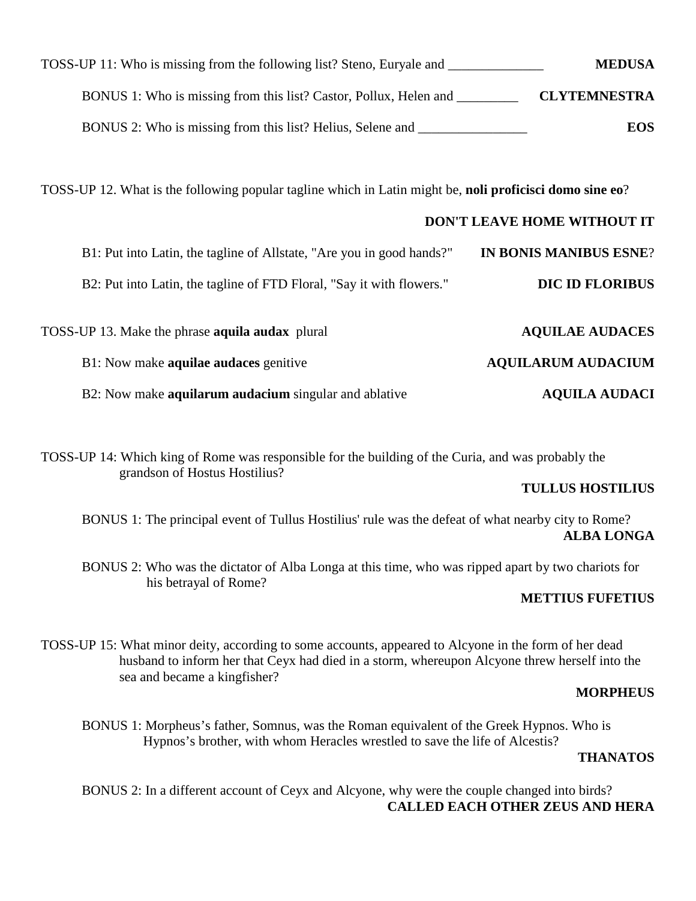| <b>MEDUSA</b>       | TOSS-UP 11: Who is missing from the following list? Steno, Euryale and |
|---------------------|------------------------------------------------------------------------|
| <b>CLYTEMNESTRA</b> | BONUS 1: Who is missing from this list? Castor, Pollux, Helen and      |
| <b>EOS</b>          | BONUS 2: Who is missing from this list? Helius, Selene and             |

TOSS-UP 12. What is the following popular tagline which in Latin might be, **noli proficisci domo sine eo**?

| <b>DON'T LEAVE HOME WITHOUT IT</b> |                                                                       |
|------------------------------------|-----------------------------------------------------------------------|
| <b>IN BONIS MANIBUS ESNE?</b>      | B1: Put into Latin, the tagline of Allstate, "Are you in good hands?" |
| <b>DIC ID FLORIBUS</b>             | B2: Put into Latin, the tagline of FTD Floral, "Say it with flowers." |
| <b>AQUILAE AUDACES</b>             | TOSS-UP 13. Make the phrase <b>aquila audax</b> plural                |
| <b>AQUILARUM AUDACIUM</b>          | B1: Now make <b>aquilae audaces</b> genitive                          |
| <b>AQUILA AUDACI</b>               | B2: Now make <b>aquilarum audacium</b> singular and ablative          |

TOSS-UP 14: Which king of Rome was responsible for the building of the Curia, and was probably the grandson of Hostus Hostilius?

## **TULLUS HOSTILIUS**

 BONUS 1: The principal event of Tullus Hostilius' rule was the defeat of what nearby city to Rome? **ALBA LONGA** 

 BONUS 2: Who was the dictator of Alba Longa at this time, who was ripped apart by two chariots for his betrayal of Rome?

## **METTIUS FUFETIUS**

TOSS-UP 15: What minor deity, according to some accounts, appeared to Alcyone in the form of her dead husband to inform her that Ceyx had died in a storm, whereupon Alcyone threw herself into the sea and became a kingfisher?

## **MORPHEUS**

BONUS 1: Morpheus's father, Somnus, was the Roman equivalent of the Greek Hypnos. Who is Hypnos's brother, with whom Heracles wrestled to save the life of Alcestis?

## **THANATOS**

 BONUS 2: In a different account of Ceyx and Alcyone, why were the couple changed into birds? **CALLED EACH OTHER ZEUS AND HERA**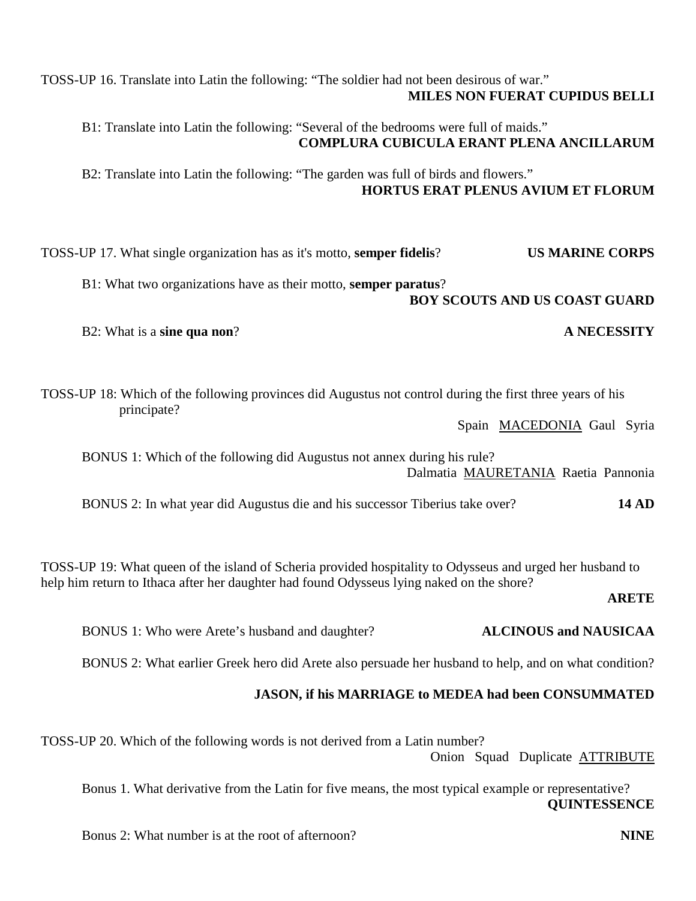**COMPLURA CUBICULA ERANT PLENA ANCILLARUM**  B2: Translate into Latin the following: "The garden was full of birds and flowers."  **HORTUS ERAT PLENUS AVIUM ET FLORUM**  TOSS-UP 17. What single organization has as it's motto, **semper fidelis**? **US MARINE CORPS** B1: What two organizations have as their motto, **semper paratus**? **BOY SCOUTS AND US COAST GUARD**  B2: What is a **sine qua non**? **A NECESSITY** TOSS-UP 18: Which of the following provinces did Augustus not control during the first three years of his principate? Spain MACEDONIA Gaul Syria BONUS 1: Which of the following did Augustus not annex during his rule? Dalmatia MAURETANIA Raetia Pannonia BONUS 2: In what year did Augustus die and his successor Tiberius take over? **14 AD** TOSS-UP 19: What queen of the island of Scheria provided hospitality to Odysseus and urged her husband to help him return to Ithaca after her daughter had found Odysseus lying naked on the shore? **ARETE** BONUS 1: Who were Arete's husband and daughter? **ALCINOUS and NAUSICAA** BONUS 2: What earlier Greek hero did Arete also persuade her husband to help, and on what condition? **JASON, if his MARRIAGE to MEDEA had been CONSUMMATED** TOSS-UP 20. Which of the following words is not derived from a Latin number? Onion Squad Duplicate ATTRIBUTE Bonus 1. What derivative from the Latin for five means, the most typical example or representative? **QUINTESSENCE** 

TOSS-UP 16. Translate into Latin the following: "The soldier had not been desirous of war."

B1: Translate into Latin the following: "Several of the bedrooms were full of maids."

 **MILES NON FUERAT CUPIDUS BELLI** 

Bonus 2: What number is at the root of afternoon? **NINE**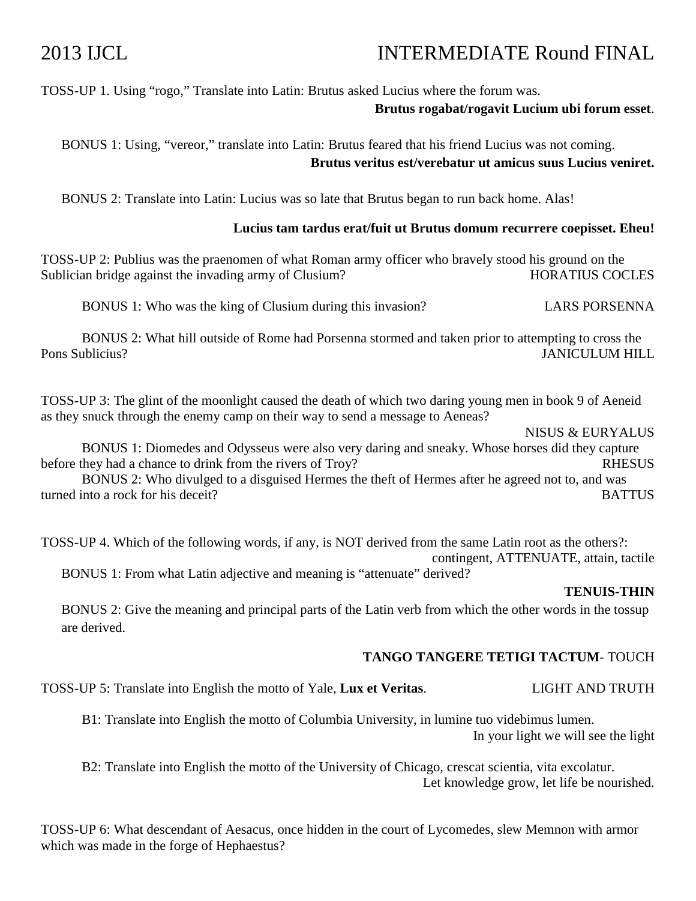# 2013 IJCL INTERMEDIATE Round FINAL

## TOSS-UP 1. Using "rogo," Translate into Latin: Brutus asked Lucius where the forum was.

## **Brutus rogabat/rogavit Lucium ubi forum esset**.

BONUS 1: Using, "vereor," translate into Latin: Brutus feared that his friend Lucius was not coming. **Brutus veritus est/verebatur ut amicus suus Lucius veniret.** 

BONUS 2: Translate into Latin: Lucius was so late that Brutus began to run back home. Alas!

## **Lucius tam tardus erat/fuit ut Brutus domum recurrere coepisset. Eheu!**

TOSS-UP 2: Publius was the praenomen of what Roman army officer who bravely stood his ground on the Sublician bridge against the invading army of Clusium? HORATIUS COCLES

BONUS 1: Who was the king of Clusium during this invasion? LARS PORSENNA

 BONUS 2: What hill outside of Rome had Porsenna stormed and taken prior to attempting to cross the Pons Sublicius? JANICULUM HILL

TOSS-UP 3: The glint of the moonlight caused the death of which two daring young men in book 9 of Aeneid as they snuck through the enemy camp on their way to send a message to Aeneas?

NISUS & EURYALUS

 BONUS 1: Diomedes and Odysseus were also very daring and sneaky. Whose horses did they capture before they had a chance to drink from the rivers of Troy? RHESUS

 BONUS 2: Who divulged to a disguised Hermes the theft of Hermes after he agreed not to, and was turned into a rock for his deceit? BATTUS

TOSS-UP 4. Which of the following words, if any, is NOT derived from the same Latin root as the others?: contingent, ATTENUATE, attain, tactile

BONUS 1: From what Latin adjective and meaning is "attenuate" derived?

## **TENUIS-THIN**

BONUS 2: Give the meaning and principal parts of the Latin verb from which the other words in the tossup are derived.

## **TANGO TANGERE TETIGI TACTUM**- TOUCH

TOSS-UP 5: Translate into English the motto of Yale, **Lux et Veritas**. LIGHT AND TRUTH

 B1: Translate into English the motto of Columbia University, in lumine tuo videbimus lumen. In your light we will see the light

 B2: Translate into English the motto of the University of Chicago, crescat scientia, vita excolatur. Let knowledge grow, let life be nourished.

TOSS-UP 6: What descendant of Aesacus, once hidden in the court of Lycomedes, slew Memnon with armor which was made in the forge of Hephaestus?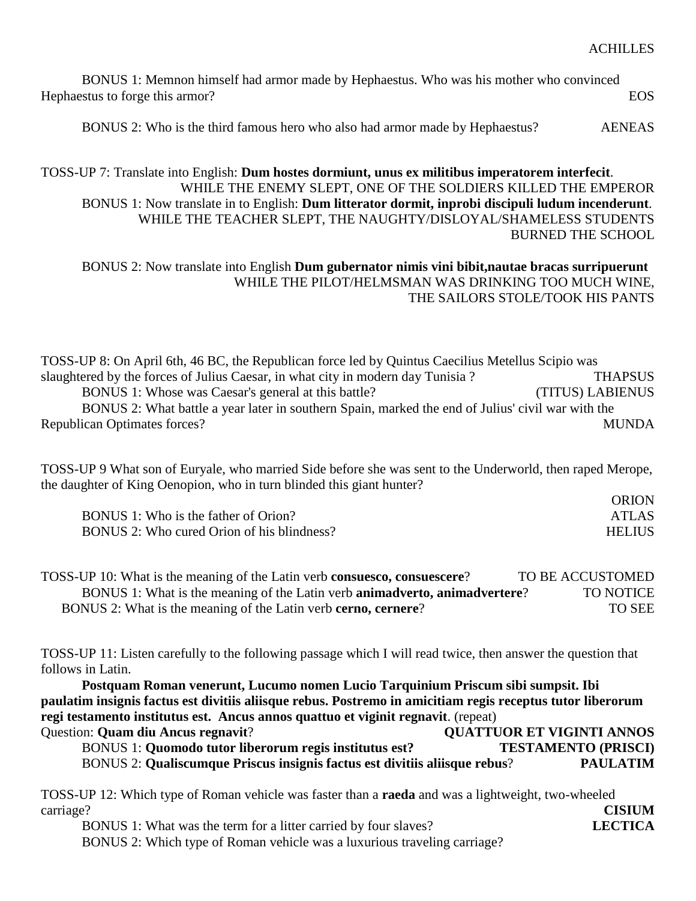| BONUS 1: Memnon himself had armor made by Hephaestus. Who was his mother who convinced |      |
|----------------------------------------------------------------------------------------|------|
| Hephaestus to forge this armor?                                                        | EOS. |
|                                                                                        |      |

BONUS 2: Who is the third famous hero who also had armor made by Hephaestus? AENEAS

## TOSS-UP 7: Translate into English: **Dum hostes dormiunt, unus ex militibus imperatorem interfecit**. WHILE THE ENEMY SLEPT, ONE OF THE SOLDIERS KILLED THE EMPEROR BONUS 1: Now translate in to English: **Dum litterator dormit, inprobi discipuli ludum incenderunt**. WHILE THE TEACHER SLEPT, THE NAUGHTY/DISLOYAL/SHAMELESS STUDENTS BURNED THE SCHOOL

## BONUS 2: Now translate into English **Dum gubernator nimis vini bibit,nautae bracas surripuerunt** WHILE THE PILOT/HELMSMAN WAS DRINKING TOO MUCH WINE, THE SAILORS STOLE/TOOK HIS PANTS

TOSS-UP 8: On April 6th, 46 BC, the Republican force led by Quintus Caecilius Metellus Scipio was slaughtered by the forces of Julius Caesar, in what city in modern day Tunisia ? THAPSUS BONUS 1: Whose was Caesar's general at this battle? (TITUS) LABIENUS BONUS 2: What battle a year later in southern Spain, marked the end of Julius' civil war with the Republican Optimates forces? MUNDA

TOSS-UP 9 What son of Euryale, who married Side before she was sent to the Underworld, then raped Merope, the daughter of King Oenopion, who in turn blinded this giant hunter?

|                                            | <b>ORION</b>  |
|--------------------------------------------|---------------|
| BONUS 1: Who is the father of Orion?       | <b>ATLAS</b>  |
| BONUS 2: Who cured Orion of his blindness? | <b>HELIUS</b> |

| TOSS-UP 10: What is the meaning of the Latin verb consuesco, consuescere?                  | TO BE ACCUSTOMED |
|--------------------------------------------------------------------------------------------|------------------|
| BONUS 1: What is the meaning of the Latin verb <b>animadverto</b> , <b>animadvertere</b> ? | <b>TO NOTICE</b> |
| BONUS 2: What is the meaning of the Latin verb cerno, cernere?                             | TO SEE           |

TOSS-UP 11: Listen carefully to the following passage which I will read twice, then answer the question that follows in Latin.

**Postquam Roman venerunt, Lucumo nomen Lucio Tarquinium Priscum sibi sumpsit. Ibi paulatim insignis factus est divitiis aliisque rebus. Postremo in amicitiam regis receptus tutor liberorum regi testamento institutus est. Ancus annos quattuo et viginit regnavit**. (repeat) Question: **Quam diu Ancus regnavit**? **QUATTUOR ET VIGINTI ANNOS**

 BONUS 1: **Quomodo tutor liberorum regis institutus est? TESTAMENTO (PRISCI)** BONUS 2: **Qualiscumque Priscus insignis factus est divitiis aliisque rebus**? **PAULATIM**

| TOSS-UP 12: Which type of Roman vehicle was faster than a <b>raeda</b> and was a lightweight, two-wheeled |               |
|-----------------------------------------------------------------------------------------------------------|---------------|
| carriage?                                                                                                 | <b>CISIUM</b> |
| BONUS 1: What was the term for a litter carried by four slaves?                                           | LECTICA       |
| BONUS 2: Which type of Roman vehicle was a luxurious traveling carriage?                                  |               |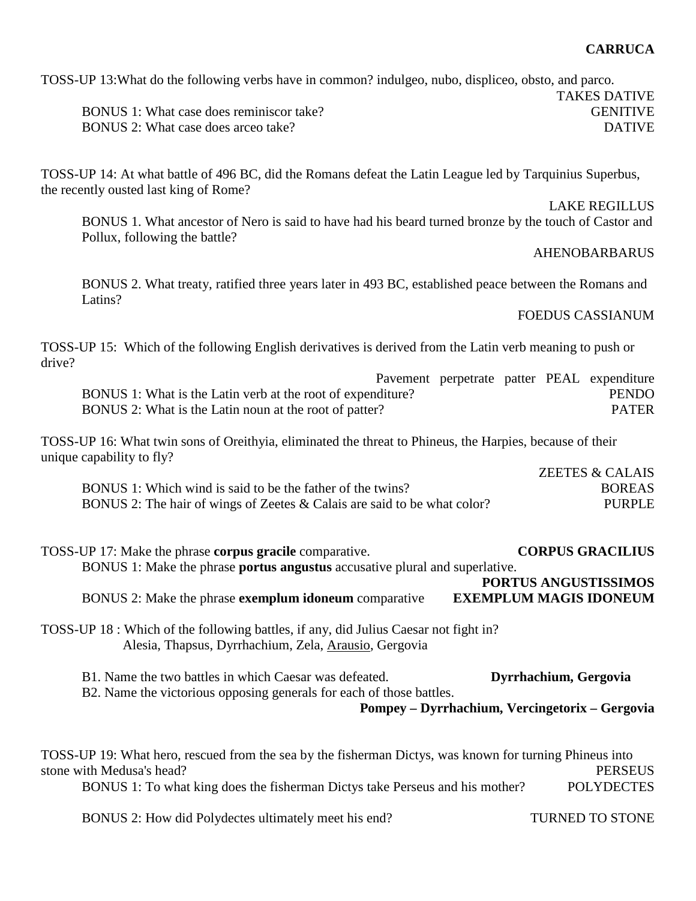## **CARRUCA**

TAKES DATIVE

TOSS-UP 13:What do the following verbs have in common? indulgeo, nubo, displiceo, obsto, and parco.

BONUS 1: What case does reminiscor take? GENITIVE BONUS 2: What case does arceo take? DATIVE

TOSS-UP 14: At what battle of 496 BC, did the Romans defeat the Latin League led by Tarquinius Superbus, the recently ousted last king of Rome?

LAKE REGILLUS

BONUS 1. What ancestor of Nero is said to have had his beard turned bronze by the touch of Castor and Pollux, following the battle?

### AHENOBARBARUS

BONUS 2. What treaty, ratified three years later in 493 BC, established peace between the Romans and Latins?

FOEDUS CASSIANUM

TOSS-UP 15: Which of the following English derivatives is derived from the Latin verb meaning to push or drive?

Pavement perpetrate patter PEAL expenditure BONUS 1: What is the Latin verb at the root of expenditure? PENDO BONUS 2: What is the Latin noun at the root of patter? PATER

TOSS-UP 16: What twin sons of Oreithyia, eliminated the threat to Phineus, the Harpies, because of their unique capability to fly?

|                                                                          | <b>ZEETES &amp; CALAIS</b> |
|--------------------------------------------------------------------------|----------------------------|
| BONUS 1: Which wind is said to be the father of the twins?               | <b>BOREAS</b>              |
| BONUS 2: The hair of wings of Zeetes & Calais are said to be what color? | PURPLE                     |

| TOSS-UP 17: Make the phrase <b>corpus gracile</b> comparative.                     | <b>CORPUS GRACILIUS</b>       |
|------------------------------------------------------------------------------------|-------------------------------|
| BONUS 1: Make the phrase <b>portus angustus</b> accusative plural and superlative. |                               |
|                                                                                    | PORTUS ANGUSTISSIMOS          |
| BONUS 2: Make the phrase <b>exemplum idoneum</b> comparative                       | <b>EXEMPLUM MAGIS IDONEUM</b> |
|                                                                                    |                               |

TOSS-UP 18 : Which of the following battles, if any, did Julius Caesar not fight in? Alesia, Thapsus, Dyrrhachium, Zela, Arausio, Gergovia

B1. Name the two battles in which Caesar was defeated. **Dyrrhachium, Gergovia** B2. Name the victorious opposing generals for each of those battles.

**Pompey – Dyrrhachium, Vercingetorix – Gergovia** 

TOSS-UP 19: What hero, rescued from the sea by the fisherman Dictys, was known for turning Phineus into stone with Medusa's head? PERSEUS BONUS 1: To what king does the fisherman Dictys take Perseus and his mother? POLYDECTES

BONUS 2: How did Polydectes ultimately meet his end? TURNED TO STONE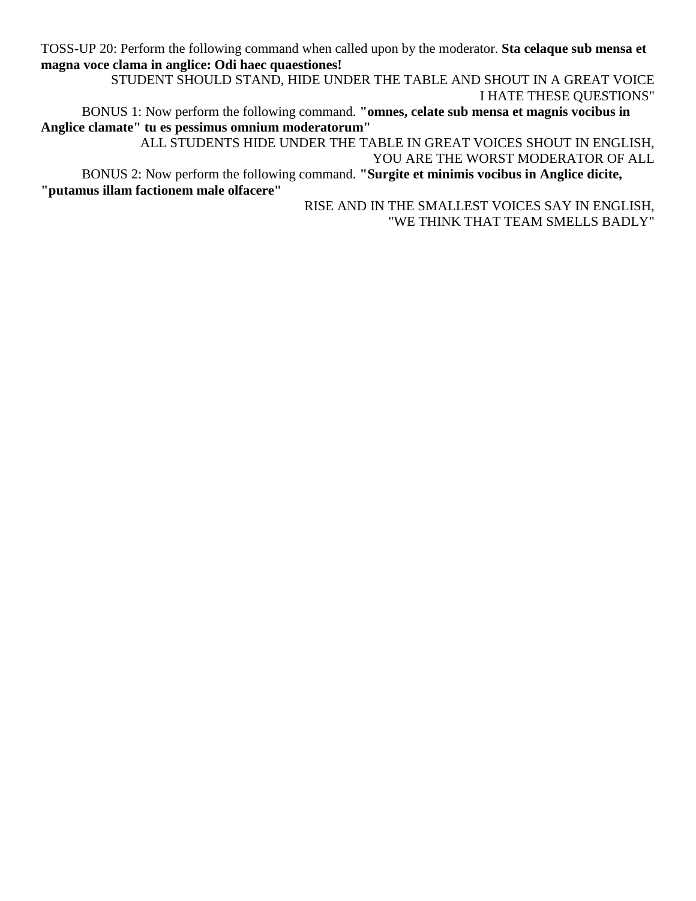TOSS-UP 20: Perform the following command when called upon by the moderator. **Sta celaque sub mensa et magna voce clama in anglice: Odi haec quaestiones!**

 STUDENT SHOULD STAND, HIDE UNDER THE TABLE AND SHOUT IN A GREAT VOICE I HATE THESE QUESTIONS"

 BONUS 1: Now perform the following command. **"omnes, celate sub mensa et magnis vocibus in Anglice clamate" tu es pessimus omnium moderatorum"**

 ALL STUDENTS HIDE UNDER THE TABLE IN GREAT VOICES SHOUT IN ENGLISH, YOU ARE THE WORST MODERATOR OF ALL BONUS 2: Now perform the following command. **"Surgite et minimis vocibus in Anglice dicite, "putamus illam factionem male olfacere"** 

> RISE AND IN THE SMALLEST VOICES SAY IN ENGLISH, "WE THINK THAT TEAM SMELLS BADLY"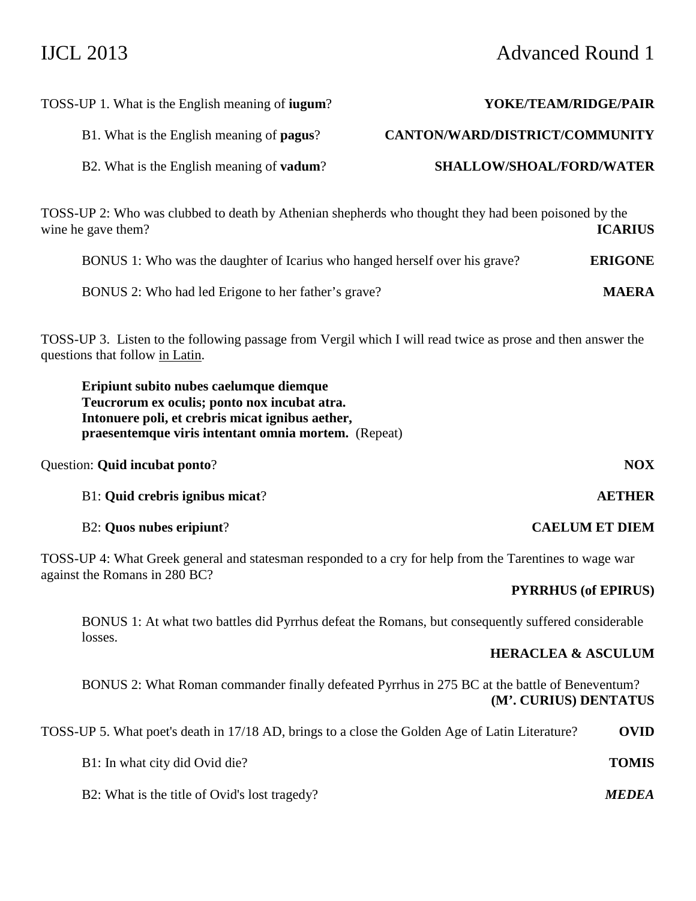## IJCL 2013 Advanced Round 1

| YOKE/TEAM/RIDGE/PAIR           | TOSS-UP 1. What is the English meaning of <b>jugum</b> ?                                            |
|--------------------------------|-----------------------------------------------------------------------------------------------------|
| CANTON/WARD/DISTRICT/COMMUNITY | B1. What is the English meaning of <b>pagus</b> ?                                                   |
| SHALLOW/SHOAL/FORD/WATER       | B2. What is the English meaning of <b>vadum</b> ?                                                   |
|                                | TOSS-UP 2: Who was clubbed to death by Athenian shepherds who thought they had been poisoned by the |

wine he gave them? **ICARIUS** BONUS 1: Who was the daughter of Icarius who hanged herself over his grave? **ERIGONE**

BONUS 2: Who had led Erigone to her father's grave? **MAERA**

TOSS-UP 3. Listen to the following passage from Vergil which I will read twice as prose and then answer the questions that follow in Latin.

**Eripiunt subito nubes caelumque diemque Teucrorum ex oculis; ponto nox incubat atra. Intonuere poli, et crebris micat ignibus aether, praesentemque viris intentant omnia mortem.** (Repeat)

Question: **Quid incubat ponto**? **NOX**

B1: **Quid crebris ignibus micat**? **AETHER**

## B2: **Quos nubes eripiunt**? **CAELUM ET DIEM**

TOSS-UP 4: What Greek general and statesman responded to a cry for help from the Tarentines to wage war against the Romans in 280 BC?

## **PYRRHUS (of EPIRUS)**

 BONUS 1: At what two battles did Pyrrhus defeat the Romans, but consequently suffered considerable losses.

## **HERACLEA & ASCULUM**

 BONUS 2: What Roman commander finally defeated Pyrrhus in 275 BC at the battle of Beneventum? **(M'. CURIUS) DENTATUS** 

TOSS-UP 5. What poet's death in 17/18 AD, brings to a close the Golden Age of Latin Literature? **OVID**

| B1: In what city did Ovid die? | <b>TOMIS</b> |
|--------------------------------|--------------|
|                                |              |

B2: What is the title of Ovid's lost tragedy? *MEDEA*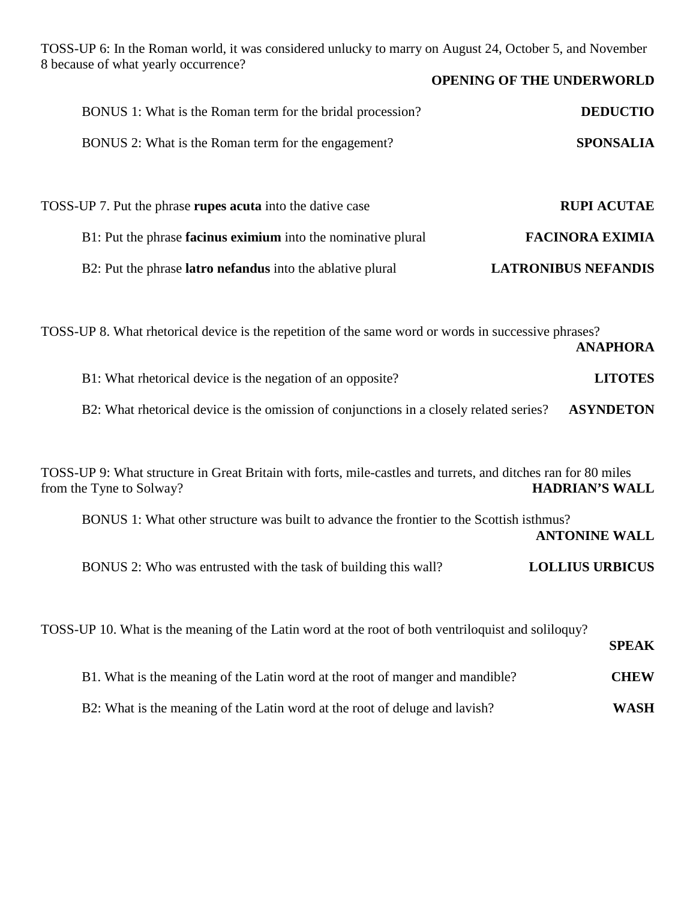TOSS-UP 6: In the Roman world, it was considered unlucky to marry on August 24, October 5, and November 8 because of what yearly occurrence?

|                                                                                                      | <b>OPENING OF THE UNDERWORLD</b> |
|------------------------------------------------------------------------------------------------------|----------------------------------|
| BONUS 1: What is the Roman term for the bridal procession?                                           | <b>DEDUCTIO</b>                  |
| BONUS 2: What is the Roman term for the engagement?                                                  | <b>SPONSALIA</b>                 |
|                                                                                                      |                                  |
| TOSS-UP 7. Put the phrase rupes acuta into the dative case                                           | <b>RUPI ACUTAE</b>               |
| B1: Put the phrase facinus eximium into the nominative plural                                        | <b>FACINORA EXIMIA</b>           |
| B2: Put the phrase <b>latro nefandus</b> into the ablative plural                                    | <b>LATRONIBUS NEFANDIS</b>       |
|                                                                                                      |                                  |
| TOSS-UP 8. What rhetorical device is the repetition of the same word or words in successive phrases? | <b>ANAPHORA</b>                  |

- B1: What rhetorical device is the negation of an opposite? **LITOTES**
- B2: What rhetorical device is the omission of conjunctions in a closely related series? **ASYNDETON**

TOSS-UP 9: What structure in Great Britain with forts, mile-castles and turrets, and ditches ran for 80 miles from the Tyne to Solway? **HADRIAN'S WALL** BONUS 1: What other structure was built to advance the frontier to the Scottish isthmus? **ANTONINE WALL**  BONUS 2: Who was entrusted with the task of building this wall? **LOLLIUS URBICUS**

|                                                                               | <b>SPEAK</b> |
|-------------------------------------------------------------------------------|--------------|
| B1. What is the meaning of the Latin word at the root of manger and mandible? | <b>CHEW</b>  |
| B2: What is the meaning of the Latin word at the root of deluge and lavish?   | WASH         |

TOSS-UP 10. What is the meaning of the Latin word at the root of both ventriloquist and soliloquy?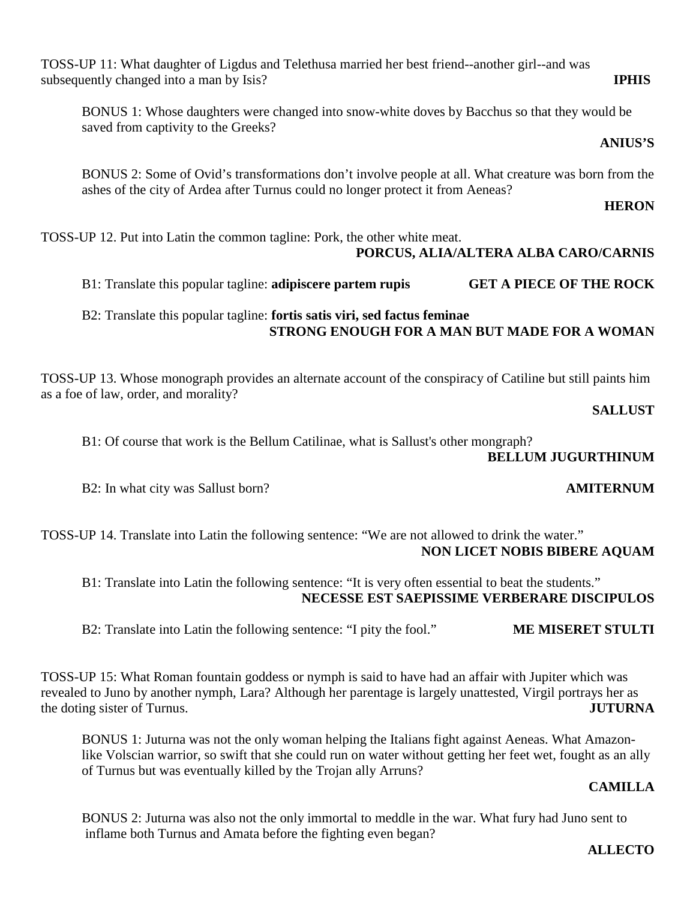**ALLECTO** 

TOSS-UP 11: What daughter of Ligdus and Telethusa married her best friend--another girl--and was subsequently changed into a man by Isis? **IPHIS**

BONUS 1: Whose daughters were changed into snow-white doves by Bacchus so that they would be saved from captivity to the Greeks?

**ANIUS'S** 

 BONUS 2: Some of Ovid's transformations don't involve people at all. What creature was born from the ashes of the city of Ardea after Turnus could no longer protect it from Aeneas?

**HERON** 

TOSS-UP 12. Put into Latin the common tagline: Pork, the other white meat.

## **PORCUS, ALIA/ALTERA ALBA CARO/CARNIS**

B1: Translate this popular tagline: **adipiscere partem rupis GET A PIECE OF THE ROCK**

## B2: Translate this popular tagline: **fortis satis viri, sed factus feminae STRONG ENOUGH FOR A MAN BUT MADE FOR A WOMAN**

TOSS-UP 13. Whose monograph provides an alternate account of the conspiracy of Catiline but still paints him as a foe of law, order, and morality?

**SALLUST** 

B1: Of course that work is the Bellum Catilinae, what is Sallust's other mongraph?

## **BELLUM JUGURTHINUM**

B2: In what city was Sallust born? **AMITERNUM** 

TOSS-UP 14. Translate into Latin the following sentence: "We are not allowed to drink the water." **NON LICET NOBIS BIBERE AQUAM** 

 B1: Translate into Latin the following sentence: "It is very often essential to beat the students." **NECESSE EST SAEPISSIME VERBERARE DISCIPULOS** 

B2: Translate into Latin the following sentence: "I pity the fool." **ME MISERET STULTI** 

TOSS-UP 15: What Roman fountain goddess or nymph is said to have had an affair with Jupiter which was revealed to Juno by another nymph, Lara? Although her parentage is largely unattested, Virgil portrays her as the doting sister of Turnus. **JUTURNA**

BONUS 1: Juturna was not the only woman helping the Italians fight against Aeneas. What Amazonlike Volscian warrior, so swift that she could run on water without getting her feet wet, fought as an ally of Turnus but was eventually killed by the Trojan ally Arruns?

## **CAMILLA**

 BONUS 2: Juturna was also not the only immortal to meddle in the war. What fury had Juno sent to inflame both Turnus and Amata before the fighting even began?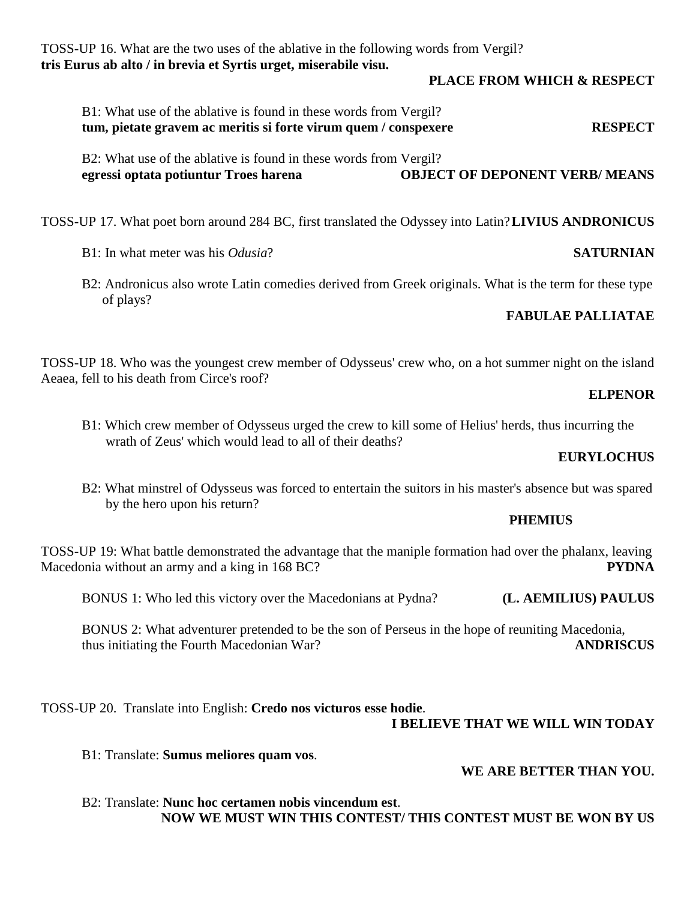TOSS-UP 16. What are the two uses of the ablative in the following words from Vergil? **tris Eurus ab alto / in brevia et Syrtis urget, miserabile visu.** 

**PLACE FROM WHICH & RESPECT** 

| B1: What use of the ablative is found in these words from Vergil? |                |
|-------------------------------------------------------------------|----------------|
| tum, pietate gravem ac meritis si forte virum quem / conspexere   | <b>RESPECT</b> |

 B2: What use of the ablative is found in these words from Vergil? **egressi optata potiuntur Troes harena OBJECT OF DEPONENT VERB/ MEANS**

TOSS-UP 17. What poet born around 284 BC, first translated the Odyssey into Latin? **LIVIUS ANDRONICUS**

B1: In what meter was his *Odusia*? **SATURNIAN**

 B2: Andronicus also wrote Latin comedies derived from Greek originals. What is the term for these type of plays?

## **FABULAE PALLIATAE**

TOSS-UP 18. Who was the youngest crew member of Odysseus' crew who, on a hot summer night on the island Aeaea, fell to his death from Circe's roof?

## **ELPENOR**

 B1: Which crew member of Odysseus urged the crew to kill some of Helius' herds, thus incurring the wrath of Zeus' which would lead to all of their deaths?

## **EURYLOCHUS**

 B2: What minstrel of Odysseus was forced to entertain the suitors in his master's absence but was spared by the hero upon his return?

## **PHEMIUS**

TOSS-UP 19: What battle demonstrated the advantage that the maniple formation had over the phalanx, leaving Macedonia without an army and a king in 168 BC? **PYDNA**

BONUS 1: Who led this victory over the Macedonians at Pydna? **(L. AEMILIUS) PAULUS**

BONUS 2: What adventurer pretended to be the son of Perseus in the hope of reuniting Macedonia, thus initiating the Fourth Macedonian War? **ANDRISCUS**

TOSS-UP 20. Translate into English: **Credo nos victuros esse hodie**. **I BELIEVE THAT WE WILL WIN TODAY** 

B1: Translate: **Sumus meliores quam vos**.

## **WE ARE BETTER THAN YOU.**

 B2: Translate: **Nunc hoc certamen nobis vincendum est**. **NOW WE MUST WIN THIS CONTEST/ THIS CONTEST MUST BE WON BY US**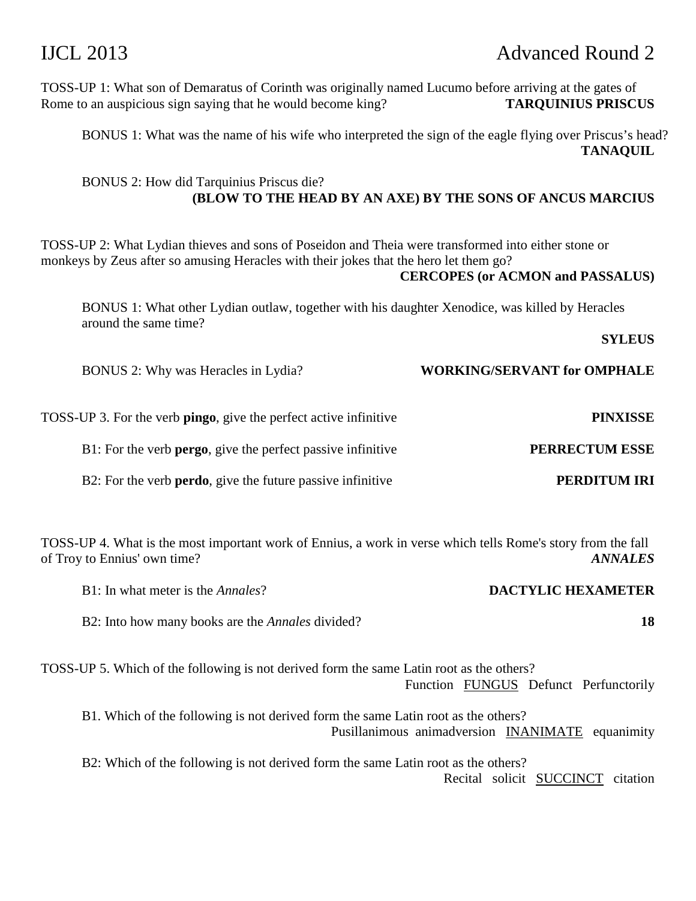## IJCL 2013 Advanced Round 2

TOSS-UP 1: What son of Demaratus of Corinth was originally named Lucumo before arriving at the gates of Rome to an auspicious sign saying that he would become king? **TARQUINIUS PRISCUS**

BONUS 1: What was the name of his wife who interpreted the sign of the eagle flying over Priscus's head? **TANAQUIL** 

## BONUS 2: How did Tarquinius Priscus die? **(BLOW TO THE HEAD BY AN AXE) BY THE SONS OF ANCUS MARCIUS**

TOSS-UP 2: What Lydian thieves and sons of Poseidon and Theia were transformed into either stone or monkeys by Zeus after so amusing Heracles with their jokes that the hero let them go?

## **CERCOPES (or ACMON and PASSALUS)**

BONUS 1: What other Lydian outlaw, together with his daughter Xenodice, was killed by Heracles around the same time?

**SYLEUS** 

BONUS 2: Why was Heracles in Lydia? **WORKING/SERVANT for OMPHALE**

| <b>PINXISSE</b>       | TOSS-UP 3. For the verb <b>pingo</b> , give the perfect active infinitive |
|-----------------------|---------------------------------------------------------------------------|
| <b>PERRECTUM ESSE</b> | B1: For the verb <b>pergo</b> , give the perfect passive infinitive       |
| PERDITUM IRI          | B2: For the verb <b>perdo</b> , give the future passive infinitive        |

TOSS-UP 4. What is the most important work of Ennius, a work in verse which tells Rome's story from the fall of Troy to Ennius' own time? *ANNALES*

| B1: In what meter is the <i>Annales</i> ?                                                                                             |                          | <b>DACTYLIC HEXAMETER</b> |    |
|---------------------------------------------------------------------------------------------------------------------------------------|--------------------------|---------------------------|----|
| B2: Into how many books are the <i>Annales</i> divided?                                                                               |                          |                           | 18 |
| TOSS-UP 5. Which of the following is not derived form the same Latin root as the others?<br>Function FUNGUS Defunct Perfunctorily     |                          |                           |    |
| B1. Which of the following is not derived form the same Latin root as the others?<br>Pusillanimous animadversion INANIMATE equanimity |                          |                           |    |
| B2: Which of the following is not derived form the same Latin root as the others?                                                     | Recital solicit SUCCINCT | citation                  |    |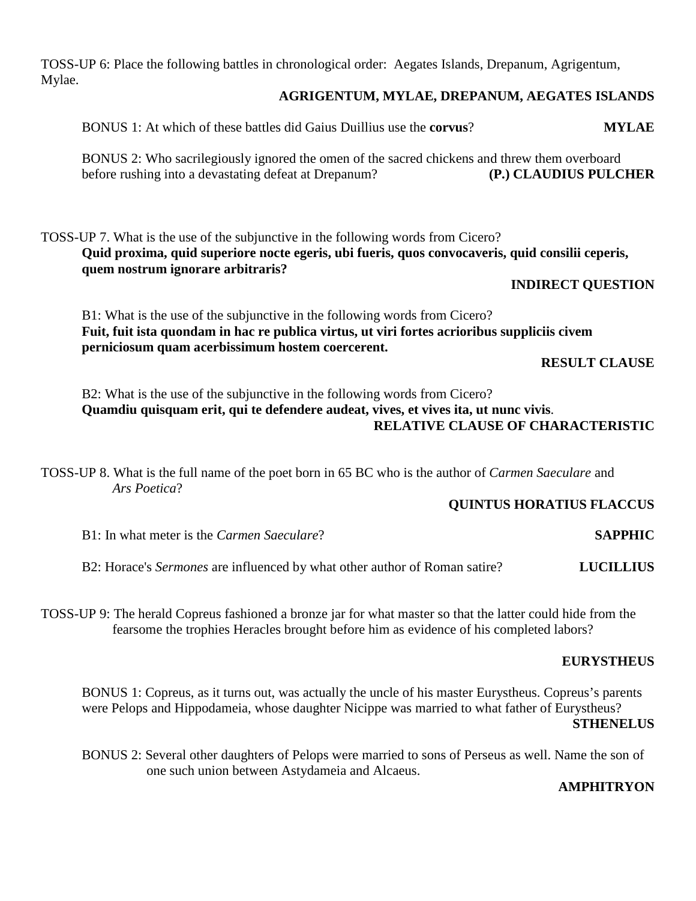TOSS-UP 6: Place the following battles in chronological order: Aegates Islands, Drepanum, Agrigentum, Mylae.

## **AGRIGENTUM, MYLAE, DREPANUM, AEGATES ISLANDS**

 BONUS 1: At which of these battles did Gaius Duillius use the **corvus**? **MYLAE** BONUS 2: Who sacrilegiously ignored the omen of the sacred chickens and threw them overboard before rushing into a devastating defeat at Drepanum? **(P.) CLAUDIUS PULCHER**

TOSS-UP 7. What is the use of the subjunctive in the following words from Cicero? **Quid proxima, quid superiore nocte egeris, ubi fueris, quos convocaveris, quid consilii ceperis, quem nostrum ignorare arbitraris?** 

## **INDIRECT QUESTION**

 B1: What is the use of the subjunctive in the following words from Cicero? **Fuit, fuit ista quondam in hac re publica virtus, ut viri fortes acrioribus suppliciis civem perniciosum quam acerbissimum hostem coercerent.** 

**RESULT CLAUSE** 

 B2: What is the use of the subjunctive in the following words from Cicero? **Quamdiu quisquam erit, qui te defendere audeat, vives, et vives ita, ut nunc vivis**. **RELATIVE CLAUSE OF CHARACTERISTIC** 

TOSS-UP 8. What is the full name of the poet born in 65 BC who is the author of *Carmen Saeculare* and *Ars Poetica*?

## **QUINTUS HORATIUS FLACCUS**

B1: In what meter is the *Carmen Saeculare*? **SAPPHIC**

B2: Horace's *Sermones* are influenced by what other author of Roman satire? **LUCILLIUS**

TOSS-UP 9: The herald Copreus fashioned a bronze jar for what master so that the latter could hide from the fearsome the trophies Heracles brought before him as evidence of his completed labors?

## **EURYSTHEUS**

BONUS 1: Copreus, as it turns out, was actually the uncle of his master Eurystheus. Copreus's parents were Pelops and Hippodameia, whose daughter Nicippe was married to what father of Eurystheus? **STHENELUS** 

BONUS 2: Several other daughters of Pelops were married to sons of Perseus as well. Name the son of one such union between Astydameia and Alcaeus.

## **AMPHITRYON**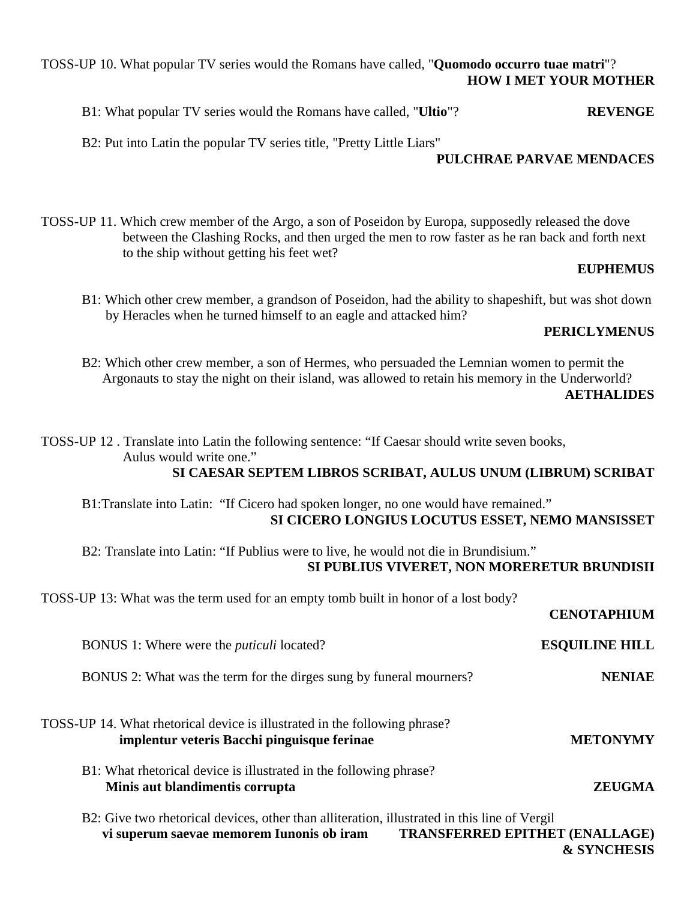## TOSS-UP 10. What popular TV series would the Romans have called, "**Quomodo occurro tuae matri**"? **HOW I MET YOUR MOTHER**

B1: What popular TV series would the Romans have called, "**Ultio**"? **REVENGE**

B2: Put into Latin the popular TV series title, "Pretty Little Liars"

## **PULCHRAE PARVAE MENDACES**

TOSS-UP 11. Which crew member of the Argo, a son of Poseidon by Europa, supposedly released the dove between the Clashing Rocks, and then urged the men to row faster as he ran back and forth next to the ship without getting his feet wet?

## **EUPHEMUS**

 B1: Which other crew member, a grandson of Poseidon, had the ability to shapeshift, but was shot down by Heracles when he turned himself to an eagle and attacked him?

## **PERICLYMENUS**

 B2: Which other crew member, a son of Hermes, who persuaded the Lemnian women to permit the Argonauts to stay the night on their island, was allowed to retain his memory in the Underworld?

## **AETHALIDES**

TOSS-UP 12 . Translate into Latin the following sentence: "If Caesar should write seven books, Aulus would write one."  **SI CAESAR SEPTEM LIBROS SCRIBAT, AULUS UNUM (LIBRUM) SCRIBAT**  B1:Translate into Latin: "If Cicero had spoken longer, no one would have remained."  **SI CICERO LONGIUS LOCUTUS ESSET, NEMO MANSISSET**  B2: Translate into Latin: "If Publius were to live, he would not die in Brundisium."  **SI PUBLIUS VIVERET, NON MORERETUR BRUNDISII**  TOSS-UP 13: What was the term used for an empty tomb built in honor of a lost body? **CENOTAPHIUM**  BONUS 1: Where were the *puticuli* located? **ESQUILINE HILL** BONUS 2: What was the term for the dirges sung by funeral mourners? **NENIAE** TOSS-UP 14. What rhetorical device is illustrated in the following phrase? **implentur veteris Bacchi pinguisque ferinae METONYMY**  B1: What rhetorical device is illustrated in the following phrase? **Minis aut blandimentis corrupta ZEUGMA** B2: Give two rhetorical devices, other than alliteration, illustrated in this line of Vergil **vi superum saevae memorem Iunonis ob iram TRANSFERRED EPITHET (ENALLAGE)** 

 **& SYNCHESIS**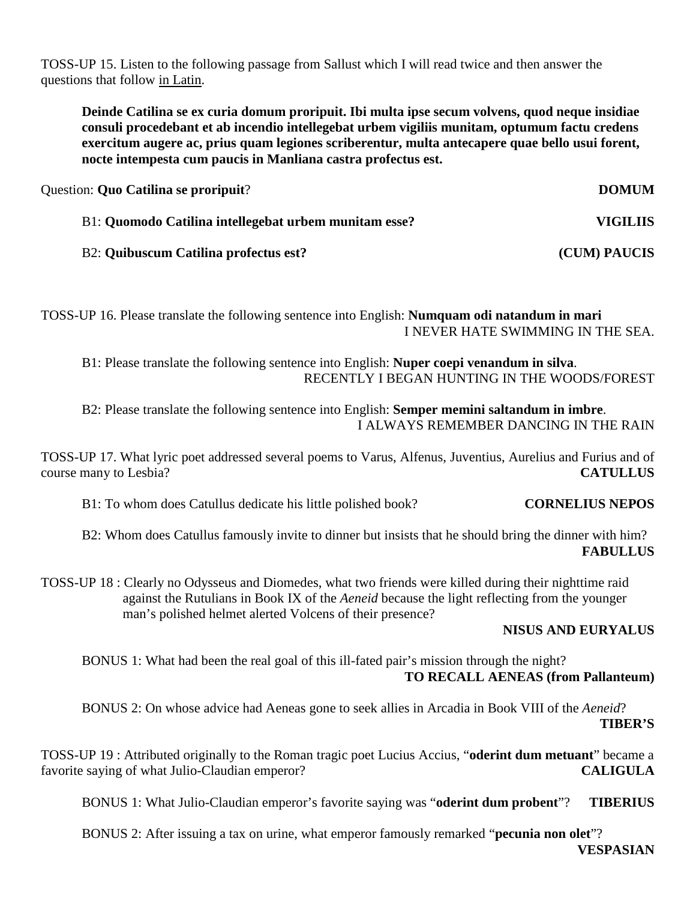TOSS-UP 15. Listen to the following passage from Sallust which I will read twice and then answer the questions that follow in Latin.

**Deinde Catilina se ex curia domum proripuit. Ibi multa ipse secum volvens, quod neque insidiae consuli procedebant et ab incendio intellegebat urbem vigiliis munitam, optumum factu credens exercitum augere ac, prius quam legiones scriberentur, multa antecapere quae bello usui forent, nocte intempesta cum paucis in Manliana castra profectus est.** 

| Question: <b>Quo Catilina se proripuit</b> ?          | <b>DOMUM</b>        |
|-------------------------------------------------------|---------------------|
| B1: Quomodo Catilina intellegebat urbem munitam esse? | <b>VIGILIIS</b>     |
| B2: Quibuscum Catilina profectus est?                 | <b>(CUM) PAUCIS</b> |

TOSS-UP 16. Please translate the following sentence into English: **Numquam odi natandum in mari** I NEVER HATE SWIMMING IN THE SEA.

 B1: Please translate the following sentence into English: **Nuper coepi venandum in silva**. RECENTLY I BEGAN HUNTING IN THE WOODS/FOREST

 B2: Please translate the following sentence into English: **Semper memini saltandum in imbre**. I ALWAYS REMEMBER DANCING IN THE RAIN

TOSS-UP 17. What lyric poet addressed several poems to Varus, Alfenus, Juventius, Aurelius and Furius and of course many to Lesbia? **CATULLUS**

B1: To whom does Catullus dedicate his little polished book? **CORNELIUS NEPOS**

 B2: Whom does Catullus famously invite to dinner but insists that he should bring the dinner with him? **FABULLUS** 

TOSS-UP 18 : Clearly no Odysseus and Diomedes, what two friends were killed during their nighttime raid against the Rutulians in Book IX of the *Aeneid* because the light reflecting from the younger man's polished helmet alerted Volcens of their presence?

## **NISUS AND EURYALUS**

 BONUS 1: What had been the real goal of this ill-fated pair's mission through the night? **TO RECALL AENEAS (from Pallanteum)** 

BONUS 2: On whose advice had Aeneas gone to seek allies in Arcadia in Book VIII of the *Aeneid*? **TIBER'S** 

TOSS-UP 19 : Attributed originally to the Roman tragic poet Lucius Accius, "**oderint dum metuant**" became a favorite saying of what Julio-Claudian emperor? **CALIGULA**

BONUS 1: What Julio-Claudian emperor's favorite saying was "**oderint dum probent**"? **TIBERIUS**

BONUS 2: After issuing a tax on urine, what emperor famously remarked "**pecunia non olet**"?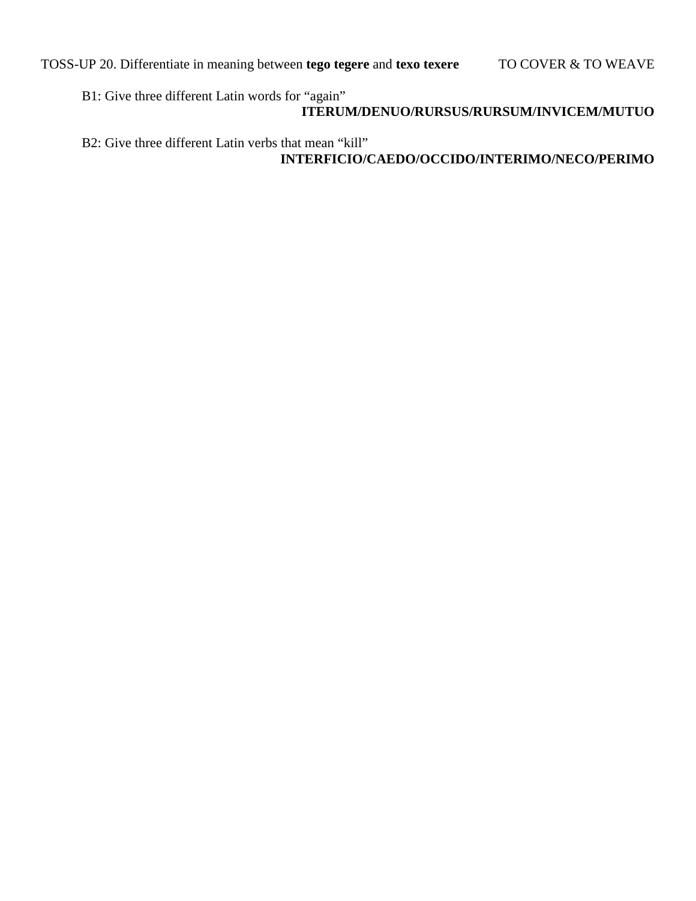B1: Give three different Latin words for "again"

## **ITERUM/DENUO/RURSUS/RURSUM/INVICEM/MUTUO**

 B2: Give three different Latin verbs that mean "kill"  **INTERFICIO/CAEDO/OCCIDO/INTERIMO/NECO/PERIMO**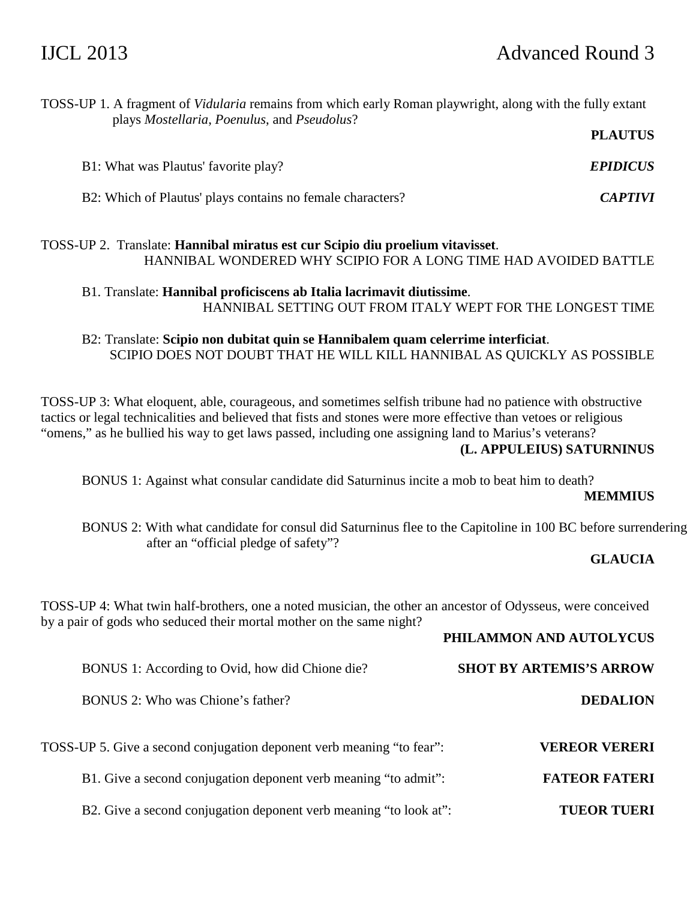| TOSS-UP 1. A fragment of Vidularia remains from which early Roman playwright, along with the fully extant<br>plays Mostellaria, Poenulus, and Pseudolus?                                                                                                                                                                                                            |                                |  |
|---------------------------------------------------------------------------------------------------------------------------------------------------------------------------------------------------------------------------------------------------------------------------------------------------------------------------------------------------------------------|--------------------------------|--|
|                                                                                                                                                                                                                                                                                                                                                                     | <b>PLAUTUS</b>                 |  |
| B1: What was Plautus' favorite play?                                                                                                                                                                                                                                                                                                                                | <b>EPIDICUS</b>                |  |
| B2: Which of Plautus' plays contains no female characters?                                                                                                                                                                                                                                                                                                          | <b>CAPTIVI</b>                 |  |
| TOSS-UP 2. Translate: Hannibal miratus est cur Scipio diu proelium vitavisset.<br>HANNIBAL WONDERED WHY SCIPIO FOR A LONG TIME HAD AVOIDED BATTLE                                                                                                                                                                                                                   |                                |  |
| B1. Translate: Hannibal proficiscens ab Italia lacrimavit diutissime.<br>HANNIBAL SETTING OUT FROM ITALY WEPT FOR THE LONGEST TIME                                                                                                                                                                                                                                  |                                |  |
| B2: Translate: Scipio non dubitat quin se Hannibalem quam celerrime interficiat.<br>SCIPIO DOES NOT DOUBT THAT HE WILL KILL HANNIBAL AS QUICKLY AS POSSIBLE                                                                                                                                                                                                         |                                |  |
| TOSS-UP 3: What eloquent, able, courageous, and sometimes selfish tribune had no patience with obstructive<br>tactics or legal technicalities and believed that fists and stones were more effective than vetoes or religious<br>"omens," as he bullied his way to get laws passed, including one assigning land to Marius's veterans?<br>(L. APPULEIUS) SATURNINUS |                                |  |
| BONUS 1: Against what consular candidate did Saturninus incite a mob to beat him to death?                                                                                                                                                                                                                                                                          | <b>MEMMIUS</b>                 |  |
| BONUS 2: With what candidate for consul did Saturninus flee to the Capitoline in 100 BC before surrendering<br>after an "official pledge of safety"?                                                                                                                                                                                                                |                                |  |
|                                                                                                                                                                                                                                                                                                                                                                     | <b>GLAUCIA</b>                 |  |
| TOSS-UP 4: What twin half-brothers, one a noted musician, the other an ancestor of Odysseus, were conceived<br>by a pair of gods who seduced their mortal mother on the same night?                                                                                                                                                                                 |                                |  |
|                                                                                                                                                                                                                                                                                                                                                                     | PHILAMMON AND AUTOLYCUS        |  |
| BONUS 1: According to Ovid, how did Chione die?                                                                                                                                                                                                                                                                                                                     | <b>SHOT BY ARTEMIS'S ARROW</b> |  |
| BONUS 2: Who was Chione's father?                                                                                                                                                                                                                                                                                                                                   | <b>DEDALION</b>                |  |
| TOSS-UP 5. Give a second conjugation deponent verb meaning "to fear":                                                                                                                                                                                                                                                                                               | <b>VEREOR VERERI</b>           |  |
| B1. Give a second conjugation deponent verb meaning "to admit":                                                                                                                                                                                                                                                                                                     | <b>FATEOR FATERI</b>           |  |
| B2. Give a second conjugation deponent verb meaning "to look at":                                                                                                                                                                                                                                                                                                   | <b>TUEOR TUERI</b>             |  |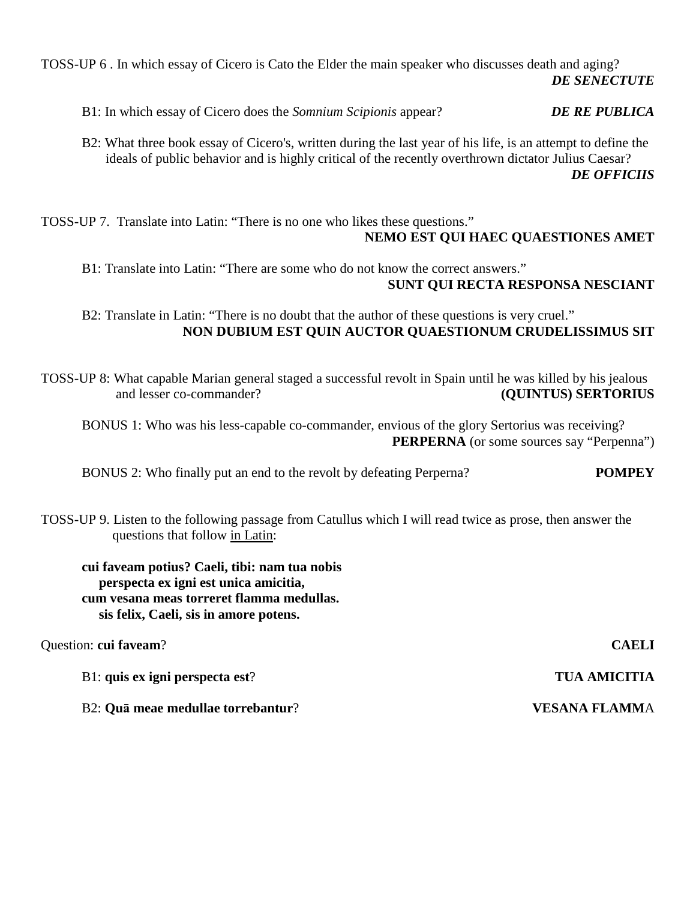TOSS-UP 6 . In which essay of Cicero is Cato the Elder the main speaker who discusses death and aging? *DE SENECTUTE* 

B1: In which essay of Cicero does the *Somnium Scipionis* appear? *DE RE PUBLICA*

 B2: What three book essay of Cicero's, written during the last year of his life, is an attempt to define the ideals of public behavior and is highly critical of the recently overthrown dictator Julius Caesar? *DE OFFICIIS* 

TOSS-UP 7. Translate into Latin: "There is no one who likes these questions."

 **NEMO EST QUI HAEC QUAESTIONES AMET** 

 B1: Translate into Latin: "There are some who do not know the correct answers." **SUNT QUI RECTA RESPONSA NESCIANT** 

 B2: Translate in Latin: "There is no doubt that the author of these questions is very cruel."  **NON DUBIUM EST QUIN AUCTOR QUAESTIONUM CRUDELISSIMUS SIT** 

TOSS-UP 8: What capable Marian general staged a successful revolt in Spain until he was killed by his jealous and lesser co-commander? **(QUINTUS) SERTORIUS**

 BONUS 1: Who was his less-capable co-commander, envious of the glory Sertorius was receiving? **PERPERNA** (or some sources say "Perpenna")

BONUS 2: Who finally put an end to the revolt by defeating Perperna? **POMPEY**

TOSS-UP 9. Listen to the following passage from Catullus which I will read twice as prose, then answer the questions that follow in Latin:

**cui faveam potius? Caeli, tibi: nam tua nobis perspecta ex igni est unica amicitia, cum vesana meas torreret flamma medullas. sis felix, Caeli, sis in amore potens.** 

Question: **cui faveam**? **CAELI** B1: **quis ex igni perspecta est**? **TUA AMICITIA** B2: **Quā meae medullae torrebantur**? **VESANA FLAMM**A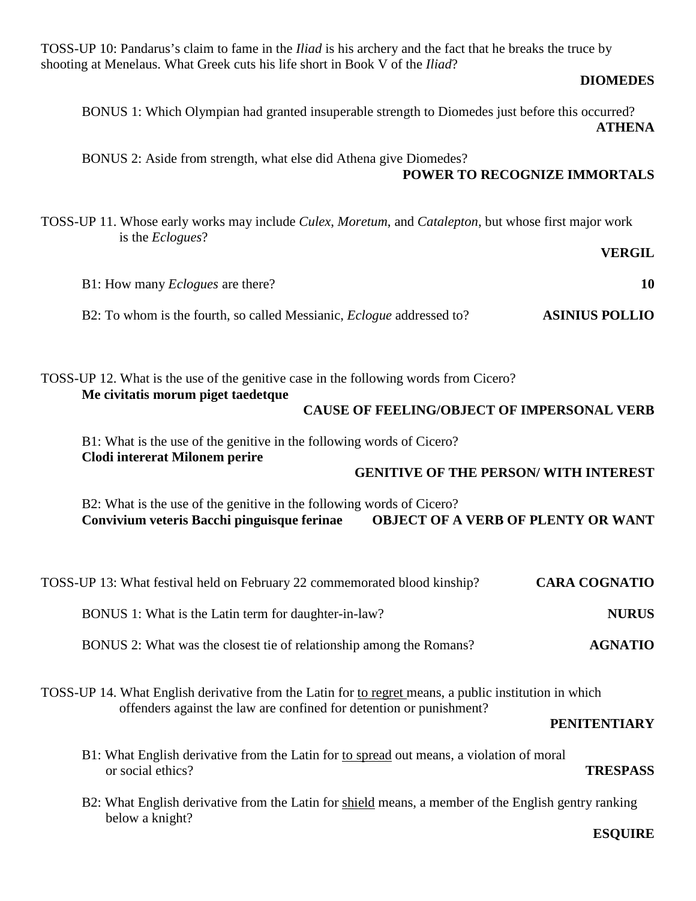TOSS-UP 10: Pandarus's claim to fame in the *Iliad* is his archery and the fact that he breaks the truce by shooting at Menelaus. What Greek cuts his life short in Book V of the *Iliad*?

## **DIOMEDES**

BONUS 1: Which Olympian had granted insuperable strength to Diomedes just before this occurred? **ATHENA** 

 BONUS 2: Aside from strength, what else did Athena give Diomedes? **POWER TO RECOGNIZE IMMORTALS** 

TOSS-UP 11. Whose early works may include *Culex*, *Moretum*, and *Catalepton*, but whose first major work is the *Eclogues*?

## **VERGIL**

| B1: How many <i>Eclogues</i> are there?                                      |                       |
|------------------------------------------------------------------------------|-----------------------|
| B2: To whom is the fourth, so called Messianic, <i>Eclogue</i> addressed to? | <b>ASINIUS POLLIO</b> |

TOSS-UP 12. What is the use of the genitive case in the following words from Cicero? **Me civitatis morum piget taedetque CAUSE OF FEELING/OBJECT OF IMPERSONAL VERB**  B1: What is the use of the genitive in the following words of Cicero?

**Clodi intererat Milonem perire**

## **GENITIVE OF THE PERSON/ WITH INTEREST**

 B2: What is the use of the genitive in the following words of Cicero? **Convivium veteris Bacchi pinguisque ferinae OBJECT OF A VERB OF PLENTY OR WANT**

| <b>CARA COGNATIO</b> | TOSS-UP 13: What festival held on February 22 commemorated blood kinship? |
|----------------------|---------------------------------------------------------------------------|
| <b>NURUS</b>         | BONUS 1: What is the Latin term for daughter-in-law?                      |
| <b>AGNATIO</b>       | BONUS 2: What was the closest tie of relationship among the Romans?       |

TOSS-UP 14. What English derivative from the Latin for to regret means, a public institution in which offenders against the law are confined for detention or punishment?

### **PENITENTIARY**

- B1: What English derivative from the Latin for to spread out means, a violation of moral or social ethics? **TRESPASS**
- B2: What English derivative from the Latin for shield means, a member of the English gentry ranking below a knight?

### **ESQUIRE**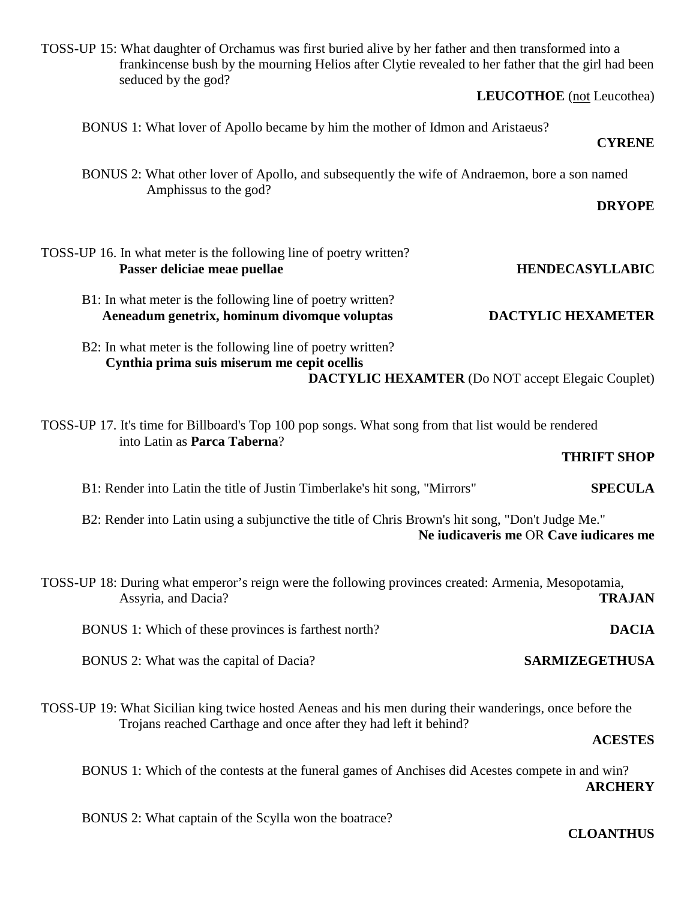TOSS-UP 15: What daughter of Orchamus was first buried alive by her father and then transformed into a frankincense bush by the mourning Helios after Clytie revealed to her father that the girl had been seduced by the god? **LEUCOTHOE** (not Leucothea) BONUS 1: What lover of Apollo became by him the mother of Idmon and Aristaeus? **CYRENE**  BONUS 2: What other lover of Apollo, and subsequently the wife of Andraemon, bore a son named Amphissus to the god? **DRYOPE**  TOSS-UP 16. In what meter is the following line of poetry written? **Passer deliciae meae puellae HENDECASYLLABIC**  B1: In what meter is the following line of poetry written? **Aeneadum genetrix, hominum divomque voluptas DACTYLIC HEXAMETER** B2: In what meter is the following line of poetry written? **Cynthia prima suis miserum me cepit ocellis DACTYLIC HEXAMTER** (Do NOT accept Elegaic Couplet) TOSS-UP 17. It's time for Billboard's Top 100 pop songs. What song from that list would be rendered into Latin as **Parca Taberna**? **THRIFT SHOP**  B1: Render into Latin the title of Justin Timberlake's hit song, "Mirrors" **SPECULA** B2: Render into Latin using a subjunctive the title of Chris Brown's hit song, "Don't Judge Me." **Ne iudicaveris me** OR **Cave iudicares me**  TOSS-UP 18: During what emperor's reign were the following provinces created: Armenia, Mesopotamia, Assyria, and Dacia? **TRAJAN** BONUS 1: Which of these provinces is farthest north? **DACIA** BONUS 2: What was the capital of Dacia? **SARMIZEGETHUSA** TOSS-UP 19: What Sicilian king twice hosted Aeneas and his men during their wanderings, once before the Trojans reached Carthage and once after they had left it behind? **ACESTES**  BONUS 1: Which of the contests at the funeral games of Anchises did Acestes compete in and win?

BONUS 2: What captain of the Scylla won the boatrace?

**CLOANTHUS** 

**ARCHERY**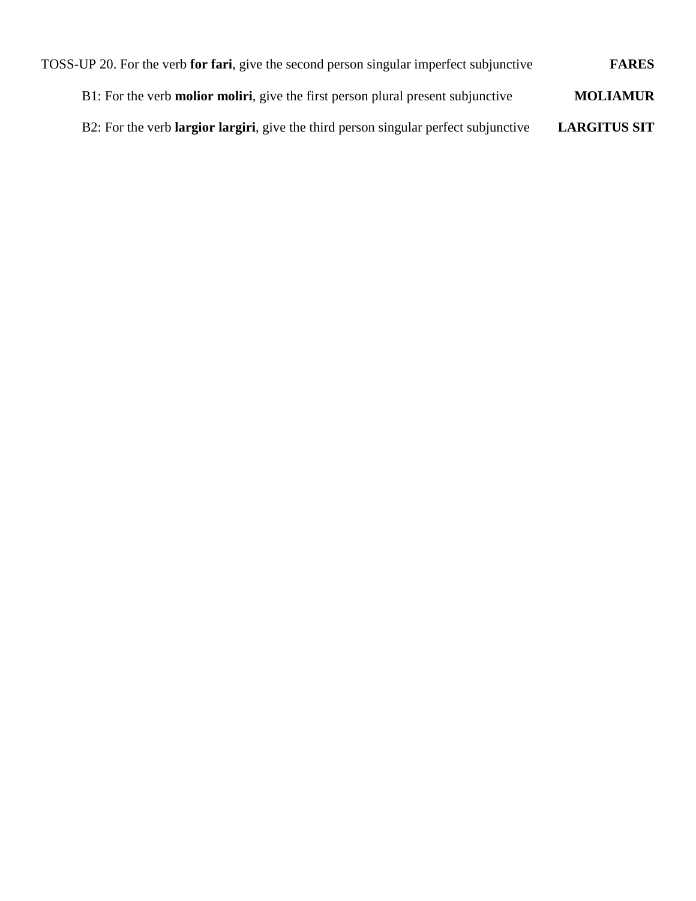| <b>FARES</b>        | TOSS-UP 20. For the verb for fari, give the second person singular imperfect subjunctive |
|---------------------|------------------------------------------------------------------------------------------|
| <b>MOLIAMUR</b>     | B1: For the verb <b>molior moliri</b> , give the first person plural present subjunctive |
| <b>LARGITUS SIT</b> | B2: For the verb largior largiri, give the third person singular perfect subjunctive     |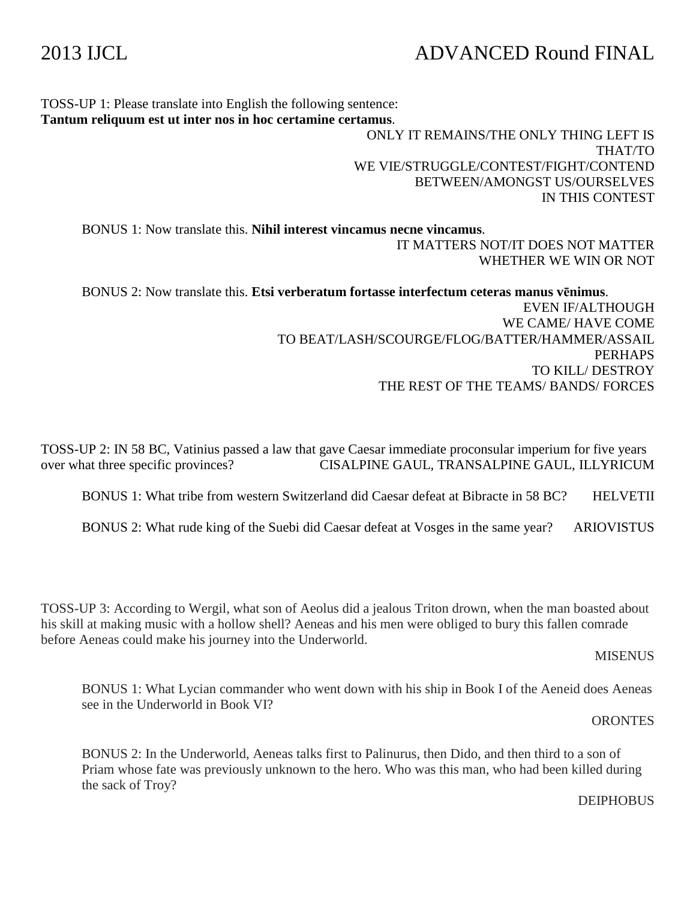# 2013 IJCL ADVANCED Round FINAL

TOSS-UP 1: Please translate into English the following sentence: **Tantum reliquum est ut inter nos in hoc certamine certamus**.

 ONLY IT REMAINS/THE ONLY THING LEFT IS THAT/TO WE VIE/STRUGGLE/CONTEST/FIGHT/CONTEND BETWEEN/AMONGST US/OURSELVES IN THIS CONTEST

 BONUS 1: Now translate this. **Nihil interest vincamus necne vincamus**. IT MATTERS NOT/IT DOES NOT MATTER WHETHER WE WIN OR NOT

 BONUS 2: Now translate this. **Etsi verberatum fortasse interfectum ceteras manus vēnimus**. EVEN IF/ALTHOUGH WE CAME/ HAVE COME TO BEAT/LASH/SCOURGE/FLOG/BATTER/HAMMER/ASSAIL PERHAPS TO KILL/ DESTROY THE REST OF THE TEAMS/ BANDS/ FORCES

TOSS-UP 2: IN 58 BC, Vatinius passed a law that gave Caesar immediate proconsular imperium for five years over what three specific provinces? CISALPINE GAUL, TRANSALPINE GAUL, ILLYRICUM

BONUS 1: What tribe from western Switzerland did Caesar defeat at Bibracte in 58 BC? HELVETII

BONUS 2: What rude king of the Suebi did Caesar defeat at Vosges in the same year? ARIOVISTUS

TOSS-UP 3: According to Wergil, what son of Aeolus did a jealous Triton drown, when the man boasted about his skill at making music with a hollow shell? Aeneas and his men were obliged to bury this fallen comrade before Aeneas could make his journey into the Underworld.

### MISENUS

BONUS 1: What Lycian commander who went down with his ship in Book I of the Aeneid does Aeneas see in the Underworld in Book VI?

## **ORONTES**

BONUS 2: In the Underworld, Aeneas talks first to Palinurus, then Dido, and then third to a son of Priam whose fate was previously unknown to the hero. Who was this man, who had been killed during the sack of Troy?

DEIPHOBUS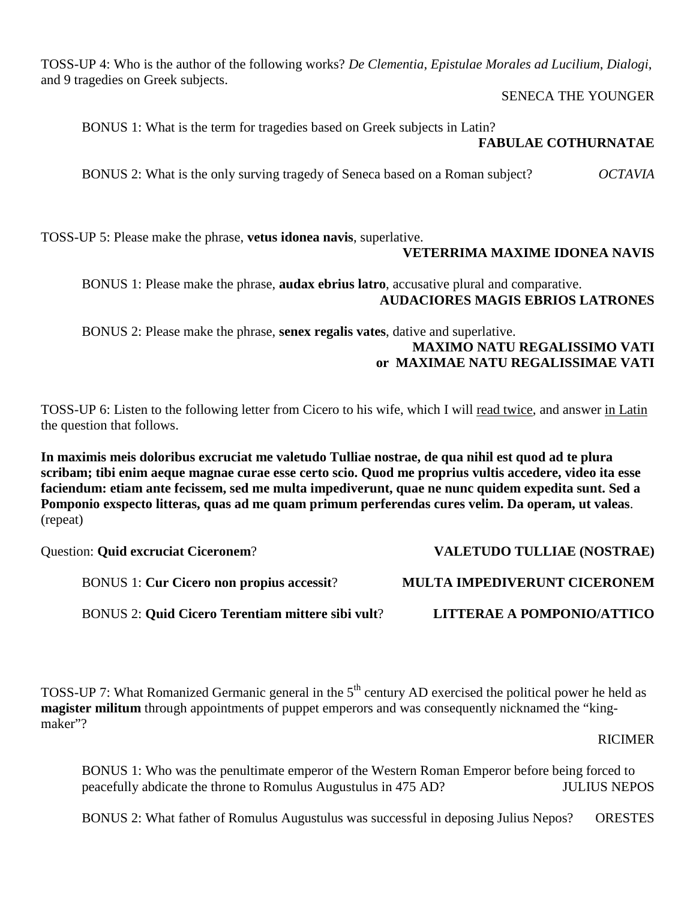TOSS-UP 4: Who is the author of the following works? *De Clementia*, *Epistulae Morales ad Lucilium*, *Dialogi*, and 9 tragedies on Greek subjects.

## SENECA THE YOUNGER

BONUS 1: What is the term for tragedies based on Greek subjects in Latin?

## **FABULAE COTHURNATAE**

BONUS 2: What is the only surving tragedy of Seneca based on a Roman subject? *OCTAVIA*

TOSS-UP 5: Please make the phrase, **vetus idonea navis**, superlative.

## **VETERRIMA MAXIME IDONEA NAVIS**

 BONUS 1: Please make the phrase, **audax ebrius latro**, accusative plural and comparative. **AUDACIORES MAGIS EBRIOS LATRONES** 

 BONUS 2: Please make the phrase, **senex regalis vates**, dative and superlative. **MAXIMO NATU REGALISSIMO VATI or MAXIMAE NATU REGALISSIMAE VATI** 

TOSS-UP 6: Listen to the following letter from Cicero to his wife, which I will read twice, and answer in Latin the question that follows.

**In maximis meis doloribus excruciat me valetudo Tulliae nostrae, de qua nihil est quod ad te plura scribam; tibi enim aeque magnae curae esse certo scio. Quod me proprius vultis accedere, video ita esse faciendum: etiam ante fecissem, sed me multa impediverunt, quae ne nunc quidem expedita sunt. Sed a Pomponio exspecto litteras, quas ad me quam primum perferendas cures velim. Da operam, ut valeas**. (repeat)

Question: **Quid excruciat Ciceronem**? **VALETUDO TULLIAE (NOSTRAE)**

BONUS 1: **Cur Cicero non propius accessit**? **MULTA IMPEDIVERUNT CICERONEM**

BONUS 2: **Quid Cicero Terentiam mittere sibi vult**? **LITTERAE A POMPONIO/ATTICO**

TOSS-UP 7: What Romanized Germanic general in the 5<sup>th</sup> century AD exercised the political power he held as **magister militum** through appointments of puppet emperors and was consequently nicknamed the "kingmaker"?

## RICIMER

BONUS 1: Who was the penultimate emperor of the Western Roman Emperor before being forced to peacefully abdicate the throne to Romulus Augustulus in 475 AD? JULIUS NEPOS

BONUS 2: What father of Romulus Augustulus was successful in deposing Julius Nepos? ORESTES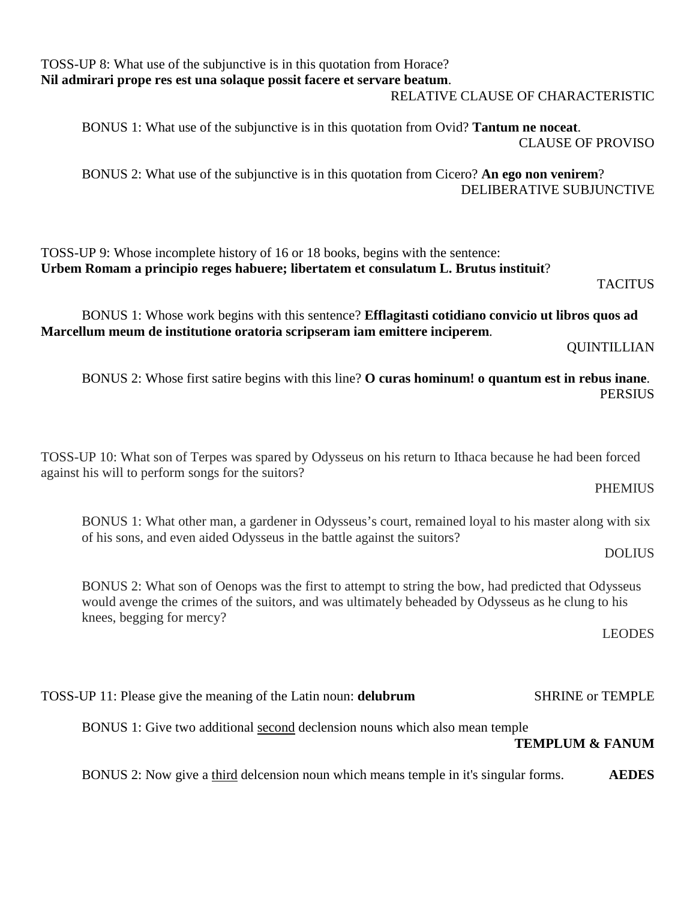| TOSS-UP 8: What use of the subjunctive is in this quotation from Horace? |  |
|--------------------------------------------------------------------------|--|
| Nil admirari prope res est una solaque possit facere et servare beatum.  |  |

## RELATIVE CLAUSE OF CHARACTERISTIC

 BONUS 1: What use of the subjunctive is in this quotation from Ovid? **Tantum ne noceat**. CLAUSE OF PROVISO

 BONUS 2: What use of the subjunctive is in this quotation from Cicero? **An ego non venirem**? DELIBERATIVE SUBJUNCTIVE

TOSS-UP 9: Whose incomplete history of 16 or 18 books, begins with the sentence: **Urbem Romam a principio reges habuere; libertatem et consulatum L. Brutus instituit**? TACITUS **TACITUS** 

 BONUS 1: Whose work begins with this sentence? **Efflagitasti cotidiano convicio ut libros quos ad Marcellum meum de institutione oratoria scripseram iam emittere inciperem**.

QUINTILLIAN

 BONUS 2: Whose first satire begins with this line? **O curas hominum! o quantum est in rebus inane**. PERSIUS

TOSS-UP 10: What son of Terpes was spared by Odysseus on his return to Ithaca because he had been forced against his will to perform songs for the suitors?

PHEMIUS

BONUS 1: What other man, a gardener in Odysseus's court, remained loyal to his master along with six of his sons, and even aided Odysseus in the battle against the suitors?

DOLIUS

BONUS 2: What son of Oenops was the first to attempt to string the bow, had predicted that Odysseus would avenge the crimes of the suitors, and was ultimately beheaded by Odysseus as he clung to his knees, begging for mercy?

LEODES

TOSS-UP 11: Please give the meaning of the Latin noun: **delubrum** SHRINE or TEMPLE

BONUS 1: Give two additional second declension nouns which also mean temple

**TEMPLUM & FANUM** 

BONUS 2: Now give a third delcension noun which means temple in it's singular forms. **AEDES**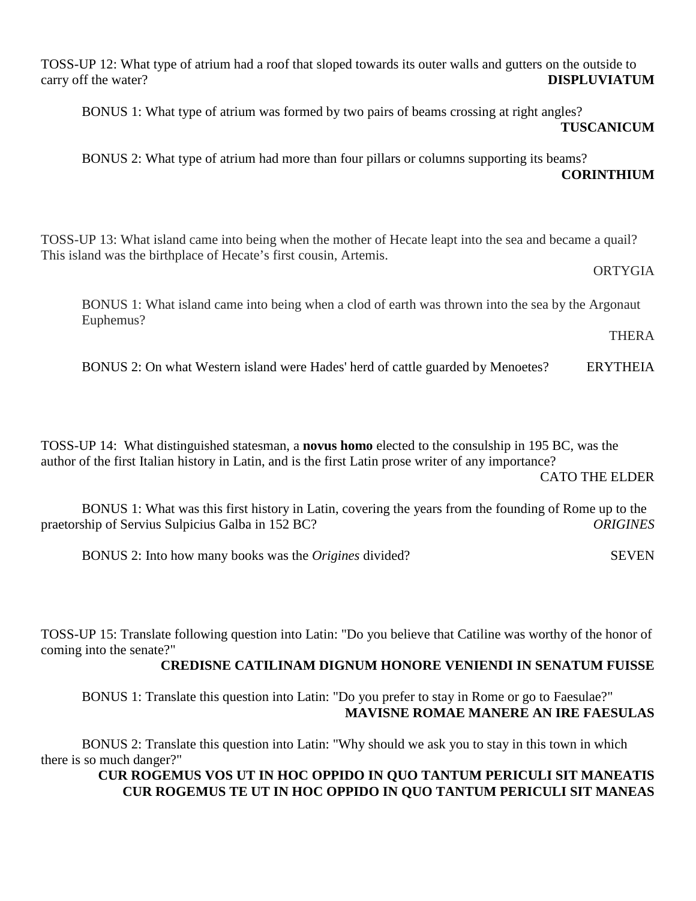TOSS-UP 12: What type of atrium had a roof that sloped towards its outer walls and gutters on the outside to carry off the water? **DISPLUVIATUM**

BONUS 1: What type of atrium was formed by two pairs of beams crossing at right angles?

**TUSCANICUM** 

 BONUS 2: What type of atrium had more than four pillars or columns supporting its beams? **CORINTHIUM** 

TOSS-UP 13: What island came into being when the mother of Hecate leapt into the sea and became a quail? This island was the birthplace of Hecate's first cousin, Artemis.

## **ORTYGIA**

BONUS 1: What island came into being when a clod of earth was thrown into the sea by the Argonaut Euphemus?

THERA

BONUS 2: On what Western island were Hades' herd of cattle guarded by Menoetes? ERYTHEIA

TOSS-UP 14: What distinguished statesman, a **novus homo** elected to the consulship in 195 BC, was the author of the first Italian history in Latin, and is the first Latin prose writer of any importance?

CATO THE ELDER

 BONUS 1: What was this first history in Latin, covering the years from the founding of Rome up to the praetorship of Servius Sulpicius Galba in 152 BC? *ORIGINES*

BONUS 2: Into how many books was the *Origines* divided? SEVEN

TOSS-UP 15: Translate following question into Latin: "Do you believe that Catiline was worthy of the honor of coming into the senate?"

## **CREDISNE CATILINAM DIGNUM HONORE VENIENDI IN SENATUM FUISSE**

 BONUS 1: Translate this question into Latin: "Do you prefer to stay in Rome or go to Faesulae?"  **MAVISNE ROMAE MANERE AN IRE FAESULAS** 

 BONUS 2: Translate this question into Latin: "Why should we ask you to stay in this town in which there is so much danger?"

## **CUR ROGEMUS VOS UT IN HOC OPPIDO IN QUO TANTUM PERICULI SIT MANEATIS CUR ROGEMUS TE UT IN HOC OPPIDO IN QUO TANTUM PERICULI SIT MANEAS**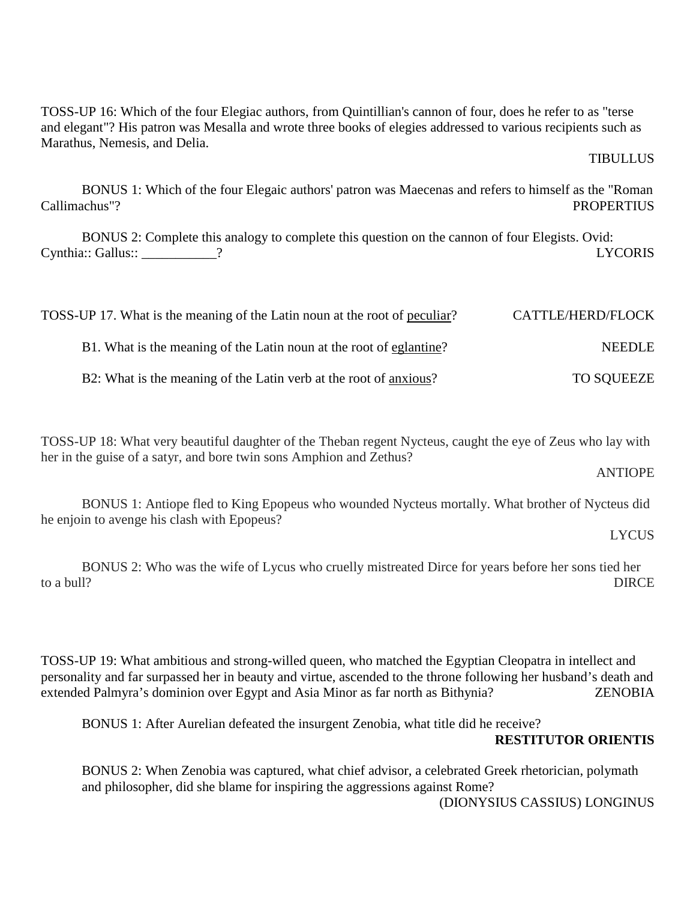TOSS-UP 16: Which of the four Elegiac authors, from Quintillian's cannon of four, does he refer to as "terse and elegant"? His patron was Mesalla and wrote three books of elegies addressed to various recipients such as Marathus, Nemesis, and Delia.

TIBULLUS

 BONUS 1: Which of the four Elegaic authors' patron was Maecenas and refers to himself as the "Roman Callimachus"? PROPERTIUS

 BONUS 2: Complete this analogy to complete this question on the cannon of four Elegists. Ovid: Cynthia:: Gallus:: \_\_\_\_\_\_\_\_\_\_\_? LYCORIS

| TOSS-UP 17. What is the meaning of the Latin noun at the root of peculiar? | CATTLE/HERD/FLOCK |
|----------------------------------------------------------------------------|-------------------|
| B1. What is the meaning of the Latin noun at the root of eglantine?        | <b>NEEDLE</b>     |
| B2: What is the meaning of the Latin verb at the root of anxious?          | <b>TO SQUEEZE</b> |

TOSS-UP 18: What very beautiful daughter of the Theban regent Nycteus, caught the eye of Zeus who lay with her in the guise of a satyr, and bore twin sons Amphion and Zethus?

ANTIOPE

 BONUS 1: Antiope fled to King Epopeus who wounded Nycteus mortally. What brother of Nycteus did he enjoin to avenge his clash with Epopeus?

LYCUS

BONUS 2: Who was the wife of Lycus who cruelly mistreated Dirce for years before her sons tied her to a bull? to a bull? DIRCE

TOSS-UP 19: What ambitious and strong-willed queen, who matched the Egyptian Cleopatra in intellect and personality and far surpassed her in beauty and virtue, ascended to the throne following her husband's death and extended Palmyra's dominion over Egypt and Asia Minor as far north as Bithynia? ZENOBIA

BONUS 1: After Aurelian defeated the insurgent Zenobia, what title did he receive?

## **RESTITUTOR ORIENTIS**

BONUS 2: When Zenobia was captured, what chief advisor, a celebrated Greek rhetorician, polymath and philosopher, did she blame for inspiring the aggressions against Rome? (DIONYSIUS CASSIUS) LONGINUS